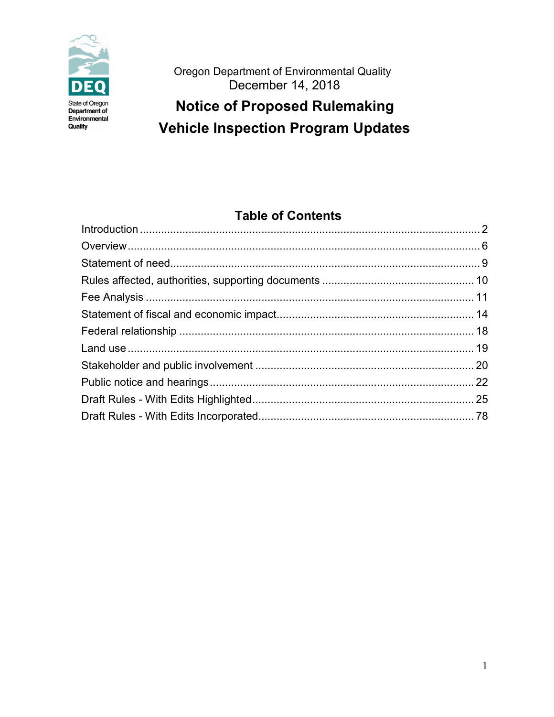

Oregon Department of Environmental Quality December 14, 2018

# **Notice of Proposed Rulemaking Vehicle Inspection Program Updates**

# **Table of Contents**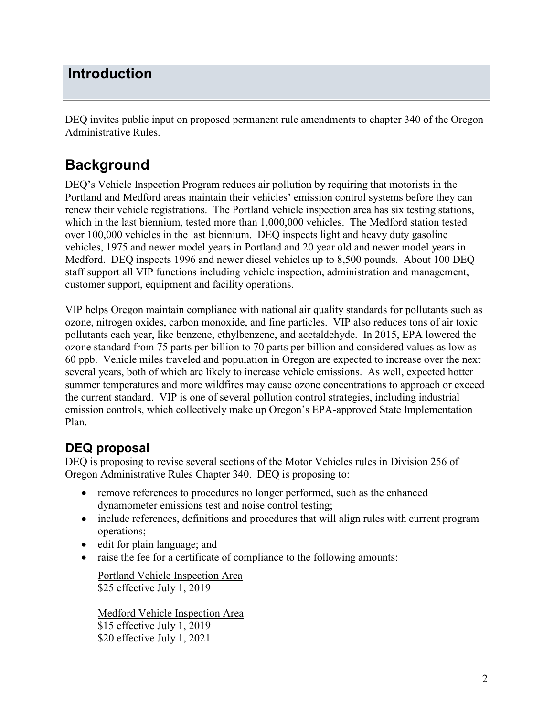# <span id="page-1-0"></span>**Introduction**

DEQ invites public input on proposed permanent rule amendments to chapter 340 of the Oregon Administrative Rules.

# **Background**

DEQ's Vehicle Inspection Program reduces air pollution by requiring that motorists in the Portland and Medford areas maintain their vehicles' emission control systems before they can renew their vehicle registrations. The Portland vehicle inspection area has six testing stations, which in the last biennium, tested more than 1,000,000 vehicles. The Medford station tested over 100,000 vehicles in the last biennium. DEQ inspects light and heavy duty gasoline vehicles, 1975 and newer model years in Portland and 20 year old and newer model years in Medford. DEQ inspects 1996 and newer diesel vehicles up to 8,500 pounds. About 100 DEQ staff support all VIP functions including vehicle inspection, administration and management, customer support, equipment and facility operations.

VIP helps Oregon maintain compliance with national air quality standards for pollutants such as ozone, nitrogen oxides, carbon monoxide, and fine particles. VIP also reduces tons of air toxic pollutants each year, like benzene, ethylbenzene, and acetaldehyde. In 2015, EPA lowered the ozone standard from 75 parts per billion to 70 parts per billion and considered values as low as 60 ppb. Vehicle miles traveled and population in Oregon are expected to increase over the next several years, both of which are likely to increase vehicle emissions. As well, expected hotter summer temperatures and more wildfires may cause ozone concentrations to approach or exceed the current standard. VIP is one of several pollution control strategies, including industrial emission controls, which collectively make up Oregon's EPA-approved State Implementation Plan.

# **DEQ proposal**

DEQ is proposing to revise several sections of the Motor Vehicles rules in Division 256 of Oregon Administrative Rules Chapter 340. DEQ is proposing to:

- remove references to procedures no longer performed, such as the enhanced dynamometer emissions test and noise control testing;
- include references, definitions and procedures that will align rules with current program operations;
- edit for plain language; and
- raise the fee for a certificate of compliance to the following amounts:

Portland Vehicle Inspection Area \$25 effective July 1, 2019

Medford Vehicle Inspection Area \$15 effective July 1, 2019 \$20 effective July 1, 2021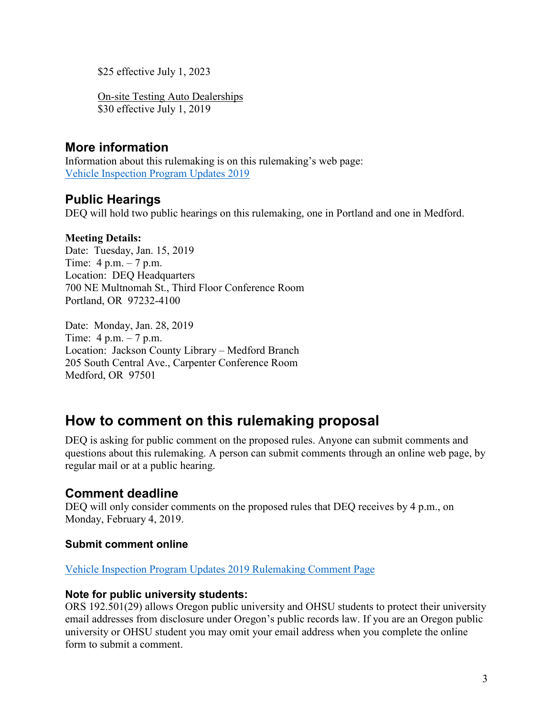\$25 effective July 1, 2023

On-site Testing Auto Dealerships \$30 effective July 1, 2019

## **More information**

Information about this rulemaking is on this rulemaking's web page: [Vehicle Inspection Program Updates 2019](https://www.oregon.gov/deq/Regulations/rulemaking/Pages/rvip2019.aspx)

## **Public Hearings**

DEQ will hold two public hearings on this rulemaking, one in Portland and one in Medford.

### **Meeting Details:**

Date: Tuesday, Jan. 15, 2019 Time: 4 p.m. – 7 p.m. Location: DEO Headquarters 700 NE Multnomah St., Third Floor Conference Room Portland, OR 97232-4100

Date: Monday, Jan. 28, 2019 Time: 4 p.m. – 7 p.m. Location: Jackson County Library – Medford Branch 205 South Central Ave., Carpenter Conference Room Medford, OR 97501

# **How to comment on this rulemaking proposal**

DEQ is asking for public comment on the proposed rules. Anyone can submit comments and questions about this rulemaking. A person can submit comments through an online web page, by regular mail or at a public hearing.

## **Comment deadline**

DEQ will only consider comments on the proposed rules that DEQ receives by 4 p.m., on Monday, February 4, 2019.

### **Submit comment online**

[Vehicle Inspection Program Updates 2019 Rulemaking Comment Page](https://www.oregon.gov/deq/Regulations/rulemaking/Pages/cvip2019.aspx)

### **Note for public university students:**

ORS 192.501(29) allows Oregon public university and OHSU students to protect their university email addresses from disclosure under Oregon's public records law. If you are an Oregon public university or OHSU student you may omit your email address when you complete the online form to submit a comment.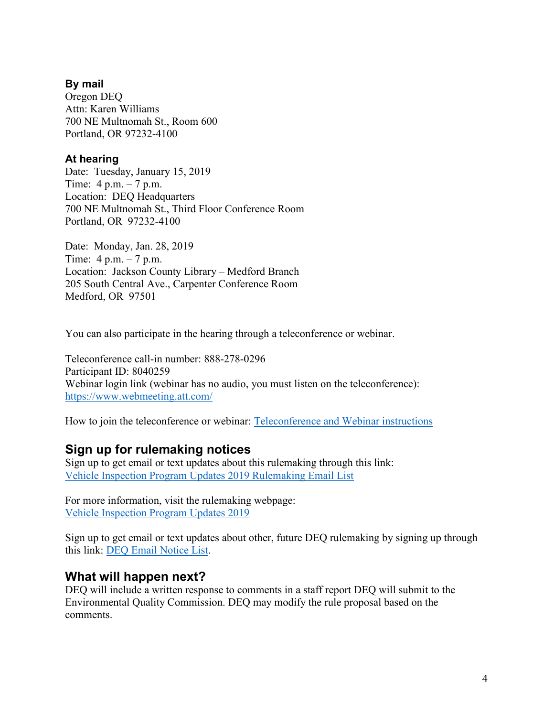### **By mail**

Oregon DEQ Attn: Karen Williams 700 NE Multnomah St., Room 600 Portland, OR 97232-4100

### **At hearing**

Date: Tuesday, January 15, 2019 Time: 4 p.m. – 7 p.m. Location: DEQ Headquarters 700 NE Multnomah St., Third Floor Conference Room Portland, OR 97232-4100

Date: Monday, Jan. 28, 2019 Time: 4 p.m. – 7 p.m. Location: Jackson County Library – Medford Branch 205 South Central Ave., Carpenter Conference Room Medford, OR 97501

You can also participate in the hearing through a teleconference or webinar.

Teleconference call-in number: 888-278-0296 Participant ID: 8040259 Webinar login link (webinar has no audio, you must listen on the teleconference): <https://www.webmeeting.att.com/>

How to join the teleconference or webinar: [Teleconference and Webinar instructions](http://www.deq.state.or.us/regulations/docs/participantlinklog.pdf)

## **Sign up for rulemaking notices**

Sign up to get email or text updates about this rulemaking through this link: [Vehicle Inspection Program Updates 2019 Rulemaking Email List](https://public.govdelivery.com/accounts/ORDEQ/subscriber/new?topic_id=ORDEQ_642)

For more information, visit the rulemaking webpage: [Vehicle Inspection Program Updates 2019](https://www.oregon.gov/deq/Regulations/rulemaking/Pages/rvip2019.aspx)

Sign up to get email or text updates about other, future DEQ rulemaking by signing up through this link: [DEQ Email Notice List.](https://public.govdelivery.com/accounts/ORDEQ/subscriber/new?pop=t&topic_id=ORDEQ_548)

## **What will happen next?**

DEQ will include a written response to comments in a staff report DEQ will submit to the Environmental Quality Commission. DEQ may modify the rule proposal based on the comments.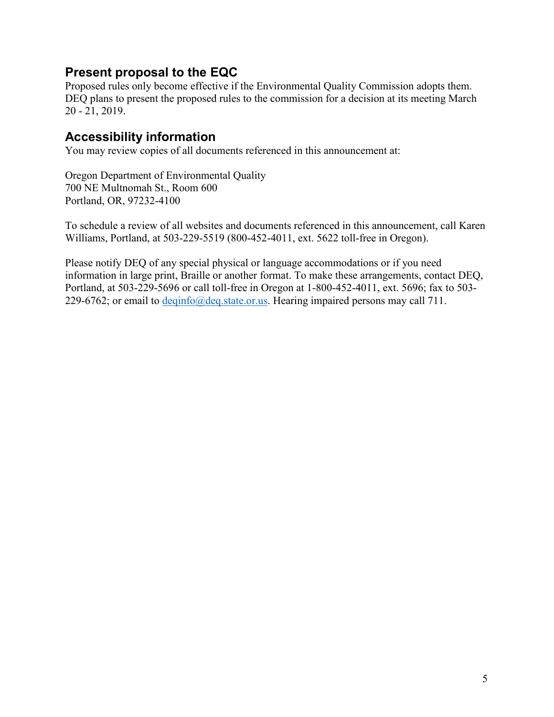## **Present proposal to the EQC**

Proposed rules only become effective if the Environmental Quality Commission adopts them. DEQ plans to present the proposed rules to the commission for a decision at its meeting March 20 - 21, 2019.

## **Accessibility information**

You may review copies of all documents referenced in this announcement at:

Oregon Department of Environmental Quality 700 NE Multnomah St., Room 600 Portland, OR, 97232-4100

To schedule a review of all websites and documents referenced in this announcement, call Karen Williams, Portland, at 503-229-5519 (800-452-4011, ext. 5622 toll-free in Oregon).

Please notify DEQ of any special physical or language accommodations or if you need information in large print, Braille or another format. To make these arrangements, contact DEQ, Portland, at 503-229-5696 or call toll-free in Oregon at 1-800-452-4011, ext. 5696; fax to 503 229-6762; or email to [deqinfo@deq.state.or.us.](mailto:deqinfo@deq.state.or.us) Hearing impaired persons may call 711.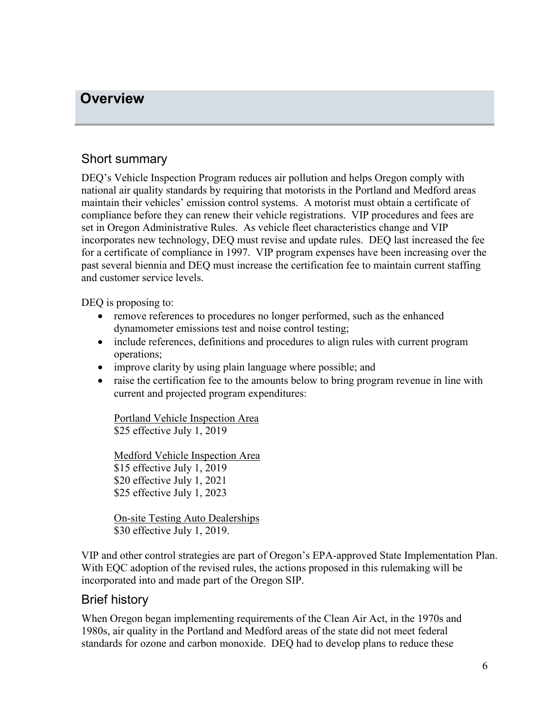## <span id="page-5-0"></span>**Overview**

## Short summary

DEQ's Vehicle Inspection Program reduces air pollution and helps Oregon comply with national air quality standards by requiring that motorists in the Portland and Medford areas maintain their vehicles' emission control systems. A motorist must obtain a certificate of compliance before they can renew their vehicle registrations. VIP procedures and fees are set in Oregon Administrative Rules. As vehicle fleet characteristics change and VIP incorporates new technology, DEQ must revise and update rules. DEQ last increased the fee for a certificate of compliance in 1997. VIP program expenses have been increasing over the past several biennia and DEQ must increase the certification fee to maintain current staffing and customer service levels.

DEQ is proposing to:

- remove references to procedures no longer performed, such as the enhanced dynamometer emissions test and noise control testing;
- include references, definitions and procedures to align rules with current program operations;
- improve clarity by using plain language where possible; and
- raise the certification fee to the amounts below to bring program revenue in line with current and projected program expenditures:

Portland Vehicle Inspection Area \$25 effective July 1, 2019

Medford Vehicle Inspection Area \$15 effective July 1, 2019 \$20 effective July 1, 2021 \$25 effective July 1, 2023

On-site Testing Auto Dealerships \$30 effective July 1, 2019.

VIP and other control strategies are part of Oregon's EPA-approved State Implementation Plan. With EQC adoption of the revised rules, the actions proposed in this rulemaking will be incorporated into and made part of the Oregon SIP.

### Brief history

When Oregon began implementing requirements of the Clean Air Act, in the 1970s and 1980s, air quality in the Portland and Medford areas of the state did not meet federal standards for ozone and carbon monoxide. DEQ had to develop plans to reduce these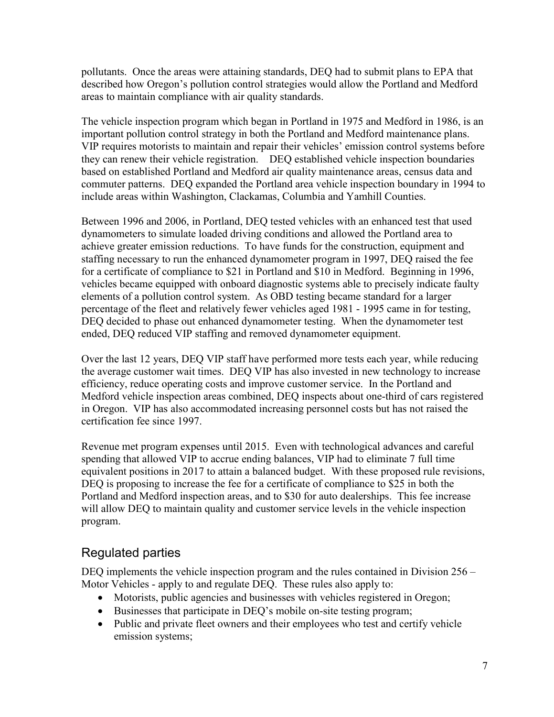pollutants. Once the areas were attaining standards, DEQ had to submit plans to EPA that described how Oregon's pollution control strategies would allow the Portland and Medford areas to maintain compliance with air quality standards.

The vehicle inspection program which began in Portland in 1975 and Medford in 1986, is an important pollution control strategy in both the Portland and Medford maintenance plans. VIP requires motorists to maintain and repair their vehicles' emission control systems before they can renew their vehicle registration. DEQ established vehicle inspection boundaries based on established Portland and Medford air quality maintenance areas, census data and commuter patterns. DEQ expanded the Portland area vehicle inspection boundary in 1994 to include areas within Washington, Clackamas, Columbia and Yamhill Counties.

Between 1996 and 2006, in Portland, DEQ tested vehicles with an enhanced test that used dynamometers to simulate loaded driving conditions and allowed the Portland area to achieve greater emission reductions. To have funds for the construction, equipment and staffing necessary to run the enhanced dynamometer program in 1997, DEQ raised the fee for a certificate of compliance to \$21 in Portland and \$10 in Medford. Beginning in 1996, vehicles became equipped with onboard diagnostic systems able to precisely indicate faulty elements of a pollution control system. As OBD testing became standard for a larger percentage of the fleet and relatively fewer vehicles aged 1981 - 1995 came in for testing, DEQ decided to phase out enhanced dynamometer testing. When the dynamometer test ended, DEQ reduced VIP staffing and removed dynamometer equipment.

Over the last 12 years, DEQ VIP staff have performed more tests each year, while reducing the average customer wait times. DEQ VIP has also invested in new technology to increase efficiency, reduce operating costs and improve customer service. In the Portland and Medford vehicle inspection areas combined, DEQ inspects about one-third of cars registered in Oregon. VIP has also accommodated increasing personnel costs but has not raised the certification fee since 1997.

Revenue met program expenses until 2015. Even with technological advances and careful spending that allowed VIP to accrue ending balances, VIP had to eliminate 7 full time equivalent positions in 2017 to attain a balanced budget. With these proposed rule revisions, DEQ is proposing to increase the fee for a certificate of compliance to \$25 in both the Portland and Medford inspection areas, and to \$30 for auto dealerships. This fee increase will allow DEQ to maintain quality and customer service levels in the vehicle inspection program.

## Regulated parties

DEQ implements the vehicle inspection program and the rules contained in Division 256 – Motor Vehicles - apply to and regulate DEQ. These rules also apply to:

- Motorists, public agencies and businesses with vehicles registered in Oregon;
- Businesses that participate in DEQ's mobile on-site testing program;
- Public and private fleet owners and their employees who test and certify vehicle emission systems;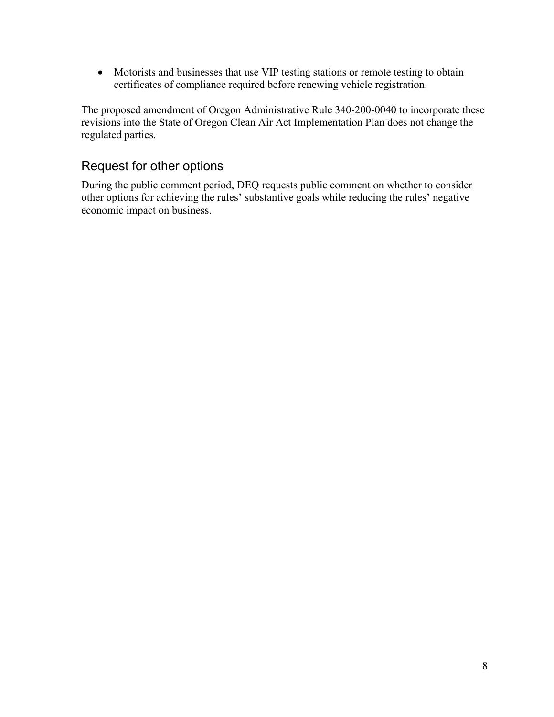• Motorists and businesses that use VIP testing stations or remote testing to obtain certificates of compliance required before renewing vehicle registration.

The proposed amendment of Oregon Administrative Rule 340-200-0040 to incorporate these revisions into the State of Oregon Clean Air Act Implementation Plan does not change the regulated parties.

## Request for other options

During the public comment period, DEQ requests public comment on whether to consider other options for achieving the rules' substantive goals while reducing the rules' negative economic impact on business.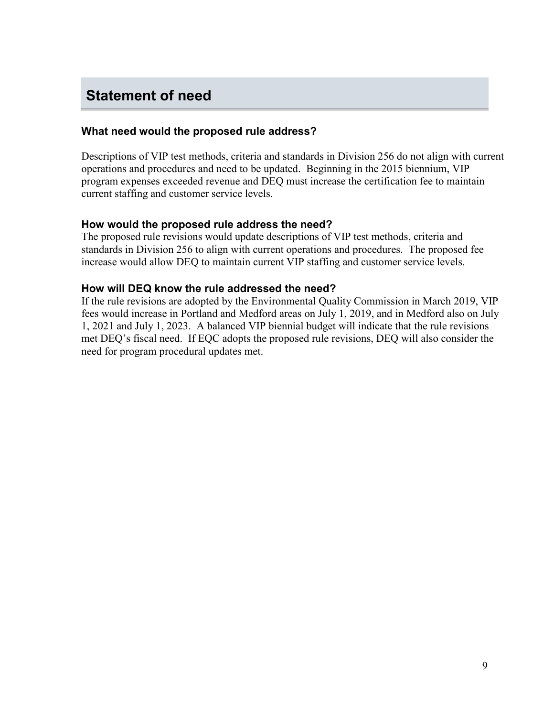# <span id="page-8-0"></span>**Statement of need**

#### **What need would the proposed rule address?**

Descriptions of VIP test methods, criteria and standards in Division 256 do not align with current operations and procedures and need to be updated. Beginning in the 2015 biennium, VIP program expenses exceeded revenue and DEQ must increase the certification fee to maintain current staffing and customer service levels.

#### **How would the proposed rule address the need?**

The proposed rule revisions would update descriptions of VIP test methods, criteria and standards in Division 256 to align with current operations and procedures. The proposed fee increase would allow DEQ to maintain current VIP staffing and customer service levels.

#### **How will DEQ know the rule addressed the need?**

If the rule revisions are adopted by the Environmental Quality Commission in March 2019, VIP fees would increase in Portland and Medford areas on July 1, 2019, and in Medford also on July 1, 2021 and July 1, 2023. A balanced VIP biennial budget will indicate that the rule revisions met DEQ's fiscal need. If EQC adopts the proposed rule revisions, DEQ will also consider the need for program procedural updates met.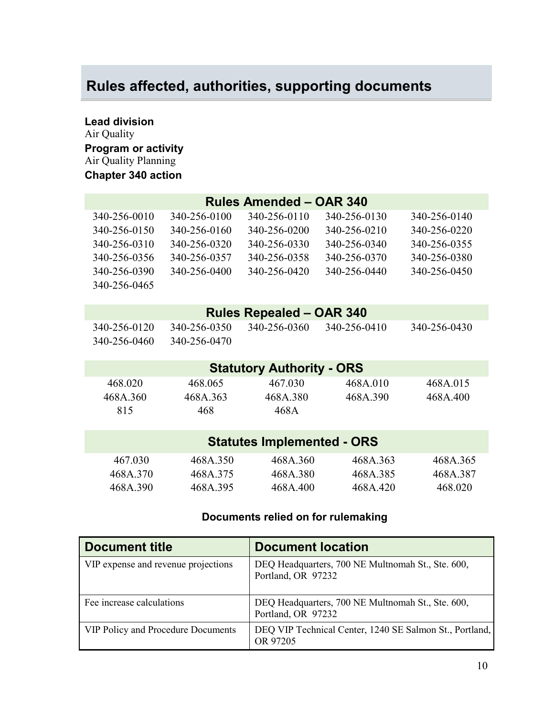# <span id="page-9-0"></span>**Rules affected, authorities, supporting documents**

**Lead division** Air Quality **Program or activity** Air Quality Planning **Chapter 340 action**

|                                   |              | <b>Rules Amended - OAR 340</b>   |              |              |
|-----------------------------------|--------------|----------------------------------|--------------|--------------|
| 340-256-0010                      | 340-256-0100 | 340-256-0110                     | 340-256-0130 | 340-256-0140 |
| 340-256-0150                      | 340-256-0160 | 340-256-0200                     | 340-256-0210 | 340-256-0220 |
| 340-256-0310                      | 340-256-0320 | 340-256-0330                     | 340-256-0340 | 340-256-0355 |
| 340-256-0356                      | 340-256-0357 | 340-256-0358                     | 340-256-0370 | 340-256-0380 |
| 340-256-0390                      | 340-256-0400 | 340-256-0420                     | 340-256-0440 | 340-256-0450 |
| 340-256-0465                      |              |                                  |              |              |
|                                   |              |                                  |              |              |
|                                   |              | <b>Rules Repealed - OAR 340</b>  |              |              |
| 340-256-0120                      | 340-256-0350 | 340-256-0360                     | 340-256-0410 | 340-256-0430 |
| 340-256-0460                      | 340-256-0470 |                                  |              |              |
|                                   |              |                                  |              |              |
|                                   |              | <b>Statutory Authority - ORS</b> |              |              |
| 468.020                           | 468.065      | 467.030                          | 468A.010     | 468A.015     |
| 468A.360                          | 468A.363     | 468A.380                         | 468A.390     | 468A.400     |
| 815                               | 468          | 468A                             |              |              |
|                                   |              |                                  |              |              |
| <b>Statutes Implemented - ORS</b> |              |                                  |              |              |
| 467.030                           | 468A.350     | 468A.360                         | 468A.363     | 468A.365     |
| 468A.370                          | 468A.375     | 468A.380                         | 468A.385     | 468A.387     |
| 468A.390                          | 468A.395     | 468A.400                         | 468A.420     | 468.020      |
|                                   |              |                                  |              |              |

### **Documents relied on for rulemaking**

| <b>Document title</b>                     | <b>Document location</b>                                                |
|-------------------------------------------|-------------------------------------------------------------------------|
| VIP expense and revenue projections       | DEQ Headquarters, 700 NE Multnomah St., Ste. 600,<br>Portland, OR 97232 |
| Fee increase calculations                 | DEQ Headquarters, 700 NE Multnomah St., Ste. 600,<br>Portland, OR 97232 |
| <b>VIP Policy and Procedure Documents</b> | DEQ VIP Technical Center, 1240 SE Salmon St., Portland,<br>OR 97205     |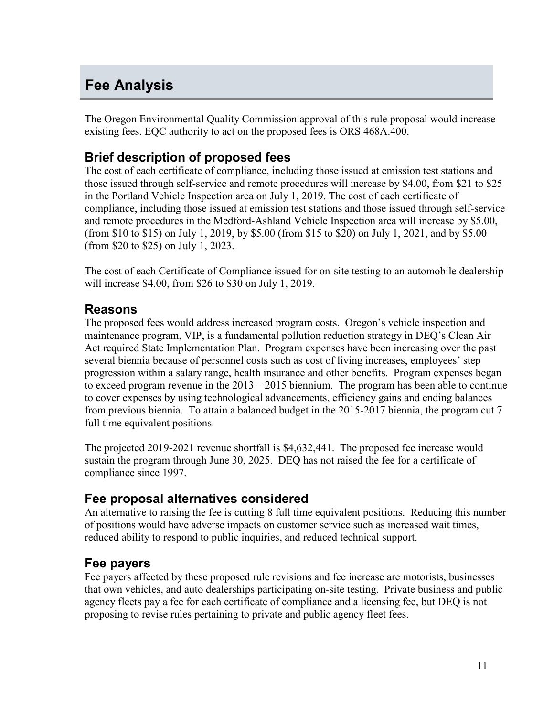# <span id="page-10-0"></span>**Fee Analysis**

The Oregon Environmental Quality Commission approval of this rule proposal would increase existing fees. EQC authority to act on the proposed fees is ORS 468A.400.

## **Brief description of proposed fees**

The cost of each certificate of compliance, including those issued at emission test stations and those issued through self-service and remote procedures will increase by \$4.00, from \$21 to \$25 in the Portland Vehicle Inspection area on July 1, 2019. The cost of each certificate of compliance, including those issued at emission test stations and those issued through self-service and remote procedures in the Medford-Ashland Vehicle Inspection area will increase by \$5.00, (from \$10 to \$15) on July 1, 2019, by \$5.00 (from \$15 to \$20) on July 1, 2021, and by \$5.00 (from \$20 to \$25) on July 1, 2023.

The cost of each Certificate of Compliance issued for on-site testing to an automobile dealership will increase \$4.00, from \$26 to \$30 on July 1, 2019.

### **Reasons**

The proposed fees would address increased program costs. Oregon's vehicle inspection and maintenance program, VIP, is a fundamental pollution reduction strategy in DEQ's Clean Air Act required State Implementation Plan. Program expenses have been increasing over the past several biennia because of personnel costs such as cost of living increases, employees' step progression within a salary range, health insurance and other benefits. Program expenses began to exceed program revenue in the 2013 – 2015 biennium. The program has been able to continue to cover expenses by using technological advancements, efficiency gains and ending balances from previous biennia. To attain a balanced budget in the 2015-2017 biennia, the program cut 7 full time equivalent positions.

The projected 2019-2021 revenue shortfall is \$4,632,441. The proposed fee increase would sustain the program through June 30, 2025. DEQ has not raised the fee for a certificate of compliance since 1997.

## **Fee proposal alternatives considered**

An alternative to raising the fee is cutting 8 full time equivalent positions. Reducing this number of positions would have adverse impacts on customer service such as increased wait times, reduced ability to respond to public inquiries, and reduced technical support.

## **Fee payers**

Fee payers affected by these proposed rule revisions and fee increase are motorists, businesses that own vehicles, and auto dealerships participating on-site testing. Private business and public agency fleets pay a fee for each certificate of compliance and a licensing fee, but DEQ is not proposing to revise rules pertaining to private and public agency fleet fees.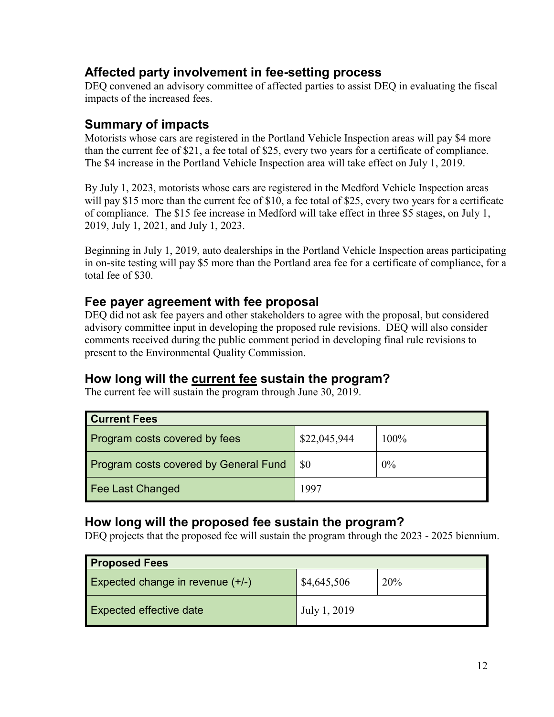## **Affected party involvement in fee-setting process**

DEQ convened an advisory committee of affected parties to assist DEQ in evaluating the fiscal impacts of the increased fees.

## **Summary of impacts**

Motorists whose cars are registered in the Portland Vehicle Inspection areas will pay \$4 more than the current fee of \$21, a fee total of \$25, every two years for a certificate of compliance. The \$4 increase in the Portland Vehicle Inspection area will take effect on July 1, 2019.

By July 1, 2023, motorists whose cars are registered in the Medford Vehicle Inspection areas will pay \$15 more than the current fee of \$10, a fee total of \$25, every two years for a certificate of compliance. The \$15 fee increase in Medford will take effect in three \$5 stages, on July 1, 2019, July 1, 2021, and July 1, 2023.

Beginning in July 1, 2019, auto dealerships in the Portland Vehicle Inspection areas participating in on-site testing will pay \$5 more than the Portland area fee for a certificate of compliance, for a total fee of \$30.

## **Fee payer agreement with fee proposal**

DEQ did not ask fee payers and other stakeholders to agree with the proposal, but considered advisory committee input in developing the proposed rule revisions. DEQ will also consider comments received during the public comment period in developing final rule revisions to present to the Environmental Quality Commission.

## **How long will the current fee sustain the program?**

The current fee will sustain the program through June 30, 2019.

| <b>Current Fees</b>                          |              |       |
|----------------------------------------------|--------------|-------|
| Program costs covered by fees                | \$22,045,944 | 100%  |
| <b>Program costs covered by General Fund</b> | -\$0         | $0\%$ |
| <b>Fee Last Changed</b>                      | 1997         |       |

## **How long will the proposed fee sustain the program?**

DEQ projects that the proposed fee will sustain the program through the 2023 - 2025 biennium.

| <b>Proposed Fees</b>               |              |     |
|------------------------------------|--------------|-----|
| Expected change in revenue $(+/-)$ | \$4,645,506  | 20% |
| <b>Expected effective date</b>     | July 1, 2019 |     |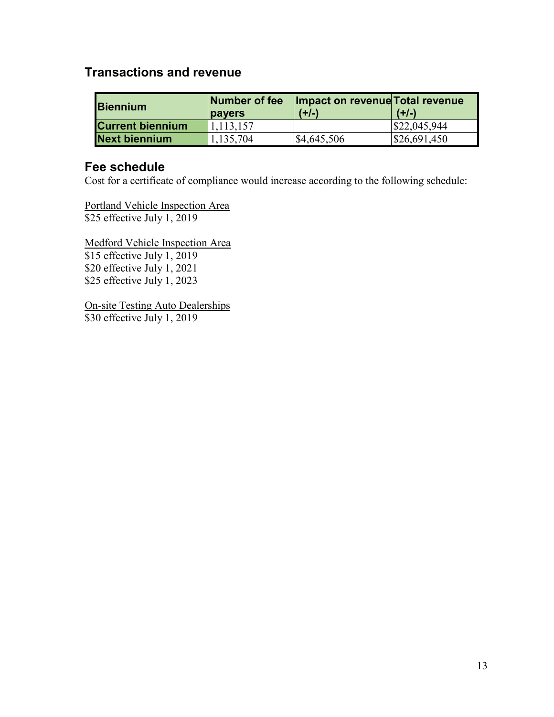## **Transactions and revenue**

| <b>Biennium</b>         | Number of fee<br><b>pavers</b> | Impact on revenue Total revenue<br>$(+/-)$ | $(+/-)$                |
|-------------------------|--------------------------------|--------------------------------------------|------------------------|
| <b>Current biennium</b> | 1,113,157                      |                                            | $\frac{$22,045,944}{}$ |
| <b>Next biennium</b>    | 1,135,704                      | $\frac{$4,645,506}{ }$                     | \$26,691,450           |

### **Fee schedule**

Cost for a certificate of compliance would increase according to the following schedule:

Portland Vehicle Inspection Area \$25 effective July 1, 2019

Medford Vehicle Inspection Area \$15 effective July 1, 2019 \$20 effective July 1, 2021 \$25 effective July 1, 2023

On-site Testing Auto Dealerships \$30 effective July 1, 2019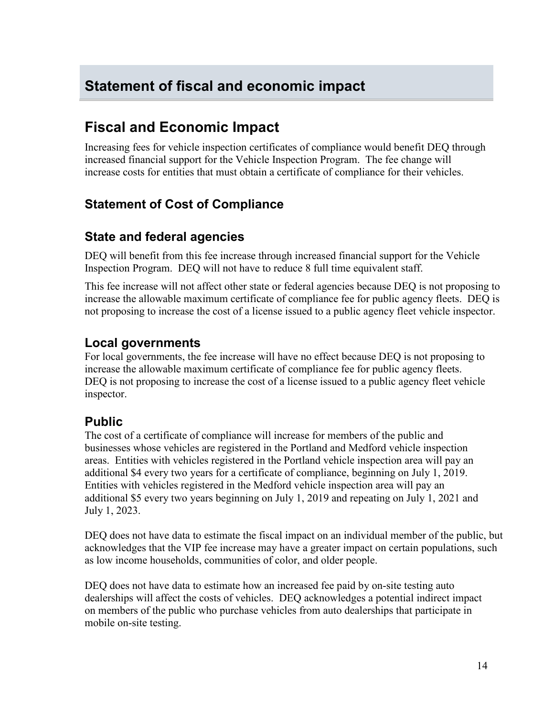# <span id="page-13-0"></span>**Statement of fiscal and economic impact**

# **Fiscal and Economic Impact**

Increasing fees for vehicle inspection certificates of compliance would benefit DEQ through increased financial support for the Vehicle Inspection Program. The fee change will increase costs for entities that must obtain a certificate of compliance for their vehicles.

# **Statement of Cost of Compliance**

## **State and federal agencies**

DEQ will benefit from this fee increase through increased financial support for the Vehicle Inspection Program. DEQ will not have to reduce 8 full time equivalent staff.

This fee increase will not affect other state or federal agencies because DEQ is not proposing to increase the allowable maximum certificate of compliance fee for public agency fleets. DEQ is not proposing to increase the cost of a license issued to a public agency fleet vehicle inspector.

## **Local governments**

For local governments, the fee increase will have no effect because DEQ is not proposing to increase the allowable maximum certificate of compliance fee for public agency fleets. DEQ is not proposing to increase the cost of a license issued to a public agency fleet vehicle inspector.

## **Public**

The cost of a certificate of compliance will increase for members of the public and businesses whose vehicles are registered in the Portland and Medford vehicle inspection areas. Entities with vehicles registered in the Portland vehicle inspection area will pay an additional \$4 every two years for a certificate of compliance, beginning on July 1, 2019. Entities with vehicles registered in the Medford vehicle inspection area will pay an additional \$5 every two years beginning on July 1, 2019 and repeating on July 1, 2021 and July 1, 2023.

DEQ does not have data to estimate the fiscal impact on an individual member of the public, but acknowledges that the VIP fee increase may have a greater impact on certain populations, such as low income households, communities of color, and older people.

DEQ does not have data to estimate how an increased fee paid by on-site testing auto dealerships will affect the costs of vehicles. DEQ acknowledges a potential indirect impact on members of the public who purchase vehicles from auto dealerships that participate in mobile on-site testing.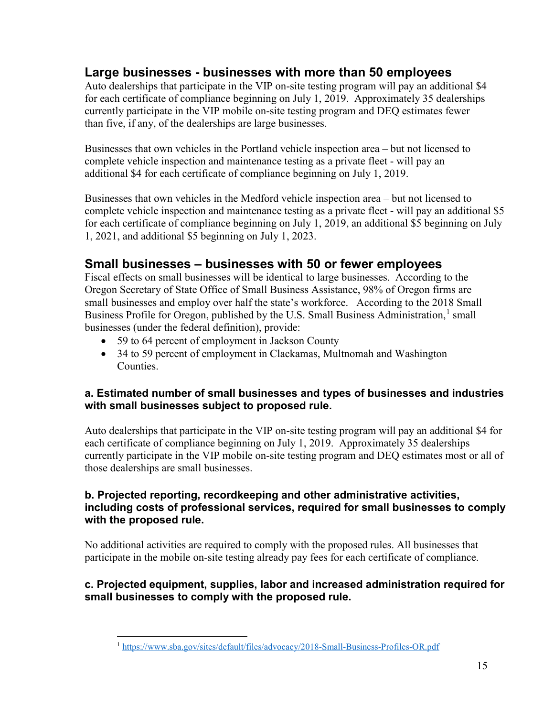## **Large businesses - businesses with more than 50 employees**

Auto dealerships that participate in the VIP on-site testing program will pay an additional \$4 for each certificate of compliance beginning on July 1, 2019. Approximately 35 dealerships currently participate in the VIP mobile on-site testing program and DEQ estimates fewer than five, if any, of the dealerships are large businesses.

Businesses that own vehicles in the Portland vehicle inspection area – but not licensed to complete vehicle inspection and maintenance testing as a private fleet - will pay an additional \$4 for each certificate of compliance beginning on July 1, 2019.

Businesses that own vehicles in the Medford vehicle inspection area – but not licensed to complete vehicle inspection and maintenance testing as a private fleet - will pay an additional \$5 for each certificate of compliance beginning on July 1, 2019, an additional \$5 beginning on July 1, 2021, and additional \$5 beginning on July 1, 2023.

## **Small businesses – businesses with 50 or fewer employees**

Fiscal effects on small businesses will be identical to large businesses. According to the Oregon Secretary of State Office of Small Business Assistance, 98% of Oregon firms are small businesses and employ over half the state's workforce. According to the 2018 Small Business Profile for Oregon, published by the U.S. Small Business Administration,<sup>[1](#page-14-0)</sup> small businesses (under the federal definition), provide:

- 59 to 64 percent of employment in Jackson County
- 34 to 59 percent of employment in Clackamas, Multnomah and Washington Counties.

### **a. Estimated number of small businesses and types of businesses and industries with small businesses subject to proposed rule.**

Auto dealerships that participate in the VIP on-site testing program will pay an additional \$4 for each certificate of compliance beginning on July 1, 2019. Approximately 35 dealerships currently participate in the VIP mobile on-site testing program and DEQ estimates most or all of those dealerships are small businesses.

### **b. Projected reporting, recordkeeping and other administrative activities, including costs of professional services, required for small businesses to comply with the proposed rule.**

No additional activities are required to comply with the proposed rules. All businesses that participate in the mobile on-site testing already pay fees for each certificate of compliance.

### <span id="page-14-0"></span>**c. Projected equipment, supplies, labor and increased administration required for small businesses to comply with the proposed rule.**

 <sup>1</sup> <https://www.sba.gov/sites/default/files/advocacy/2018-Small-Business-Profiles-OR.pdf>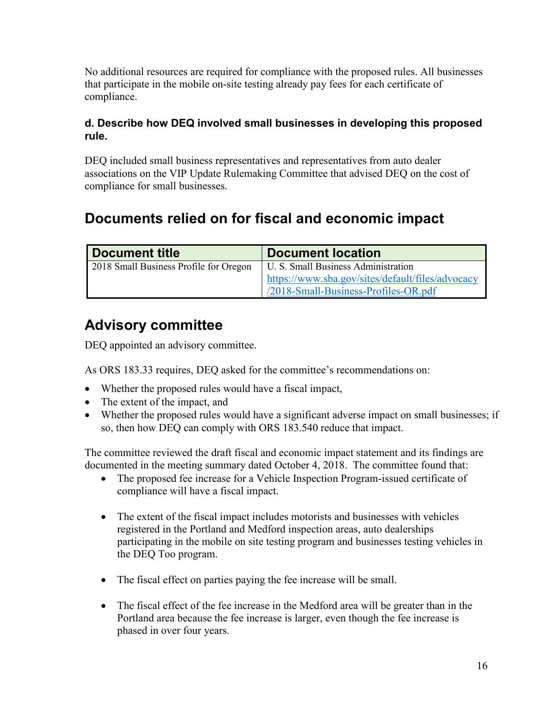No additional resources are required for compliance with the proposed rules. All businesses that participate in the mobile on-site testing already pay fees for each certificate of compliance.

### **d. Describe how DEQ involved small businesses in developing this proposed rule.**

DEQ included small business representatives and representatives from auto dealer associations on the VIP Update Rulemaking Committee that advised DEQ on the cost of compliance for small businesses.

# **Documents relied on for fiscal and economic impact**

| Document title                         | <b>Document location</b>                         |
|----------------------------------------|--------------------------------------------------|
| 2018 Small Business Profile for Oregon | U. S. Small Business Administration              |
|                                        | https://www.sba.gov/sites/default/files/advocacy |
|                                        | /2018-Small-Business-Profiles-OR.pdf             |

# **Advisory committee**

DEQ appointed an advisory committee.

As ORS 183.33 requires, DEQ asked for the committee's recommendations on:

- Whether the proposed rules would have a fiscal impact,
- The extent of the impact, and
- Whether the proposed rules would have a significant adverse impact on small businesses; if so, then how DEQ can comply with ORS 183.540 reduce that impact.

The committee reviewed the draft fiscal and economic impact statement and its findings are documented in the meeting summary dated October 4, 2018. The committee found that:

- The proposed fee increase for a Vehicle Inspection Program-issued certificate of compliance will have a fiscal impact.
- The extent of the fiscal impact includes motorists and businesses with vehicles registered in the Portland and Medford inspection areas, auto dealerships participating in the mobile on site testing program and businesses testing vehicles in the DEQ Too program.
- The fiscal effect on parties paying the fee increase will be small.
- The fiscal effect of the fee increase in the Medford area will be greater than in the Portland area because the fee increase is larger, even though the fee increase is phased in over four years.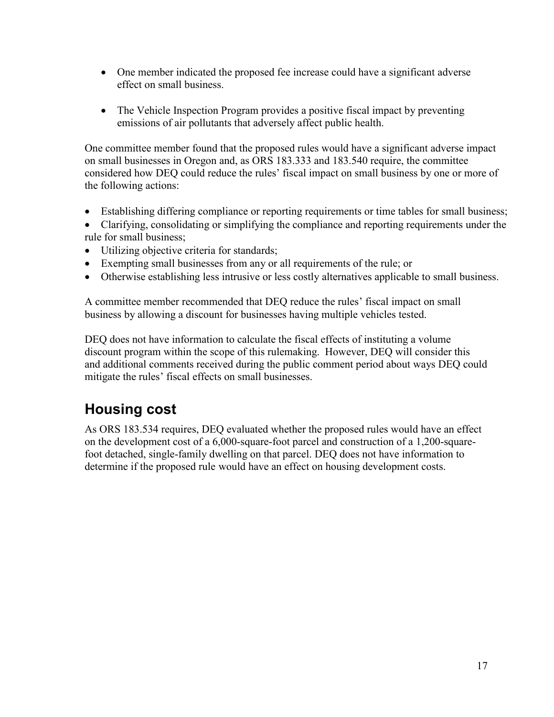- One member indicated the proposed fee increase could have a significant adverse effect on small business.
- The Vehicle Inspection Program provides a positive fiscal impact by preventing emissions of air pollutants that adversely affect public health.

One committee member found that the proposed rules would have a significant adverse impact on small businesses in Oregon and, as ORS 183.333 and 183.540 require, the committee considered how DEQ could reduce the rules' fiscal impact on small business by one or more of the following actions:

- Establishing differing compliance or reporting requirements or time tables for small business;
- Clarifying, consolidating or simplifying the compliance and reporting requirements under the rule for small business;
- Utilizing objective criteria for standards;
- Exempting small businesses from any or all requirements of the rule; or
- Otherwise establishing less intrusive or less costly alternatives applicable to small business.

A committee member recommended that DEQ reduce the rules' fiscal impact on small business by allowing a discount for businesses having multiple vehicles tested.

DEQ does not have information to calculate the fiscal effects of instituting a volume discount program within the scope of this rulemaking. However, DEQ will consider this and additional comments received during the public comment period about ways DEQ could mitigate the rules' fiscal effects on small businesses.

# **Housing cost**

As ORS 183.534 requires, DEQ evaluated whether the proposed rules would have an effect on the development cost of a 6,000-square-foot parcel and construction of a 1,200-squarefoot detached, single-family dwelling on that parcel. DEQ does not have information to determine if the proposed rule would have an effect on housing development costs.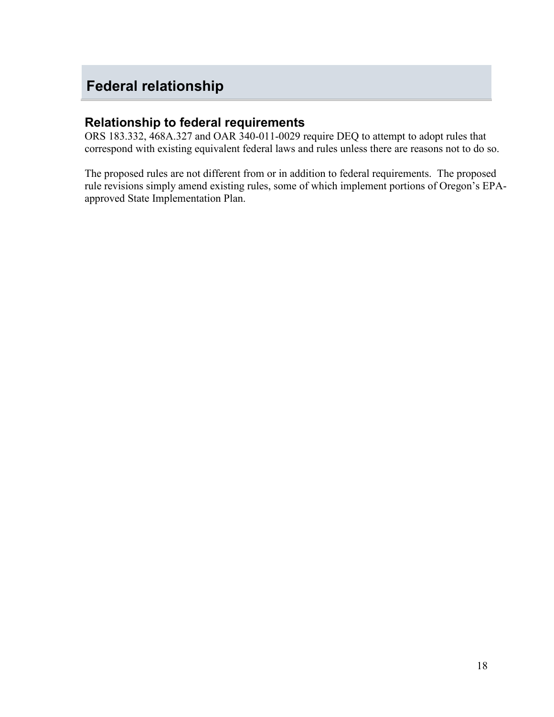# <span id="page-17-0"></span>**Federal relationship**

## **Relationship to federal requirements**

ORS 183.332, 468A.327 and OAR 340-011-0029 require DEQ to attempt to adopt rules that correspond with existing equivalent federal laws and rules unless there are reasons not to do so.

The proposed rules are not different from or in addition to federal requirements. The proposed rule revisions simply amend existing rules, some of which implement portions of Oregon's EPAapproved State Implementation Plan.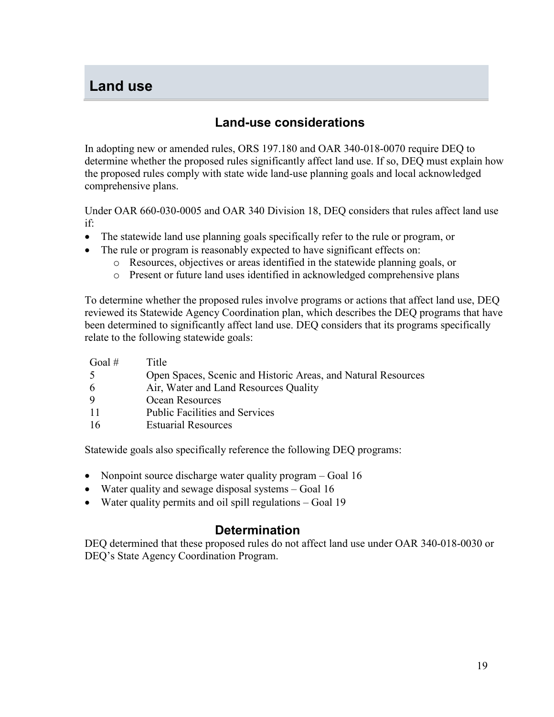# <span id="page-18-0"></span>**Land use**

## **Land-use considerations**

In adopting new or amended rules, ORS 197.180 and OAR 340-018-0070 require DEQ to determine whether the proposed rules significantly affect land use. If so, DEQ must explain how the proposed rules comply with state wide land-use planning goals and local acknowledged comprehensive plans.

Under OAR 660-030-0005 and OAR 340 Division 18, DEQ considers that rules affect land use if:

- The statewide land use planning goals specifically refer to the rule or program, or
- The rule or program is reasonably expected to have significant effects on:
	- o Resources, objectives or areas identified in the statewide planning goals, or
	- o Present or future land uses identified in acknowledged comprehensive plans

To determine whether the proposed rules involve programs or actions that affect land use, DEQ reviewed its Statewide Agency Coordination plan, which describes the DEQ programs that have been determined to significantly affect land use. DEQ considers that its programs specifically relate to the following statewide goals:

| Goal # | Title                                                         |
|--------|---------------------------------------------------------------|
| -5     | Open Spaces, Scenic and Historic Areas, and Natural Resources |
| -6     | Air, Water and Land Resources Quality                         |
| -9     | Ocean Resources                                               |
| -11    | <b>Public Facilities and Services</b>                         |
| -16    | <b>Estuarial Resources</b>                                    |

Statewide goals also specifically reference the following DEQ programs:

- Nonpoint source discharge water quality program Goal 16
- Water quality and sewage disposal systems Goal 16
- Water quality permits and oil spill regulations Goal 19

## **Determination**

DEQ determined that these proposed rules do not affect land use under OAR 340-018-0030 or DEQ's State Agency Coordination Program.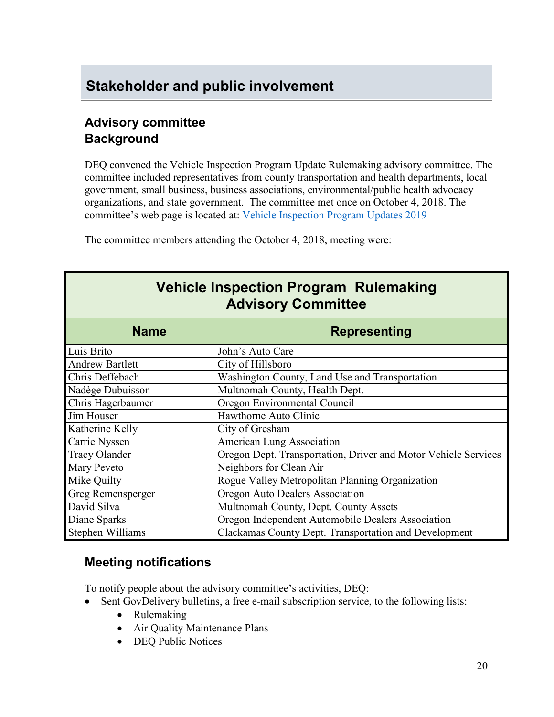# <span id="page-19-0"></span>**Stakeholder and public involvement**

## **Advisory committee Background**

DEQ convened the Vehicle Inspection Program Update Rulemaking advisory committee. The committee included representatives from county transportation and health departments, local government, small business, business associations, environmental/public health advocacy organizations, and state government. The committee met once on October 4, 2018. The committee's web page is located at: [Vehicle Inspection Program Updates 2019](https://www.oregon.gov/deq/Regulations/rulemaking/Pages/rvip2019.aspx)

The committee members attending the October 4, 2018, meeting were:

| <b>Vehicle Inspection Program Rulemaking</b><br><b>Advisory Committee</b> |                                                                |  |  |
|---------------------------------------------------------------------------|----------------------------------------------------------------|--|--|
| <b>Name</b>                                                               | <b>Representing</b>                                            |  |  |
| Luis Brito                                                                | John's Auto Care                                               |  |  |
| <b>Andrew Bartlett</b>                                                    | City of Hillsboro                                              |  |  |
| Chris Deffebach                                                           | Washington County, Land Use and Transportation                 |  |  |
| Nadège Dubuisson                                                          | Multnomah County, Health Dept.                                 |  |  |
| Chris Hagerbaumer                                                         | Oregon Environmental Council                                   |  |  |
| Jim Houser                                                                | Hawthorne Auto Clinic                                          |  |  |
| Katherine Kelly                                                           | City of Gresham                                                |  |  |
| Carrie Nyssen                                                             | American Lung Association                                      |  |  |
| <b>Tracy Olander</b>                                                      | Oregon Dept. Transportation, Driver and Motor Vehicle Services |  |  |
| Mary Peveto                                                               | Neighbors for Clean Air                                        |  |  |
| Mike Quilty                                                               | Rogue Valley Metropolitan Planning Organization                |  |  |
| Greg Remensperger                                                         | Oregon Auto Dealers Association                                |  |  |
| David Silva                                                               | Multnomah County, Dept. County Assets                          |  |  |
| Diane Sparks                                                              | Oregon Independent Automobile Dealers Association              |  |  |
| Stephen Williams                                                          | Clackamas County Dept. Transportation and Development          |  |  |

## **Meeting notifications**

To notify people about the advisory committee's activities, DEQ:

- Sent GovDelivery bulletins, a free e-mail subscription service, to the following lists:
	- Rulemaking
	- Air Quality Maintenance Plans
	- DEQ Public Notices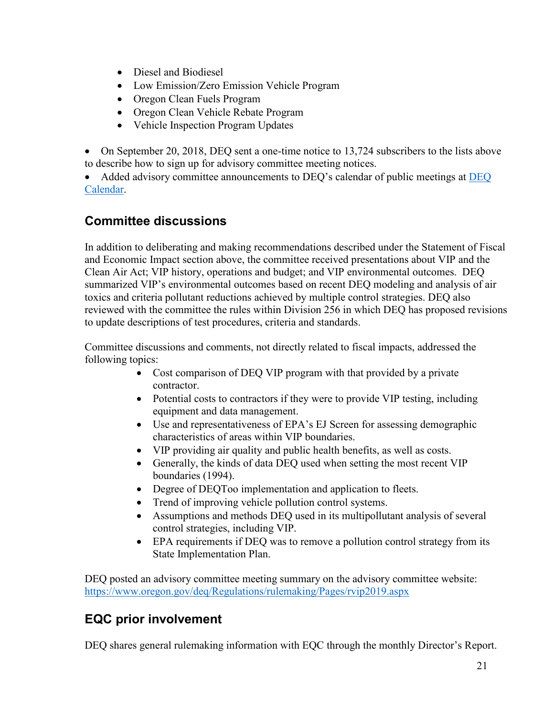- Diesel and Biodiesel
- Low Emission/Zero Emission Vehicle Program
- Oregon Clean Fuels Program
- Oregon Clean Vehicle Rebate Program
- Vehicle Inspection Program Updates

• On September 20, 2018, DEQ sent a one-time notice to 13,724 subscribers to the lists above to describe how to sign up for advisory committee meeting notices.

• Added advisory committee announcements to DEQ's calendar of public meetings at [DEQ](http://www.oregon.gov/deq/Get-Involved/Pages/Calendar.aspx)  [Calendar.](http://www.oregon.gov/deq/Get-Involved/Pages/Calendar.aspx)

## **Committee discussions**

In addition to deliberating and making recommendations described under the Statement of Fiscal and Economic Impact section above, the committee received presentations about VIP and the Clean Air Act; VIP history, operations and budget; and VIP environmental outcomes. DEQ summarized VIP's environmental outcomes based on recent DEQ modeling and analysis of air toxics and criteria pollutant reductions achieved by multiple control strategies. DEQ also reviewed with the committee the rules within Division 256 in which DEQ has proposed revisions to update descriptions of test procedures, criteria and standards.

Committee discussions and comments, not directly related to fiscal impacts, addressed the following topics:

- Cost comparison of DEQ VIP program with that provided by a private contractor.
- Potential costs to contractors if they were to provide VIP testing, including equipment and data management.
- Use and representativeness of EPA's EJ Screen for assessing demographic characteristics of areas within VIP boundaries.
- VIP providing air quality and public health benefits, as well as costs.
- Generally, the kinds of data DEQ used when setting the most recent VIP boundaries (1994).
- Degree of DEQToo implementation and application to fleets.
- Trend of improving vehicle pollution control systems.
- Assumptions and methods DEQ used in its multipollutant analysis of several control strategies, including VIP.
- EPA requirements if DEQ was to remove a pollution control strategy from its State Implementation Plan.

DEQ posted an advisory committee meeting summary on the advisory committee website: <https://www.oregon.gov/deq/Regulations/rulemaking/Pages/rvip2019.aspx>

# **EQC prior involvement**

DEQ shares general rulemaking information with EQC through the monthly Director's Report.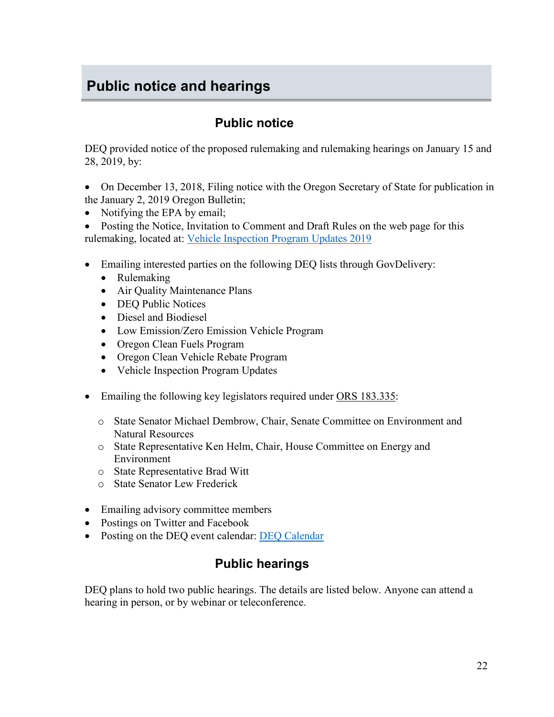# <span id="page-21-0"></span>**Public notice and hearings**

## **Public notice**

DEQ provided notice of the proposed rulemaking and rulemaking hearings on January 15 and 28, 2019, by:

- On December 13, 2018, Filing notice with the Oregon Secretary of State for publication in the January 2, 2019 Oregon Bulletin;
- Notifying the EPA by email;
- Posting the Notice, Invitation to Comment and Draft Rules on the web page for this rulemaking, located at: [Vehicle Inspection Program Updates 2019](https://www.oregon.gov/deq/Regulations/rulemaking/Pages/rvip2019.aspx)
- Emailing interested parties on the following DEQ lists through GovDelivery:
	- Rulemaking
	- Air Quality Maintenance Plans
	- DEQ Public Notices
	- Diesel and Biodiesel
	- Low Emission/Zero Emission Vehicle Program
	- Oregon Clean Fuels Program
	- Oregon Clean Vehicle Rebate Program
	- Vehicle Inspection Program Updates
- Emailing the following key legislators required under [ORS 183.335:](http://www.leg.state.or.us/ors/183.html)
	- o State Senator Michael Dembrow, Chair, Senate Committee on Environment and Natural Resources
	- o State Representative Ken Helm, Chair, House Committee on Energy and Environment
	- o State Representative Brad Witt
	- o State Senator Lew Frederick
- Emailing advisory committee members
- Postings on Twitter and Facebook
- Posting on the DEQ event calendar: [DEQ Calendar](http://www.oregon.gov/deq/Get-Involved/Pages/Calendar.aspx)

# **Public hearings**

DEQ plans to hold two public hearings. The details are listed below. Anyone can attend a hearing in person, or by webinar or teleconference.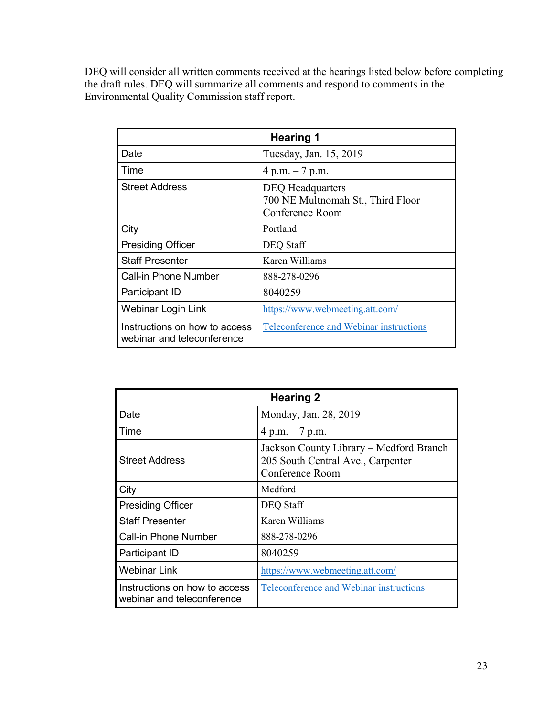DEQ will consider all written comments received at the hearings listed below before completing the draft rules. DEQ will summarize all comments and respond to comments in the Environmental Quality Commission staff report.

| <b>Hearing 1</b>                                            |                                                                                 |  |
|-------------------------------------------------------------|---------------------------------------------------------------------------------|--|
| Date                                                        | Tuesday, Jan. 15, 2019                                                          |  |
| Time                                                        | 4 p.m. $-7$ p.m.                                                                |  |
| <b>Street Address</b>                                       | <b>DEQ</b> Headquarters<br>700 NE Multnomah St., Third Floor<br>Conference Room |  |
| City                                                        | Portland                                                                        |  |
| <b>Presiding Officer</b>                                    | DEQ Staff                                                                       |  |
| <b>Staff Presenter</b>                                      | Karen Williams                                                                  |  |
| <b>Call-in Phone Number</b>                                 | 888-278-0296                                                                    |  |
| Participant ID                                              | 8040259                                                                         |  |
| Webinar Login Link                                          | https://www.webmeeting.att.com/                                                 |  |
| Instructions on how to access<br>webinar and teleconference | Teleconference and Webinar instructions                                         |  |

| <b>Hearing 2</b>                                            |                                                                                                 |  |
|-------------------------------------------------------------|-------------------------------------------------------------------------------------------------|--|
| Date                                                        | Monday, Jan. 28, 2019                                                                           |  |
| Time                                                        | 4 p.m. $-7$ p.m.                                                                                |  |
| <b>Street Address</b>                                       | Jackson County Library – Medford Branch<br>205 South Central Ave., Carpenter<br>Conference Room |  |
| City                                                        | Medford                                                                                         |  |
| <b>Presiding Officer</b>                                    | DEQ Staff                                                                                       |  |
| <b>Staff Presenter</b>                                      | Karen Williams                                                                                  |  |
| <b>Call-in Phone Number</b>                                 | 888-278-0296                                                                                    |  |
| Participant ID                                              | 8040259                                                                                         |  |
| <b>Webinar Link</b>                                         | https://www.webmeeting.att.com/                                                                 |  |
| Instructions on how to access<br>webinar and teleconference | Teleconference and Webinar instructions                                                         |  |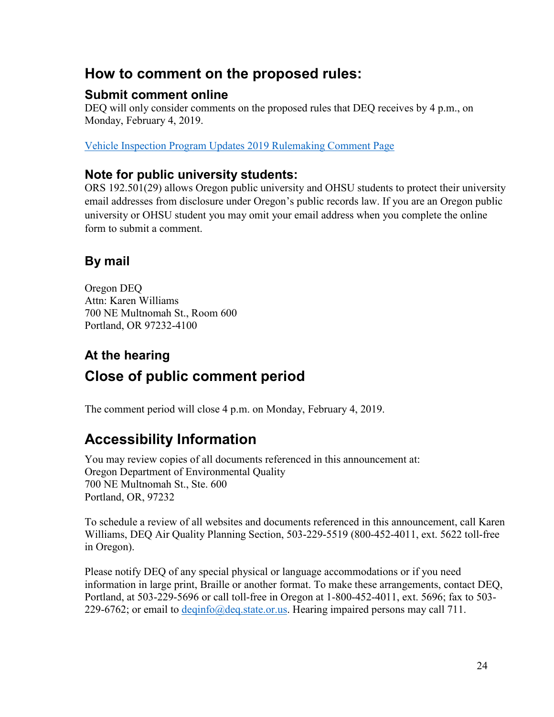# **How to comment on the proposed rules:**

## **Submit comment online**

DEQ will only consider comments on the proposed rules that DEQ receives by 4 p.m., on Monday, February 4, 2019.

[Vehicle Inspection Program Updates 2019 Rulemaking Comment Page](https://www.oregon.gov/deq/Regulations/rulemaking/Pages/cvip2019.aspx)

## **Note for public university students:**

ORS 192.501(29) allows Oregon public university and OHSU students to protect their university email addresses from disclosure under Oregon's public records law. If you are an Oregon public university or OHSU student you may omit your email address when you complete the online form to submit a comment.

# **By mail**

Oregon DEQ Attn: Karen Williams 700 NE Multnomah St., Room 600 Portland, OR 97232-4100

# **At the hearing Close of public comment period**

The comment period will close 4 p.m. on Monday, February 4, 2019.

# **Accessibility Information**

You may review copies of all documents referenced in this announcement at: Oregon Department of Environmental Quality 700 NE Multnomah St., Ste. 600 Portland, OR, 97232

To schedule a review of all websites and documents referenced in this announcement, call Karen Williams, DEQ Air Quality Planning Section, 503-229-5519 (800-452-4011, ext. 5622 toll-free in Oregon).

Please notify DEQ of any special physical or language accommodations or if you need information in large print, Braille or another format. To make these arrangements, contact DEQ, Portland, at 503-229-5696 or call toll-free in Oregon at 1-800-452-4011, ext. 5696; fax to 503- 229-6762; or email to [deqinfo@deq.state.or.us.](mailto:deqinfo@deq.state.or.us) Hearing impaired persons may call 711.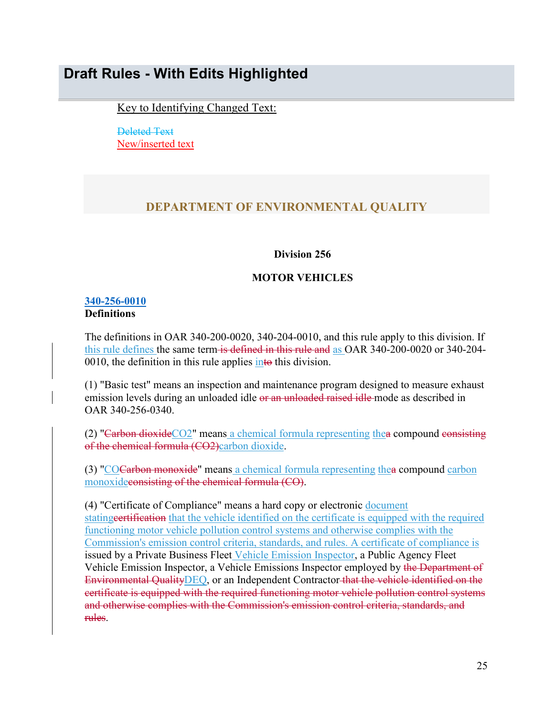# <span id="page-24-0"></span>**Draft Rules - With Edits Highlighted**

Key to Identifying Changed Text:

Deleted Text New/inserted text

## **DEPARTMENT OF ENVIRONMENTAL QUALITY**

#### **Division 256**

#### **MOTOR VEHICLES**

### **[340-256-0010](https://secure.sos.state.or.us/oard/viewSingleRule.action;JSESSIONID_OARD=3oxlIc6PZ2u31uGO2th2u9088A2Kqarcjab6TLjYb7s3a0O-i4hx!143575988?ruleVrsnRsn=75705) Definitions**

The definitions in OAR 340-200-0020, 340-204-0010, and this rule apply to this division. If this rule defines the same term is defined in this rule and as OAR 340-200-0020 or 340-204-0010, the definition in this rule applies  $\frac{in\omega}{in\omega}$  this division.

(1) "Basic test" means an inspection and maintenance program designed to measure exhaust emission levels during an unloaded idle or an unloaded raised idle mode as described in OAR 340-256-0340.

(2) "Carbon dioxideCO2" means a chemical formula representing the acompound consisting of the chemical formula (CO2)carbon dioxide.

(3) "COCarbon monoxide" means a chemical formula representing thea compound carbon monoxideconsisting of the chemical formula (CO).

(4) "Certificate of Compliance" means a hard copy or electronic document statingeertification that the vehicle identified on the certificate is equipped with the required functioning motor vehicle pollution control systems and otherwise complies with the Commission's emission control criteria, standards, and rules. A certificate of compliance is issued by a Private Business Fleet Vehicle Emission Inspector, a Public Agency Fleet Vehicle Emission Inspector, a Vehicle Emissions Inspector employed by the Department of Environmental Quality DEQ, or an Independent Contractor that the vehicle identified on the certificate is equipped with the required functioning motor vehicle pollution control systems and otherwise complies with the Commission's emission control criteria, standards, and rules.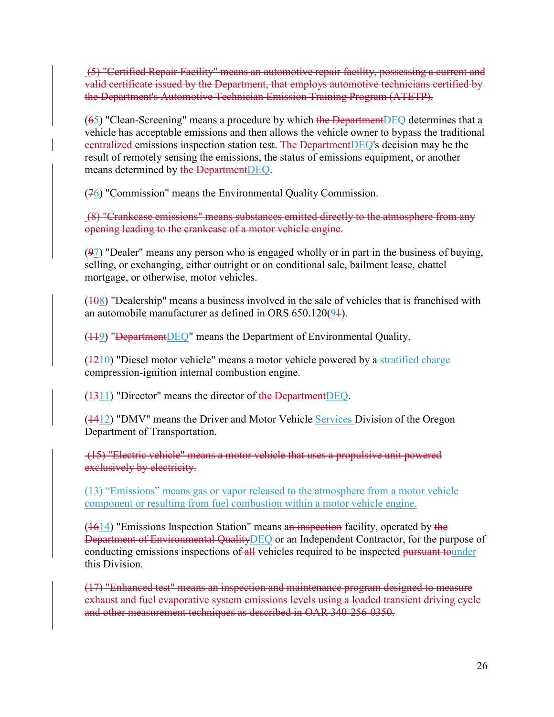(5) "Certified Repair Facility" means an automotive repair facility, possessing a current and valid certificate issued by the Department, that employs automotive technicians certified by the Department's Automotive Technician Emission Training Program (ATETP).

 $(65)$  "Clean-Screening" means a procedure by which the Department DEQ determines that a vehicle has acceptable emissions and then allows the vehicle owner to bypass the traditional centralized emissions inspection station test. The DepartmentDEQ's decision may be the result of remotely sensing the emissions, the status of emissions equipment, or another means determined by the DepartmentDEQ.

 $(76)$  "Commission" means the Environmental Quality Commission.

(8) "Crankcase emissions" means substances emitted directly to the atmosphere from any opening leading to the crankcase of a motor vehicle engine.

(97) "Dealer" means any person who is engaged wholly or in part in the business of buying, selling, or exchanging, either outright or on conditional sale, bailment lease, chattel mortgage, or otherwise, motor vehicles.

 $(108)$  "Dealership" means a business involved in the sale of vehicles that is franchised with an automobile manufacturer as defined in ORS  $650.120(94)$ .

 $(119)$  "DepartmentDEQ" means the Department of Environmental Quality.

(1210) "Diesel motor vehicle" means a motor vehicle powered by a stratified charge compression-ignition internal combustion engine.

 $(1311)$  "Director" means the director of the Department DEQ.

 $(1412)$  "DMV" means the Driver and Motor Vehicle Services Division of the Oregon Department of Transportation.

(15) "Electric vehicle" means a motor vehicle that uses a propulsive unit powered exclusively by electricity.

(13) "Emissions" means gas or vapor released to the atmosphere from a motor vehicle component or resulting from fuel combustion within a motor vehicle engine.

 $(1614)$  "Emissions Inspection Station" means an inspection facility, operated by the Department of Environmental QualityDEQ or an Independent Contractor, for the purpose of conducting emissions inspections of all vehicles required to be inspected pursuant tounder this Division.

(17) "Enhanced test" means an inspection and maintenance program designed to measure exhaust and fuel evaporative system emissions levels using a loaded transient driving cycle and other measurement techniques as described in OAR 340-256-0350.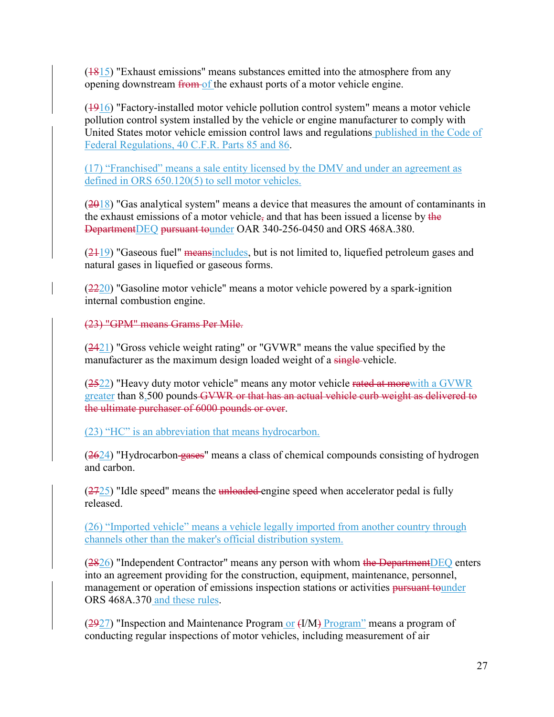$(1815)$  "Exhaust emissions" means substances emitted into the atmosphere from any opening downstream from of the exhaust ports of a motor vehicle engine.

(1916) "Factory-installed motor vehicle pollution control system" means a motor vehicle pollution control system installed by the vehicle or engine manufacturer to comply with United States motor vehicle emission control laws and regulations published in the Code of Federal Regulations, 40 C.F.R. Parts 85 and 86.

(17) "Franchised" means a sale entity licensed by the DMV and under an agreement as defined in ORS 650.120(5) to sell motor vehicles.

 $(2018)$  "Gas analytical system" means a device that measures the amount of contaminants in the exhaust emissions of a motor vehicle, and that has been issued a license by the DepartmentDEQ pursuant tounder OAR 340-256-0450 and ORS 468A.380.

 $(2119)$  "Gaseous fuel" meansincludes, but is not limited to, liquefied petroleum gases and natural gases in liquefied or gaseous forms.

 $(2220)$  "Gasoline motor vehicle" means a motor vehicle powered by a spark-ignition internal combustion engine.

(23) "GPM" means Grams Per Mile.

(2421) "Gross vehicle weight rating" or "GVWR" means the value specified by the manufacturer as the maximum design loaded weight of a single-vehicle.

(2522) "Heavy duty motor vehicle" means any motor vehicle rated at morewith a GVWR greater than 8,500 pounds GVWR or that has an actual vehicle curb weight as delivered to the ultimate purchaser of 6000 pounds or over.

(23) "HC" is an abbreviation that means hydrocarbon.

 $(2624)$  "Hydrocarbon-gases" means a class of chemical compounds consisting of hydrogen and carbon.

 $(2725)$  "Idle speed" means the unloaded engine speed when accelerator pedal is fully released.

(26) "Imported vehicle" means a vehicle legally imported from another country through channels other than the maker's official distribution system.

(2826) "Independent Contractor" means any person with whom the DepartmentDEQ enters into an agreement providing for the construction, equipment, maintenance, personnel, management or operation of emissions inspection stations or activities pursuant tounder ORS 468A.370 and these rules.

 $(2927)$  "Inspection and Maintenance Program or  $(1/M)$  Program" means a program of conducting regular inspections of motor vehicles, including measurement of air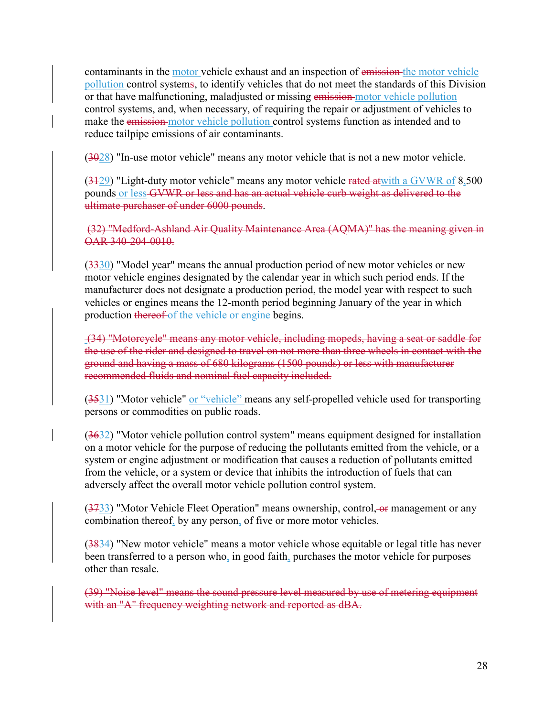contaminants in the motor vehicle exhaust and an inspection of emission the motor vehicle pollution control systems, to identify vehicles that do not meet the standards of this Division or that have malfunctioning, maladjusted or missing emission motor vehicle pollution control systems, and, when necessary, of requiring the repair or adjustment of vehicles to make the emission motor vehicle pollution control systems function as intended and to reduce tailpipe emissions of air contaminants.

 $(3028)$  "In-use motor vehicle" means any motor vehicle that is not a new motor vehicle.

(3129) "Light-duty motor vehicle" means any motor vehicle rated atwith a GVWR of 8,500 pounds or less GVWR or less and has an actual vehicle curb weight as delivered to the ultimate purchaser of under 6000 pounds.

(32) "Medford-Ashland Air Quality Maintenance Area (AQMA)" has the meaning given in OAR 340-204-0010.

 $(3330)$  "Model year" means the annual production period of new motor vehicles or new motor vehicle engines designated by the calendar year in which such period ends. If the manufacturer does not designate a production period, the model year with respect to such vehicles or engines means the 12-month period beginning January of the year in which production thereof of the vehicle or engine begins.

(34) "Motorcycle" means any motor vehicle, including mopeds, having a seat or saddle for the use of the rider and designed to travel on not more than three wheels in contact with the ground and having a mass of 680 kilograms (1500 pounds) or less with manufacturer recommended fluids and nominal fuel capacity included.

(3531) "Motor vehicle" or "vehicle" means any self-propelled vehicle used for transporting persons or commodities on public roads.

(3632) "Motor vehicle pollution control system" means equipment designed for installation on a motor vehicle for the purpose of reducing the pollutants emitted from the vehicle, or a system or engine adjustment or modification that causes a reduction of pollutants emitted from the vehicle, or a system or device that inhibits the introduction of fuels that can adversely affect the overall motor vehicle pollution control system.

 $(3733)$  "Motor Vehicle Fleet Operation" means ownership, control,  $\Theta$  management or any combination thereof, by any person, of five or more motor vehicles.

(3834) "New motor vehicle" means a motor vehicle whose equitable or legal title has never been transferred to a person who, in good faith, purchases the motor vehicle for purposes other than resale.

(39) "Noise level" means the sound pressure level measured by use of metering equipment with an "A" frequency weighting network and reported as dBA.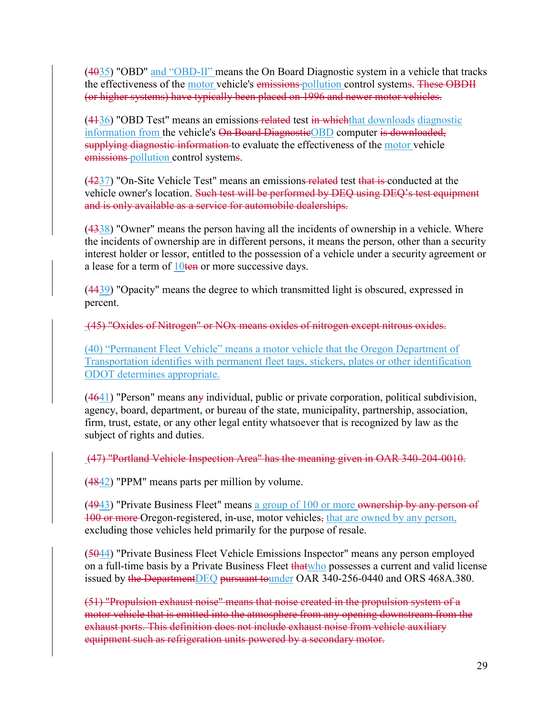$(4035)$  "OBD" and "OBD-II" means the On Board Diagnostic system in a vehicle that tracks the effectiveness of the motor vehicle's emissions pollution control systems. These OBDII (or higher systems) have typically been placed on 1996 and newer motor vehicles.

(4136) "OBD Test" means an emissions related test in whichthat downloads diagnostic information from the vehicle's On Board DiagnosticOBD computer is downloaded, supplying diagnostic information to evaluate the effectiveness of the motor vehicle emissions pollution control systems.

(4237) "On-Site Vehicle Test" means an emissions-related test that is conducted at the vehicle owner's location. Such test will be performed by DEQ using DEQ's test equipment and is only available as a service for automobile dealerships.

(4338) "Owner" means the person having all the incidents of ownership in a vehicle. Where the incidents of ownership are in different persons, it means the person, other than a security interest holder or lessor, entitled to the possession of a vehicle under a security agreement or a lease for a term of  $10 \text{ten}$  or more successive days.

(4439) "Opacity" means the degree to which transmitted light is obscured, expressed in percent.

(45) "Oxides of Nitrogen" or NOx means oxides of nitrogen except nitrous oxides.

(40) "Permanent Fleet Vehicle" means a motor vehicle that the Oregon Department of Transportation identifies with permanent fleet tags, stickers, plates or other identification ODOT determines appropriate.

 $(4641)$  "Person" means any individual, public or private corporation, political subdivision, agency, board, department, or bureau of the state, municipality, partnership, association, firm, trust, estate, or any other legal entity whatsoever that is recognized by law as the subject of rights and duties.

(47) "Portland Vehicle Inspection Area" has the meaning given in OAR 340-204-0010.

 $(4842)$  "PPM" means parts per million by volume.

 $(4943)$  "Private Business Fleet" means a group of 100 or more ownership by any person of 100 or more Oregon-registered, in-use, motor vehicles, that are owned by any person, excluding those vehicles held primarily for the purpose of resale.

(5044) "Private Business Fleet Vehicle Emissions Inspector" means any person employed on a full-time basis by a Private Business Fleet that who possesses a current and valid license issued by the DepartmentDEQ pursuant tounder OAR 340-256-0440 and ORS 468A.380.

(51) "Propulsion exhaust noise" means that noise created in the propulsion system of a motor vehicle that is emitted into the atmosphere from any opening downstream from the exhaust ports. This definition does not include exhaust noise from vehicle auxiliary equipment such as refrigeration units powered by a secondary motor.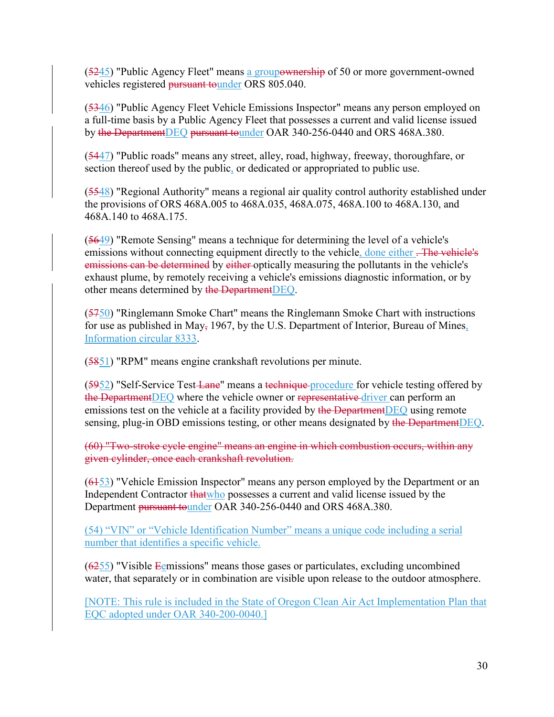(5245) "Public Agency Fleet" means a groupownership of 50 or more government-owned vehicles registered pursuant tounder ORS 805.040.

(5346) "Public Agency Fleet Vehicle Emissions Inspector" means any person employed on a full-time basis by a Public Agency Fleet that possesses a current and valid license issued by the DepartmentDEQ pursuant tounder OAR 340-256-0440 and ORS 468A.380.

(5447) "Public roads" means any street, alley, road, highway, freeway, thoroughfare, or section thereof used by the public, or dedicated or appropriated to public use.

(5548) "Regional Authority" means a regional air quality control authority established under the provisions of ORS 468A.005 to 468A.035, 468A.075, 468A.100 to 468A.130, and 468A.140 to 468A.175.

(5649) "Remote Sensing" means a technique for determining the level of a vehicle's emissions without connecting equipment directly to the vehicle, done either . The vehicle's emissions can be determined by either optically measuring the pollutants in the vehicle's exhaust plume, by remotely receiving a vehicle's emissions diagnostic information, or by other means determined by the DepartmentDEQ.

(5750) "Ringlemann Smoke Chart" means the Ringlemann Smoke Chart with instructions for use as published in May, 1967, by the U.S. Department of Interior, Bureau of Mines, Information circular 8333.

(5851) "RPM" means engine crankshaft revolutions per minute.

(5952) "Self-Service Test-Lane" means a technique-procedure for vehicle testing offered by the Department DEQ where the vehicle owner or representative driver can perform an emissions test on the vehicle at a facility provided by the DepartmentDEQ using remote sensing, plug-in OBD emissions testing, or other means designated by the DepartmentDEQ.

(60) "Two-stroke cycle engine" means an engine in which combustion occurs, within any given cylinder, once each crankshaft revolution.

 $(6453)$  "Vehicle Emission Inspector" means any person employed by the Department or an Independent Contractor that who possesses a current and valid license issued by the Department pursuant tounder OAR 340-256-0440 and ORS 468A.380.

(54) "VIN" or "Vehicle Identification Number" means a unique code including a serial number that identifies a specific vehicle.

 $(6255)$  "Visible Egmissions" means those gases or particulates, excluding uncombined water, that separately or in combination are visible upon release to the outdoor atmosphere.

[NOTE: This rule is included in the State of Oregon Clean Air Act Implementation Plan that EQC adopted under OAR 340-200-0040.]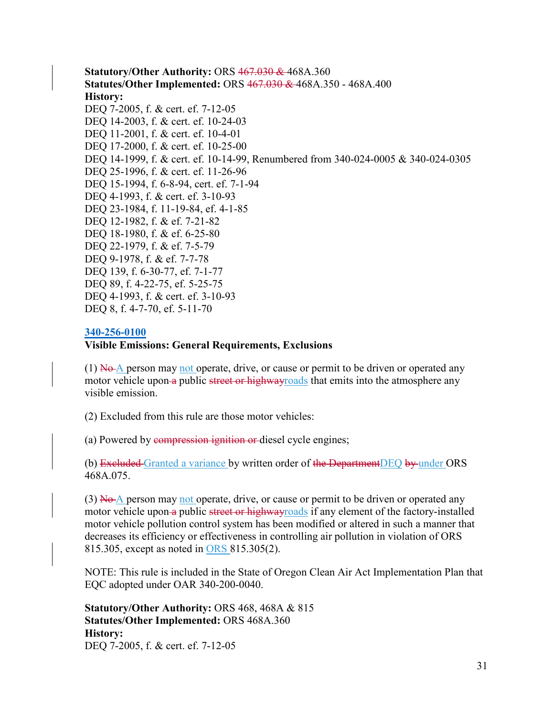**Statutory/Other Authority:** ORS 467.030 & 468A.360 **Statutes/Other Implemented:** ORS 467.030 & 468A.350 - 468A.400 **History:** DEQ 7-2005, f. & cert. ef. 7-12-05 DEQ 14-2003, f. & cert. ef. 10-24-03 DEQ 11-2001, f. & cert. ef. 10-4-01 DEQ 17-2000, f. & cert. ef. 10-25-00 DEQ 14-1999, f. & cert. ef. 10-14-99, Renumbered from 340-024-0005 & 340-024-0305 DEQ 25-1996, f. & cert. ef. 11-26-96 DEQ 15-1994, f. 6-8-94, cert. ef. 7-1-94 DEQ 4-1993, f. & cert. ef. 3-10-93 DEQ 23-1984, f. 11-19-84, ef. 4-1-85 DEQ 12-1982, f. & ef. 7-21-82 DEQ 18-1980, f. & ef. 6-25-80 DEQ 22-1979, f. & ef. 7-5-79 DEQ 9-1978, f. & ef. 7-7-78 DEQ 139, f. 6-30-77, ef. 7-1-77 DEQ 89, f. 4-22-75, ef. 5-25-75 DEQ 4-1993, f. & cert. ef. 3-10-93 DEQ 8, f. 4-7-70, ef. 5-11-70

#### **[340-256-0100](https://secure.sos.state.or.us/oard/viewSingleRule.action;JSESSIONID_OARD=3oxlIc6PZ2u31uGO2th2u9088A2Kqarcjab6TLjYb7s3a0O-i4hx!143575988?ruleVrsnRsn=75722)**

#### **Visible Emissions: General Requirements, Exclusions**

(1)  $N\theta$  person may not operate, drive, or cause or permit to be driven or operated any motor vehicle upon-a public street or highway roads that emits into the atmosphere any visible emission.

(2) Excluded from this rule are those motor vehicles:

(a) Powered by compression ignition or diesel cycle engines;

(b) Excluded Granted a variance by written order of the DepartmentDEQ by under ORS 468A.075.

 $(3)$  No A person may not operate, drive, or cause or permit to be driven or operated any motor vehicle upon a public street or highwayroads if any element of the factory-installed motor vehicle pollution control system has been modified or altered in such a manner that decreases its efficiency or effectiveness in controlling air pollution in violation of ORS 815.305, except as noted in ORS 815.305(2).

NOTE: This rule is included in the State of Oregon Clean Air Act Implementation Plan that EQC adopted under OAR 340-200-0040.

**Statutory/Other Authority:** ORS 468, 468A & 815 **Statutes/Other Implemented:** ORS 468A.360 **History:** DEQ 7-2005, f. & cert. ef. 7-12-05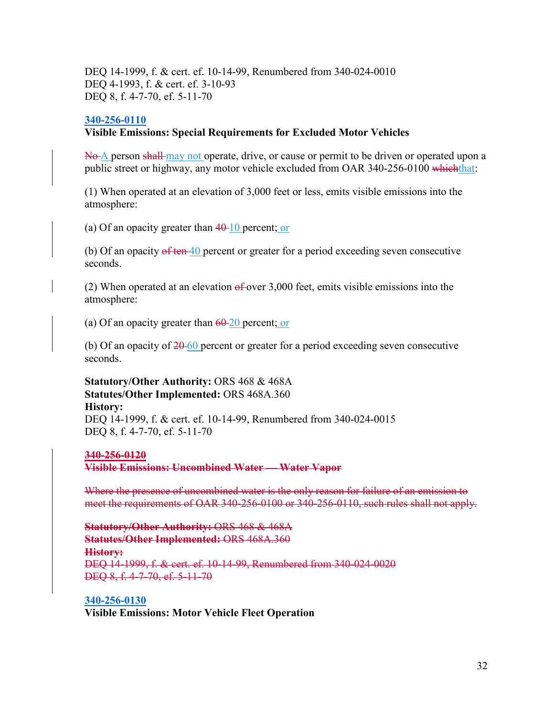DEQ 14-1999, f. & cert. ef. 10-14-99, Renumbered from 340-024-0010 DEQ 4-1993, f. & cert. ef. 3-10-93 DEQ 8, f. 4-7-70, ef. 5-11-70

#### **[340-256-0110](https://secure.sos.state.or.us/oard/viewSingleRule.action;JSESSIONID_OARD=3oxlIc6PZ2u31uGO2th2u9088A2Kqarcjab6TLjYb7s3a0O-i4hx!143575988?ruleVrsnRsn=75726)**

#### **Visible Emissions: Special Requirements for Excluded Motor Vehicles**

No A person shall may not operate, drive, or cause or permit to be driven or operated upon a public street or highway, any motor vehicle excluded from OAR 340-256-0100 which that:

(1) When operated at an elevation of 3,000 feet or less, emits visible emissions into the atmosphere:

(a) Of an opacity greater than  $40-10$  percent; or

(b) Of an opacity  $\theta$  ten  $\overline{40}$  percent or greater for a period exceeding seven consecutive seconds.

(2) When operated at an elevation  $\theta$  fover 3,000 feet, emits visible emissions into the atmosphere:

(a) Of an opacity greater than  $60-20$  percent; or

(b) Of an opacity of  $20-60$  percent or greater for a period exceeding seven consecutive seconds.

**Statutory/Other Authority:** ORS 468 & 468A **Statutes/Other Implemented:** ORS 468A.360 **History:** DEQ 14-1999, f. & cert. ef. 10-14-99, Renumbered from 340-024-0015 DEQ 8, f. 4-7-70, ef. 5-11-70

#### **340-256-0120**

**Visible Emissions: Uncombined Water — Water Vapor**

Where the presence of uncombined water is the only reason for failure of an emission to meet the requirements of OAR 340-256-0100 or 340-256-0110, such rules shall not apply.

**Statutory/Other Authority:** ORS 468 & 468A **Statutes/Other Implemented:** ORS 468A.360 **History:** DEQ 14-1999, f. & cert. ef. 10-14-99, Renumbered from 340-024-0020 DEQ 8, f. 4-7-70, ef. 5-11-70

**[340-256-0130](https://secure.sos.state.or.us/oard/viewSingleRule.action;JSESSIONID_OARD=3oxlIc6PZ2u31uGO2th2u9088A2Kqarcjab6TLjYb7s3a0O-i4hx!143575988?ruleVrsnRsn=75730)**

**Visible Emissions: Motor Vehicle Fleet Operation**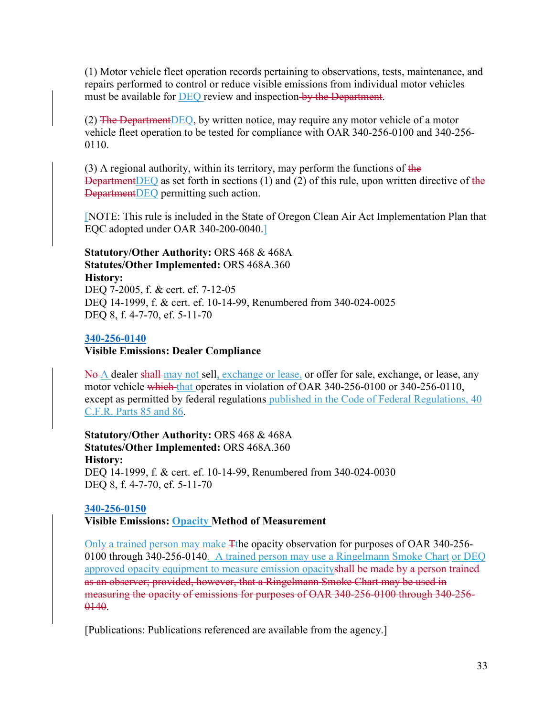(1) Motor vehicle fleet operation records pertaining to observations, tests, maintenance, and repairs performed to control or reduce visible emissions from individual motor vehicles must be available for DEQ review and inspection by the Department.

(2) The Department  $DEQ$ , by written notice, may require any motor vehicle of a motor vehicle fleet operation to be tested for compliance with OAR 340-256-0100 and 340-256- 0110.

(3) A regional authority, within its territory, may perform the functions of the DepartmentDEQ as set forth in sections  $(1)$  and  $(2)$  of this rule, upon written directive of the DepartmentDEQ permitting such action.

[NOTE: This rule is included in the State of Oregon Clean Air Act Implementation Plan that EQC adopted under OAR 340-200-0040.]

### **Statutory/Other Authority:** ORS 468 & 468A **Statutes/Other Implemented:** ORS 468A.360 **History:**

DEQ 7-2005, f. & cert. ef. 7-12-05 DEQ 14-1999, f. & cert. ef. 10-14-99, Renumbered from 340-024-0025 DEQ 8, f. 4-7-70, ef. 5-11-70

### **[340-256-0140](https://secure.sos.state.or.us/oard/viewSingleRule.action;JSESSIONID_OARD=3oxlIc6PZ2u31uGO2th2u9088A2Kqarcjab6TLjYb7s3a0O-i4hx!143575988?ruleVrsnRsn=75733)**

#### **Visible Emissions: Dealer Compliance**

No A dealer shall may not sell, exchange or lease, or offer for sale, exchange, or lease, any motor vehicle which that operates in violation of OAR 340-256-0100 or 340-256-0110, except as permitted by federal regulations published in the Code of Federal Regulations, 40 C.F.R. Parts 85 and 86.

**Statutory/Other Authority:** ORS 468 & 468A **Statutes/Other Implemented:** ORS 468A.360 **History:** DEQ 14-1999, f. & cert. ef. 10-14-99, Renumbered from 340-024-0030 DEQ 8, f. 4-7-70, ef. 5-11-70

### **[340-256-0150](https://secure.sos.state.or.us/oard/viewSingleRule.action;JSESSIONID_OARD=3oxlIc6PZ2u31uGO2th2u9088A2Kqarcjab6TLjYb7s3a0O-i4hx!143575988?ruleVrsnRsn=248690)**

**Visible Emissions: Opacity Method of Measurement**

Only a trained person may make Tthe opacity observation for purposes of OAR 340-256- 0100 through 340-256-0140. A trained person may use a Ringelmann Smoke Chart or DEQ approved opacity equipment to measure emission opacityshall be made by a person trained as an observer; provided, however, that a Ringelmann Smoke Chart may be used in measuring the opacity of emissions for purposes of OAR 340-256-0100 through 340-256- 0140.

[Publications: Publications referenced are available from the agency.]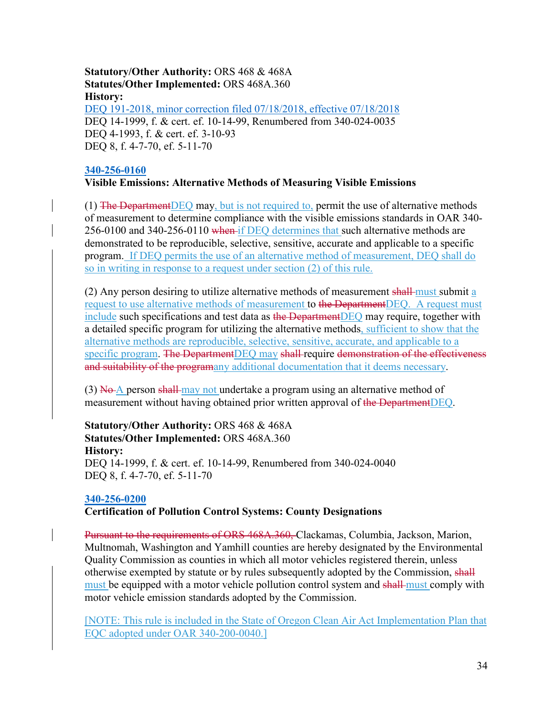**Statutory/Other Authority:** ORS 468 & 468A **Statutes/Other Implemented:** ORS 468A.360 **History:** [DEQ 191-2018, minor correction filed 07/18/2018, effective 07/18/2018](https://secure.sos.state.or.us/oard/viewReceiptPDF.action;JSESSIONID_OARD=3oxlIc6PZ2u31uGO2th2u9088A2Kqarcjab6TLjYb7s3a0O-i4hx!143575988?filingRsn=38760) DEQ 14-1999, f. & cert. ef. 10-14-99, Renumbered from 340-024-0035 DEQ 4-1993, f. & cert. ef. 3-10-93 DEQ 8, f. 4-7-70, ef. 5-11-70

#### **[340-256-0160](https://secure.sos.state.or.us/oard/viewSingleRule.action;JSESSIONID_OARD=3oxlIc6PZ2u31uGO2th2u9088A2Kqarcjab6TLjYb7s3a0O-i4hx!143575988?ruleVrsnRsn=75738)**

#### **Visible Emissions: Alternative Methods of Measuring Visible Emissions**

 $(1)$  The Department DEQ may, but is not required to, permit the use of alternative methods of measurement to determine compliance with the visible emissions standards in OAR 340- 256-0100 and 340-256-0110 when if DEQ determines that such alternative methods are demonstrated to be reproducible, selective, sensitive, accurate and applicable to a specific program. If DEQ permits the use of an alternative method of measurement, DEQ shall do so in writing in response to a request under section (2) of this rule.

(2) Any person desiring to utilize alternative methods of measurement shall-must submit  $\alpha$ request to use alternative methods of measurement to the DepartmentDEQ. A request must include such specifications and test data as the DepartmentDEQ may require, together with a detailed specific program for utilizing the alternative methods, sufficient to show that the alternative methods are reproducible, selective, sensitive, accurate, and applicable to a specific program. The DepartmentDEQ may shall require demonstration of the effectiveness and suitability of the programany additional documentation that it deems necessary.

(3)  $\overline{No}$  A person shall-may not undertake a program using an alternative method of measurement without having obtained prior written approval of the DepartmentDEQ.

**Statutory/Other Authority:** ORS 468 & 468A **Statutes/Other Implemented:** ORS 468A.360 **History:** DEQ 14-1999, f. & cert. ef. 10-14-99, Renumbered from 340-024-0040 DEQ 8, f. 4-7-70, ef. 5-11-70

#### **[340-256-0200](https://secure.sos.state.or.us/oard/viewSingleRule.action;JSESSIONID_OARD=3oxlIc6PZ2u31uGO2th2u9088A2Kqarcjab6TLjYb7s3a0O-i4hx!143575988?ruleVrsnRsn=75740)**

#### **Certification of Pollution Control Systems: County Designations**

Pursuant to the requirements of ORS 468A.360, Clackamas, Columbia, Jackson, Marion, Multnomah, Washington and Yamhill counties are hereby designated by the Environmental Quality Commission as counties in which all motor vehicles registered therein, unless otherwise exempted by statute or by rules subsequently adopted by the Commission, shall must be equipped with a motor vehicle pollution control system and shall must comply with motor vehicle emission standards adopted by the Commission.

[NOTE: This rule is included in the State of Oregon Clean Air Act Implementation Plan that EQC adopted under OAR 340-200-0040.]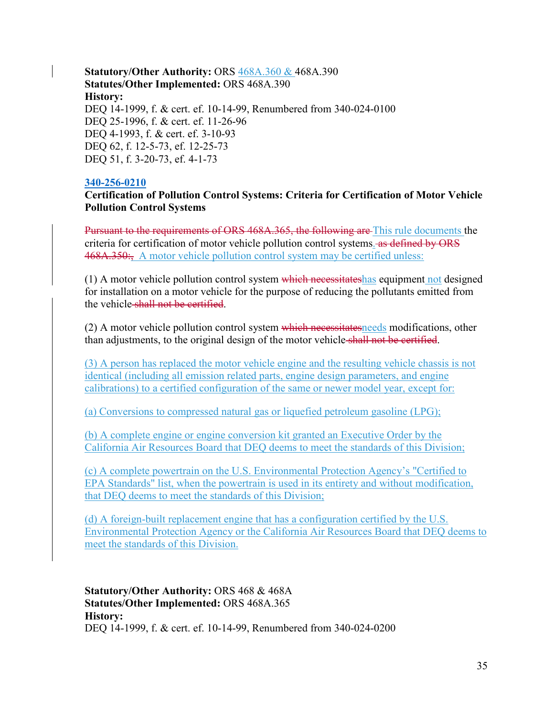**Statutory/Other Authority:** ORS 468A.360 & 468A.390 **Statutes/Other Implemented:** ORS 468A.390 **History:** DEQ 14-1999, f. & cert. ef. 10-14-99, Renumbered from 340-024-0100 DEQ 25-1996, f. & cert. ef. 11-26-96 DEQ 4-1993, f. & cert. ef. 3-10-93 DEQ 62, f. 12-5-73, ef. 12-25-73 DEQ 51, f. 3-20-73, ef. 4-1-73

#### **[340-256-0210](https://secure.sos.state.or.us/oard/viewSingleRule.action;JSESSIONID_OARD=3oxlIc6PZ2u31uGO2th2u9088A2Kqarcjab6TLjYb7s3a0O-i4hx!143575988?ruleVrsnRsn=75745)**

#### **Certification of Pollution Control Systems: Criteria for Certification of Motor Vehicle Pollution Control Systems**

Pursuant to the requirements of ORS 468A.365, the following are This rule documents the criteria for certification of motor vehicle pollution control systems. as defined by ORS 468A.350:, A motor vehicle pollution control system may be certified unless:

(1) A motor vehicle pollution control system which necessitateshas equipment not designed for installation on a motor vehicle for the purpose of reducing the pollutants emitted from the vehicle shall not be certified.

(2) A motor vehicle pollution control system which necessitates needs modifications, other than adjustments, to the original design of the motor vehicle shall not be certified.

(3) A person has replaced the motor vehicle engine and the resulting vehicle chassis is not identical (including all emission related parts, engine design parameters, and engine calibrations) to a certified configuration of the same or newer model year, except for:

(a) Conversions to compressed natural gas or liquefied petroleum gasoline (LPG);

(b) A complete engine or engine conversion kit granted an Executive Order by the California Air Resources Board that DEQ deems to meet the standards of this Division;

(c) A complete powertrain on the U.S. Environmental Protection Agency's "Certified to EPA Standards" list, when the powertrain is used in its entirety and without modification, that DEQ deems to meet the standards of this Division;

(d) A foreign-built replacement engine that has a configuration certified by the U.S. Environmental Protection Agency or the California Air Resources Board that DEQ deems to meet the standards of this Division.

**Statutory/Other Authority:** ORS 468 & 468A **Statutes/Other Implemented:** ORS 468A.365 **History:** DEQ 14-1999, f. & cert. ef. 10-14-99, Renumbered from 340-024-0200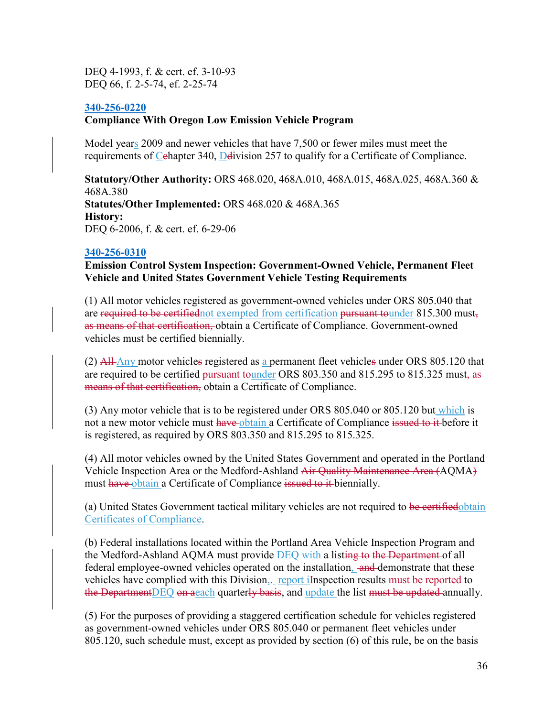DEQ 4-1993, f. & cert. ef. 3-10-93 DEQ 66, f. 2-5-74, ef. 2-25-74

#### **[340-256-0220](https://secure.sos.state.or.us/oard/viewSingleRule.action;JSESSIONID_OARD=3oxlIc6PZ2u31uGO2th2u9088A2Kqarcjab6TLjYb7s3a0O-i4hx!143575988?ruleVrsnRsn=75748)**

#### **Compliance With Oregon Low Emission Vehicle Program**

Model years 2009 and newer vehicles that have 7,500 or fewer miles must meet the requirements of Cehapter 340, Delivision 257 to qualify for a Certificate of Compliance.

**Statutory/Other Authority:** ORS 468.020, 468A.010, 468A.015, 468A.025, 468A.360 & 468A.380 **Statutes/Other Implemented:** ORS 468.020 & 468A.365 **History:** DEQ 6-2006, f. & cert. ef. 6-29-06

#### **[340-256-0310](https://secure.sos.state.or.us/oard/viewSingleRule.action;JSESSIONID_OARD=3oxlIc6PZ2u31uGO2th2u9088A2Kqarcjab6TLjYb7s3a0O-i4hx!143575988?ruleVrsnRsn=75750)**

**Emission Control System Inspection: Government-Owned Vehicle, Permanent Fleet Vehicle and United States Government Vehicle Testing Requirements**

(1) All motor vehicles registered as government-owned vehicles under ORS 805.040 that are required to be certified not exempted from certification pursuant tounder 815.300 must, as means of that certification, obtain a Certificate of Compliance. Government-owned vehicles must be certified biennially.

(2) All Any motor vehicles registered as a permanent fleet vehicles under ORS 805.120 that are required to be certified pursuant tounder ORS 803.350 and 815.295 to 815.325 must, as means of that certification, obtain a Certificate of Compliance.

(3) Any motor vehicle that is to be registered under ORS 805.040 or 805.120 but which is not a new motor vehicle must have-obtain a Certificate of Compliance issued to it before it is registered, as required by ORS 803.350 and 815.295 to 815.325.

(4) All motor vehicles owned by the United States Government and operated in the Portland Vehicle Inspection Area or the Medford-Ashland Air Quality Maintenance Area (AQMA) must have obtain a Certificate of Compliance issued to it biennially.

(a) United States Government tactical military vehicles are not required to be certifiedobtain Certificates of Compliance.

(b) Federal installations located within the Portland Area Vehicle Inspection Program and the Medford-Ashland AQMA must provide **DEQ** with a listing to the Department of all federal employee-owned vehicles operated on the installation, and demonstrate that these vehicles have complied with this Division,.-report inspection results must be reported to the Department DEQ on a each quarterly basis, and update the list must be updated annually.

(5) For the purposes of providing a staggered certification schedule for vehicles registered as government-owned vehicles under ORS 805.040 or permanent fleet vehicles under 805.120, such schedule must, except as provided by section (6) of this rule, be on the basis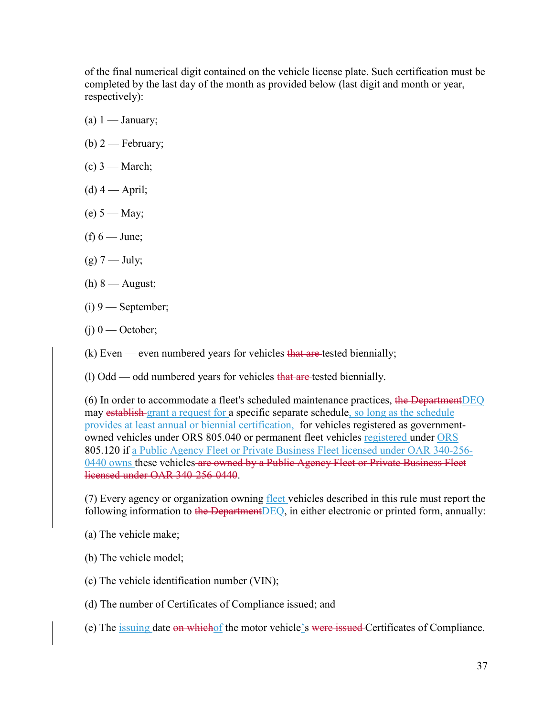of the final numerical digit contained on the vehicle license plate. Such certification must be completed by the last day of the month as provided below (last digit and month or year, respectively):

- (a)  $1 -$  January;
- (b)  $2$  February;
- $(c)$  3 March;
- $(d)$  4 April;
- $(e) 5 May;$
- (f)  $6$  June;
- $(g)$  7 July;
- $(h) 8 -$ August;
- $(i)$  9 September;
- $(i)$  0 October;
- (k) Even even numbered years for vehicles that are tested biennially;

(1) Odd — odd numbered years for vehicles that are tested biennially.

(6) In order to accommodate a fleet's scheduled maintenance practices, the Department DEQ may establish grant a request for a specific separate schedule, so long as the schedule provides at least annual or biennial certification, for vehicles registered as governmentowned vehicles under ORS 805.040 or permanent fleet vehicles registered under ORS 805.120 if a Public Agency Fleet or Private Business Fleet licensed under OAR 340-256- 0440 owns these vehicles are owned by a Public Agency Fleet or Private Business Fleet licensed under OAR 340-256-0440.

(7) Every agency or organization owning fleet vehicles described in this rule must report the following information to the DepartmentDEQ, in either electronic or printed form, annually:

(a) The vehicle make;

(b) The vehicle model;

- (c) The vehicle identification number (VIN);
- (d) The number of Certificates of Compliance issued; and
- (e) The <u>issuing</u> date on whichof the motor vehicle's were issued Certificates of Compliance.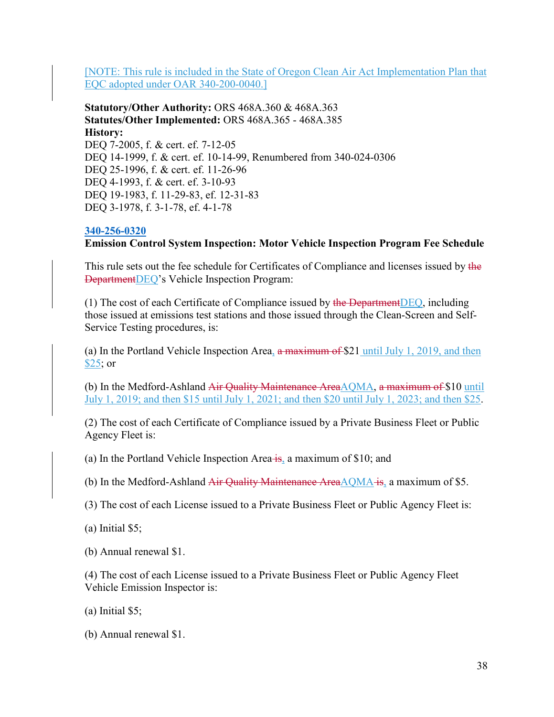[NOTE: This rule is included in the State of Oregon Clean Air Act Implementation Plan that EQC adopted under OAR 340-200-0040.]

**Statutory/Other Authority:** ORS 468A.360 & 468A.363 **Statutes/Other Implemented:** ORS 468A.365 - 468A.385 **History:** DEQ 7-2005, f. & cert. ef. 7-12-05 DEQ 14-1999, f. & cert. ef. 10-14-99, Renumbered from 340-024-0306 DEQ 25-1996, f. & cert. ef. 11-26-96 DEQ 4-1993, f. & cert. ef. 3-10-93 DEQ 19-1983, f. 11-29-83, ef. 12-31-83 DEQ 3-1978, f. 3-1-78, ef. 4-1-78

# **[340-256-0320](https://secure.sos.state.or.us/oard/viewSingleRule.action;JSESSIONID_OARD=3oxlIc6PZ2u31uGO2th2u9088A2Kqarcjab6TLjYb7s3a0O-i4hx!143575988?ruleVrsnRsn=75756)**

**Emission Control System Inspection: Motor Vehicle Inspection Program Fee Schedule**

This rule sets out the fee schedule for Certificates of Compliance and licenses issued by the DepartmentDEQ's Vehicle Inspection Program:

(1) The cost of each Certificate of Compliance issued by the Department DEQ, including those issued at emissions test stations and those issued through the Clean-Screen and Self-Service Testing procedures, is:

(a) In the Portland Vehicle Inspection Area,  $\frac{a}{b}$  maximum of \$21 until July 1, 2019, and then \$25; or

(b) In the Medford-Ashland Air Quality Maintenance Area $AQMA$ , a maximum of \$10 until July 1, 2019; and then \$15 until July 1, 2021; and then \$20 until July 1, 2023; and then \$25.

(2) The cost of each Certificate of Compliance issued by a Private Business Fleet or Public Agency Fleet is:

(a) In the Portland Vehicle Inspection Area  $\frac{1}{18}$ , a maximum of \$10; and

(b) In the Medford-Ashland Air Quality Maintenance Area $\triangle QMA$  is, a maximum of \$5.

(3) The cost of each License issued to a Private Business Fleet or Public Agency Fleet is:

(a) Initial \$5;

(b) Annual renewal \$1.

(4) The cost of each License issued to a Private Business Fleet or Public Agency Fleet Vehicle Emission Inspector is:

(a) Initial \$5;

(b) Annual renewal \$1.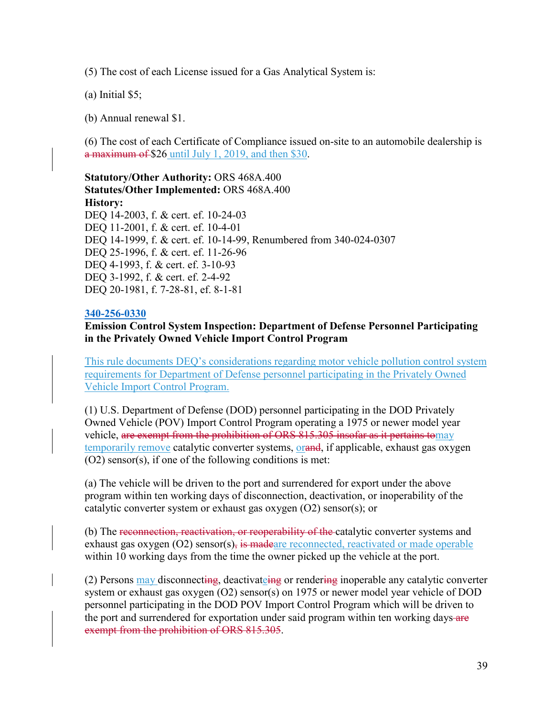(5) The cost of each License issued for a Gas Analytical System is:

(a) Initial \$5;

(b) Annual renewal \$1.

(6) The cost of each Certificate of Compliance issued on-site to an automobile dealership is a maximum of \$26 until July 1, 2019, and then \$30.

**Statutory/Other Authority:** ORS 468A.400 **Statutes/Other Implemented:** ORS 468A.400 **History:** DEQ 14-2003, f. & cert. ef. 10-24-03 DEQ 11-2001, f. & cert. ef. 10-4-01 DEQ 14-1999, f. & cert. ef. 10-14-99, Renumbered from 340-024-0307 DEQ 25-1996, f. & cert. ef. 11-26-96 DEQ 4-1993, f. & cert. ef. 3-10-93 DEQ 3-1992, f. & cert. ef. 2-4-92 DEQ 20-1981, f. 7-28-81, ef. 8-1-81

#### **[340-256-0330](https://secure.sos.state.or.us/oard/viewSingleRule.action;JSESSIONID_OARD=3oxlIc6PZ2u31uGO2th2u9088A2Kqarcjab6TLjYb7s3a0O-i4hx!143575988?ruleVrsnRsn=75763)**

### **Emission Control System Inspection: Department of Defense Personnel Participating in the Privately Owned Vehicle Import Control Program**

This rule documents DEQ's considerations regarding motor vehicle pollution control system requirements for Department of Defense personnel participating in the Privately Owned Vehicle Import Control Program.

(1) U.S. Department of Defense (DOD) personnel participating in the DOD Privately Owned Vehicle (POV) Import Control Program operating a 1975 or newer model year vehicle, are exempt from the prohibition of ORS 815.305 insofar as it pertains tomay temporarily remove catalytic converter systems, orand, if applicable, exhaust gas oxygen (O2) sensor(s), if one of the following conditions is met:

(a) The vehicle will be driven to the port and surrendered for export under the above program within ten working days of disconnection, deactivation, or inoperability of the catalytic converter system or exhaust gas oxygen (O2) sensor(s); or

(b) The reconnection, reactivation, or reoperability of the catalytic converter systems and exhaust gas oxygen  $(O2)$  sensor $(s)$ , is madeare reconnected, reactivated or made operable within 10 working days from the time the owner picked up the vehicle at the port.

(2) Persons may disconnecting, deactivateing or rendering inoperable any catalytic converter system or exhaust gas oxygen (O2) sensor(s) on 1975 or newer model year vehicle of DOD personnel participating in the DOD POV Import Control Program which will be driven to the port and surrendered for exportation under said program within ten working days-are exempt from the prohibition of ORS 815.305.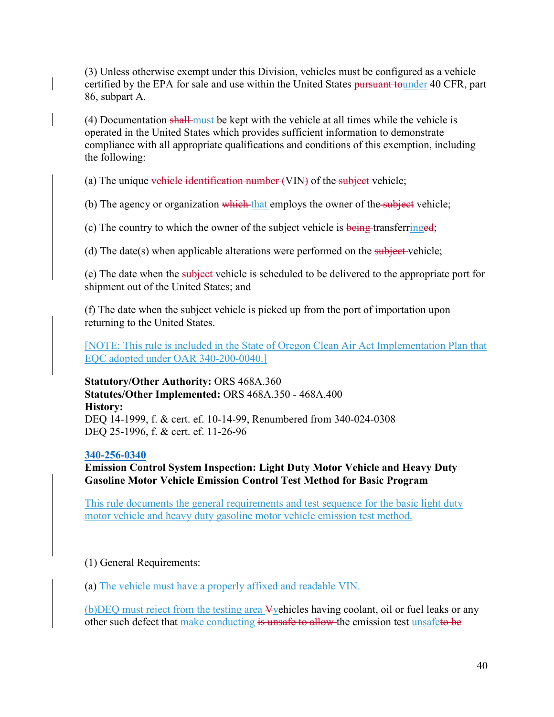(3) Unless otherwise exempt under this Division, vehicles must be configured as a vehicle certified by the EPA for sale and use within the United States pursuant tounder 40 CFR, part 86, subpart A.

(4) Documentation shall must be kept with the vehicle at all times while the vehicle is operated in the United States which provides sufficient information to demonstrate compliance with all appropriate qualifications and conditions of this exemption, including the following:

(a) The unique vehicle identification number  $(VIN)$  of the subject vehicle;

(b) The agency or organization which that employs the owner of the subject vehicle;

(c) The country to which the owner of the subject vehicle is being transferringed;

(d) The date(s) when applicable alterations were performed on the subject-vehicle;

(e) The date when the subject vehicle is scheduled to be delivered to the appropriate port for shipment out of the United States; and

(f) The date when the subject vehicle is picked up from the port of importation upon returning to the United States.

[NOTE: This rule is included in the State of Oregon Clean Air Act Implementation Plan that EQC adopted under OAR 340-200-0040.]

**Statutory/Other Authority:** ORS 468A.360 **Statutes/Other Implemented:** ORS 468A.350 - 468A.400 **History:** DEQ 14-1999, f. & cert. ef. 10-14-99, Renumbered from 340-024-0308 DEQ 25-1996, f. & cert. ef. 11-26-96

### **[340-256-0340](https://secure.sos.state.or.us/oard/viewSingleRule.action;JSESSIONID_OARD=3oxlIc6PZ2u31uGO2th2u9088A2Kqarcjab6TLjYb7s3a0O-i4hx!143575988?ruleVrsnRsn=244586)**

**Emission Control System Inspection: Light Duty Motor Vehicle and Heavy Duty Gasoline Motor Vehicle Emission Control Test Method for Basic Program**

This rule documents the general requirements and test sequence for the basic light duty motor vehicle and heavy duty gasoline motor vehicle emission test method.

# (1) General Requirements:

(a) The vehicle must have a properly affixed and readable VIN.

(b)DEQ must reject from the testing area Vvehicles having coolant, oil or fuel leaks or any other such defect that make conducting is unsafe to allow the emission test unsafeto be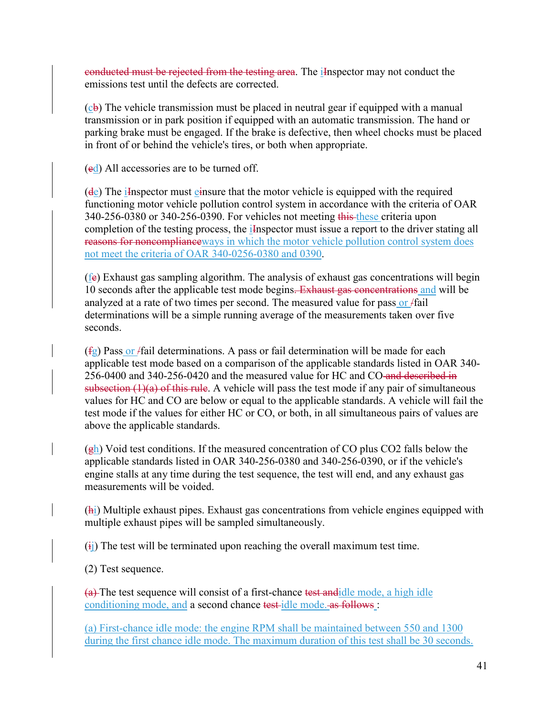conducted must be rejected from the testing area. The *I*-Inspector may not conduct the emissions test until the defects are corrected.

 $(c<sub>b</sub>)$  The vehicle transmission must be placed in neutral gear if equipped with a manual transmission or in park position if equipped with an automatic transmission. The hand or parking brake must be engaged. If the brake is defective, then wheel chocks must be placed in front of or behind the vehicle's tires, or both when appropriate.

 $\text{ (ed)}$  All accessories are to be turned off.

(de) The iInspector must einsure that the motor vehicle is equipped with the required functioning motor vehicle pollution control system in accordance with the criteria of OAR 340-256-0380 or 340-256-0390. For vehicles not meeting this these criteria upon completion of the testing process, the *i*Inspector must issue a report to the driver stating all reasons for noncomplianceways in which the motor vehicle pollution control system does not meet the criteria of OAR 340-0256-0380 and 0390.

(fe) Exhaust gas sampling algorithm. The analysis of exhaust gas concentrations will begin 10 seconds after the applicable test mode begins. Exhaust gas concentrations and will be analyzed at a rate of two times per second. The measured value for pass or *fail* determinations will be a simple running average of the measurements taken over five seconds.

 $(f<sub>g</sub>)$  Pass or *f* fail determinations. A pass or fail determination will be made for each applicable test mode based on a comparison of the applicable standards listed in OAR 340- 256-0400 and 340-256-0420 and the measured value for HC and CO and described in subsection  $(1)(a)$  of this rule. A vehicle will pass the test mode if any pair of simultaneous values for HC and CO are below or equal to the applicable standards. A vehicle will fail the test mode if the values for either HC or CO, or both, in all simultaneous pairs of values are above the applicable standards.

 $(g_h)$  Void test conditions. If the measured concentration of CO plus CO2 falls below the applicable standards listed in OAR 340-256-0380 and 340-256-0390, or if the vehicle's engine stalls at any time during the test sequence, the test will end, and any exhaust gas measurements will be voided.

(hi) Multiple exhaust pipes. Exhaust gas concentrations from vehicle engines equipped with multiple exhaust pipes will be sampled simultaneously.

 $(i)$  The test will be terminated upon reaching the overall maximum test time.

(2) Test sequence.

 $(a)$  The test sequence will consist of a first-chance test andidle mode, a high idle conditioning mode, and a second chance test idle mode. as follows :

(a) First-chance idle mode: the engine RPM shall be maintained between 550 and 1300 during the first chance idle mode. The maximum duration of this test shall be 30 seconds.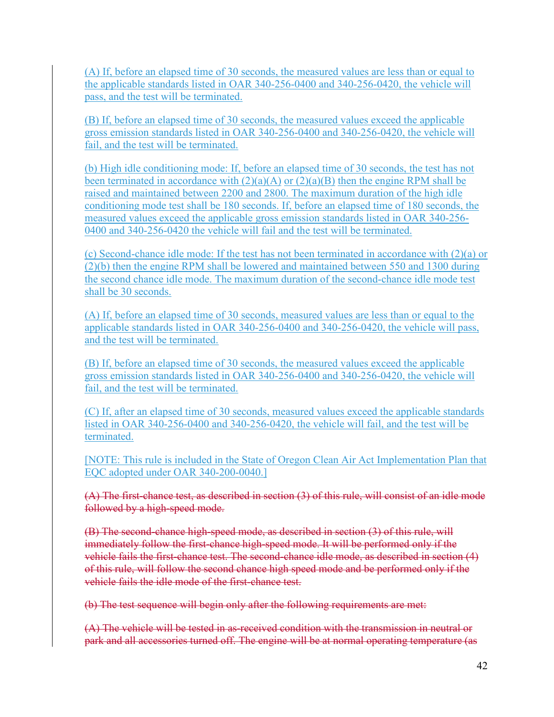(A) If, before an elapsed time of 30 seconds, the measured values are less than or equal to the applicable standards listed in OAR 340-256-0400 and 340-256-0420, the vehicle will pass, and the test will be terminated.

(B) If, before an elapsed time of 30 seconds, the measured values exceed the applicable gross emission standards listed in OAR 340-256-0400 and 340-256-0420, the vehicle will fail, and the test will be terminated.

(b) High idle conditioning mode: If, before an elapsed time of 30 seconds, the test has not been terminated in accordance with  $(2)(a)(A)$  or  $(2)(a)(B)$  then the engine RPM shall be raised and maintained between 2200 and 2800. The maximum duration of the high idle conditioning mode test shall be 180 seconds. If, before an elapsed time of 180 seconds, the measured values exceed the applicable gross emission standards listed in OAR 340-256- 0400 and 340-256-0420 the vehicle will fail and the test will be terminated.

(c) Second-chance idle mode: If the test has not been terminated in accordance with (2)(a) or (2)(b) then the engine RPM shall be lowered and maintained between 550 and 1300 during the second chance idle mode. The maximum duration of the second-chance idle mode test shall be 30 seconds.

(A) If, before an elapsed time of 30 seconds, measured values are less than or equal to the applicable standards listed in OAR 340-256-0400 and 340-256-0420, the vehicle will pass, and the test will be terminated.

(B) If, before an elapsed time of 30 seconds, the measured values exceed the applicable gross emission standards listed in OAR 340-256-0400 and 340-256-0420, the vehicle will fail, and the test will be terminated.

(C) If, after an elapsed time of 30 seconds, measured values exceed the applicable standards listed in OAR 340-256-0400 and 340-256-0420, the vehicle will fail, and the test will be terminated.

[NOTE: This rule is included in the State of Oregon Clean Air Act Implementation Plan that EQC adopted under OAR 340-200-0040.]

(A) The first-chance test, as described in section (3) of this rule, will consist of an idle mode followed by a high-speed mode.

(B) The second-chance high-speed mode, as described in section (3) of this rule, will immediately follow the first-chance high-speed mode. It will be performed only if the vehicle fails the first-chance test. The second-chance idle mode, as described in section (4) of this rule, will follow the second chance high speed mode and be performed only if the vehicle fails the idle mode of the first-chance test.

(b) The test sequence will begin only after the following requirements are met:

(A) The vehicle will be tested in as-received condition with the transmission in neutral or park and all accessories turned off. The engine will be at normal operating temperature (as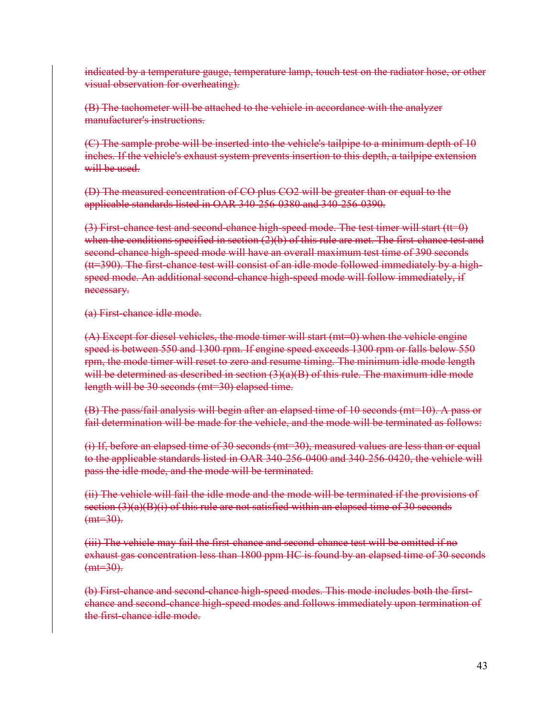indicated by a temperature gauge, temperature lamp, touch test on the radiator hose, or other visual observation for overheating).

(B) The tachometer will be attached to the vehicle in accordance with the analyzer manufacturer's instructions.

(C) The sample probe will be inserted into the vehicle's tailpipe to a minimum depth of 10 inches. If the vehicle's exhaust system prevents insertion to this depth, a tailpipe extension will be used.

(D) The measured concentration of CO plus CO2 will be greater than or equal to the applicable standards listed in OAR 340-256-0380 and 340-256-0390.

(3) First-chance test and second-chance high-speed mode. The test timer will start (tt=0) when the conditions specified in section  $(2)(b)$  of this rule are met. The first-chance test and second-chance high-speed mode will have an overall maximum test time of 390 seconds (tt=390). The first-chance test will consist of an idle mode followed immediately by a highspeed mode. An additional second-chance high-speed mode will follow immediately, if necessary.

(a) First-chance idle mode.

(A) Except for diesel vehicles, the mode timer will start (mt=0) when the vehicle engine speed is between 550 and 1300 rpm. If engine speed exceeds 1300 rpm or falls below 550 rpm, the mode timer will reset to zero and resume timing. The minimum idle mode length will be determined as described in section (3)(a)(B) of this rule. The maximum idle mode length will be 30 seconds (mt=30) elapsed time.

(B) The pass/fail analysis will begin after an elapsed time of 10 seconds (mt=10). A pass or fail determination will be made for the vehicle, and the mode will be terminated as follows:

(i) If, before an elapsed time of 30 seconds (mt=30), measured values are less than or equal to the applicable standards listed in OAR 340-256-0400 and 340-256-0420, the vehicle will pass the idle mode, and the mode will be terminated.

(ii) The vehicle will fail the idle mode and the mode will be terminated if the provisions of section  $(3)(a)(B)(i)$  of this rule are not satisfied within an elapsed time of 30 seconds  $(mt=30)$ .

(iii) The vehicle may fail the first-chance and second-chance test will be omitted if no exhaust gas concentration less than 1800 ppm HC is found by an elapsed time of 30 seconds  $(mt=30)$ .

(b) First-chance and second-chance high-speed modes. This mode includes both the firstchance and second-chance high-speed modes and follows immediately upon termination of the first-chance idle mode.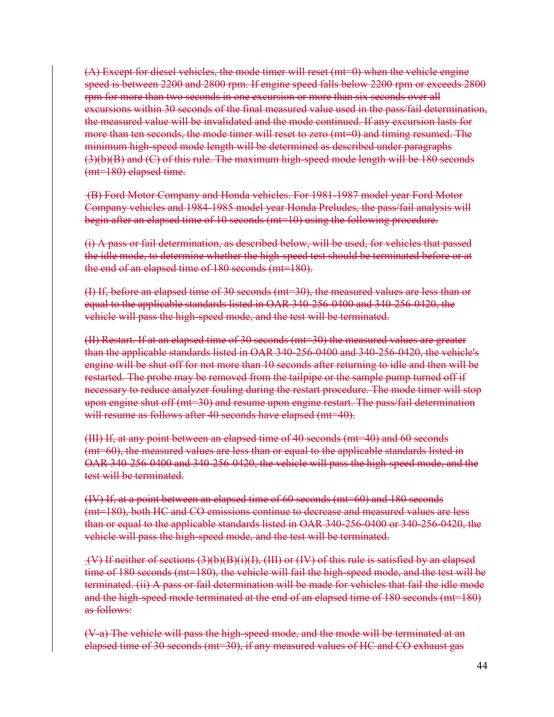$(A)$  Except for diesel vehicles, the mode timer will reset (mt=0) when the vehicle engine speed is between 2200 and 2800 rpm. If engine speed falls below 2200 rpm or exceeds 2800 rpm for more than two seconds in one excursion or more than six seconds over all excursions within 30 seconds of the final measured value used in the pass/fail determination, the measured value will be invalidated and the mode continued. If any excursion lasts for more than ten seconds, the mode timer will reset to zero (mt=0) and timing resumed. The minimum high-speed mode length will be determined as described under paragraphs (3)(b)(B) and (C) of this rule. The maximum high-speed mode length will be 180 seconds (mt=180) elapsed time.

(B) Ford Motor Company and Honda vehicles. For 1981-1987 model year Ford Motor Company vehicles and 1984-1985 model year Honda Preludes, the pass/fail analysis will begin after an elapsed time of 10 seconds (mt=10) using the following procedure.

(i) A pass or fail determination, as described below, will be used, for vehicles that passed the idle mode, to determine whether the high-speed test should be terminated before or at the end of an elapsed time of 180 seconds (mt=180).

(I) If, before an elapsed time of 30 seconds (mt=30), the measured values are less than or equal to the applicable standards listed in OAR 340-256-0400 and 340-256-0420, the vehicle will pass the high-speed mode, and the test will be terminated.

(II) Restart. If at an elapsed time of 30 seconds (mt=30) the measured values are greater than the applicable standards listed in OAR 340-256-0400 and 340-256-0420, the vehicle's engine will be shut off for not more than 10 seconds after returning to idle and then will be restarted. The probe may be removed from the tailpipe or the sample pump turned off if necessary to reduce analyzer fouling during the restart procedure. The mode timer will stop upon engine shut off (mt=30) and resume upon engine restart. The pass/fail determination will resume as follows after 40 seconds have elapsed (mt=40).

(III) If, at any point between an elapsed time of 40 seconds (mt=40) and 60 seconds (mt=60), the measured values are less than or equal to the applicable standards listed in OAR 340-256-0400 and 340-256-0420, the vehicle will pass the high-speed mode, and the test will be terminated.

(IV) If, at a point between an elapsed time of 60 seconds (mt=60) and 180 seconds (mt=180), both HC and CO emissions continue to decrease and measured values are less than or equal to the applicable standards listed in OAR 340-256-0400 or 340-256-0420, the vehicle will pass the high-speed mode, and the test will be terminated.

(V) If neither of sections (3)(b)(B)(i)(I), (III) or (IV) of this rule is satisfied by an elapsed time of 180 seconds (mt=180), the vehicle will fail the high-speed mode, and the test will be terminated. (ii) A pass or fail determination will be made for vehicles that fail the idle mode and the high-speed mode terminated at the end of an elapsed time of 180 seconds (mt=180) as follows:

(V-a) The vehicle will pass the high-speed mode, and the mode will be terminated at an elapsed time of 30 seconds (mt=30), if any measured values of HC and CO exhaust gas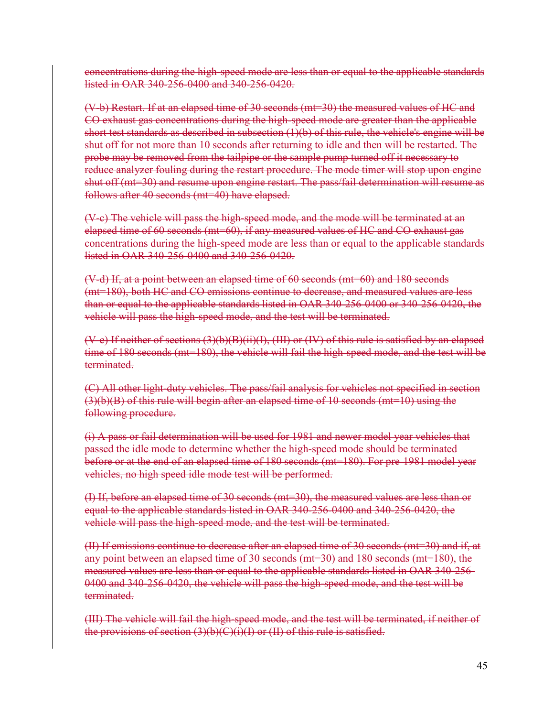concentrations during the high-speed mode are less than or equal to the applicable standards listed in OAR 340-256-0400 and 340-256-0420.

(V-b) Restart. If at an elapsed time of 30 seconds (mt=30) the measured values of HC and CO exhaust gas concentrations during the high-speed mode are greater than the applicable short test standards as described in subsection  $(1)(b)$  of this rule, the vehicle's engine will be shut off for not more than 10 seconds after returning to idle and then will be restarted. The probe may be removed from the tailpipe or the sample pump turned off it necessary to reduce analyzer fouling during the restart procedure. The mode timer will stop upon engine shut off (mt=30) and resume upon engine restart. The pass/fail determination will resume as follows after 40 seconds (mt=40) have elapsed.

(V-c) The vehicle will pass the high-speed mode, and the mode will be terminated at an elapsed time of 60 seconds (mt=60), if any measured values of HC and CO exhaust gas concentrations during the high-speed mode are less than or equal to the applicable standards listed in OAR 340-256-0400 and 340-256-0420.

(V-d) If, at a point between an elapsed time of 60 seconds (mt=60) and 180 seconds (mt=180), both HC and CO emissions continue to decrease, and measured values are less than or equal to the applicable standards listed in OAR 340-256-0400 or 340-256-0420, the vehicle will pass the high-speed mode, and the test will be terminated.

(V-e) If neither of sections (3)(b)(B)(ii)(I), (III) or (IV) of this rule is satisfied by an elapsed time of 180 seconds (mt=180), the vehicle will fail the high-speed mode, and the test will be terminated.

(C) All other light-duty vehicles. The pass/fail analysis for vehicles not specified in section  $(3)(b)(B)$  of this rule will begin after an elapsed time of 10 seconds (mt=10) using the following procedure.

(i) A pass or fail determination will be used for 1981 and newer model year vehicles that passed the idle mode to determine whether the high-speed mode should be terminated before or at the end of an elapsed time of 180 seconds (mt=180). For pre-1981 model year vehicles, no high speed idle mode test will be performed.

(I) If, before an elapsed time of 30 seconds (mt=30), the measured values are less than or equal to the applicable standards listed in OAR 340-256-0400 and 340-256-0420, the vehicle will pass the high-speed mode, and the test will be terminated.

(II) If emissions continue to decrease after an elapsed time of 30 seconds (mt=30) and if, at any point between an elapsed time of 30 seconds (mt=30) and 180 seconds (mt=180), the measured values are less than or equal to the applicable standards listed in OAR 340-256- 0400 and 340-256-0420, the vehicle will pass the high-speed mode, and the test will be terminated.

(III) The vehicle will fail the high-speed mode, and the test will be terminated, if neither of the provisions of section  $(3)(b)(C)(i)(I)$  or  $(II)$  of this rule is satisfied.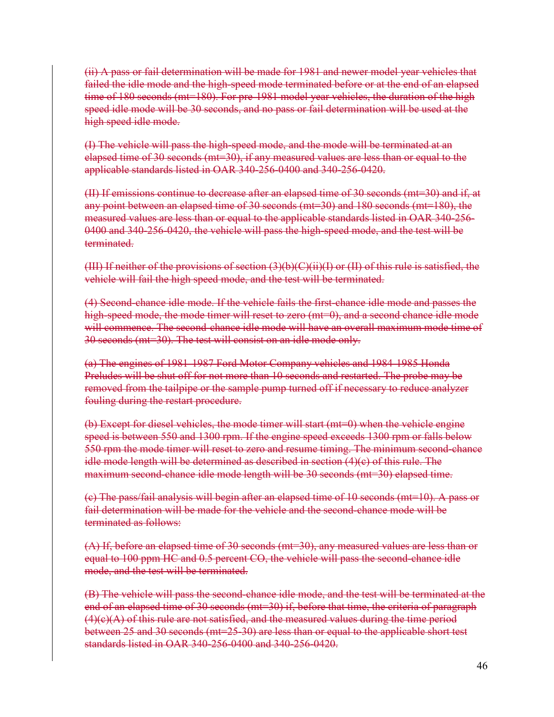(ii) A pass or fail determination will be made for 1981 and newer model year vehicles that failed the idle mode and the high-speed mode terminated before or at the end of an elapsed time of 180 seconds (mt=180). For pre-1981 model year vehicles, the duration of the high speed idle mode will be 30 seconds, and no pass or fail determination will be used at the high speed idle mode.

(I) The vehicle will pass the high-speed mode, and the mode will be terminated at an elapsed time of 30 seconds (mt=30), if any measured values are less than or equal to the applicable standards listed in OAR 340-256-0400 and 340-256-0420.

(II) If emissions continue to decrease after an elapsed time of 30 seconds (mt=30) and if, at any point between an elapsed time of 30 seconds (mt=30) and 180 seconds (mt=180), the measured values are less than or equal to the applicable standards listed in OAR 340-256- 0400 and 340-256-0420, the vehicle will pass the high-speed mode, and the test will be terminated.

(III) If neither of the provisions of section  $(3)(b)(C)(ii)(I)$  or  $(II)$  of this rule is satisfied, the vehicle will fail the high speed mode, and the test will be terminated.

(4) Second-chance idle mode. If the vehicle fails the first-chance idle mode and passes the high-speed mode, the mode timer will reset to zero (mt=0), and a second chance idle mode will commence. The second-chance idle mode will have an overall maximum mode time of 30 seconds (mt=30). The test will consist on an idle mode only.

(a) The engines of 1981-1987 Ford Motor Company vehicles and 1984-1985 Honda Preludes will be shut off for not more than 10 seconds and restarted. The probe may be removed from the tailpipe or the sample pump turned off if necessary to reduce analyzer fouling during the restart procedure.

(b) Except for diesel vehicles, the mode timer will start (mt=0) when the vehicle engine speed is between 550 and 1300 rpm. If the engine speed exceeds 1300 rpm or falls below 550 rpm the mode timer will reset to zero and resume timing. The minimum second-chance idle mode length will be determined as described in section (4)(c) of this rule. The maximum second-chance idle mode length will be 30 seconds (mt=30) elapsed time.

(c) The pass/fail analysis will begin after an elapsed time of 10 seconds (mt=10). A pass or fail determination will be made for the vehicle and the second-chance mode will be terminated as follows:

(A) If, before an elapsed time of 30 seconds (mt=30), any measured values are less than or equal to 100 ppm HC and 0.5 percent CO, the vehicle will pass the second-chance idle mode, and the test will be terminated.

(B) The vehicle will pass the second-chance idle mode, and the test will be terminated at the end of an elapsed time of 30 seconds (mt=30) if, before that time, the criteria of paragraph  $(4)(e)(A)$  of this rule are not satisfied, and the measured values during the time period between 25 and 30 seconds (mt=25-30) are less than or equal to the applicable short test standards listed in OAR 340-256-0400 and 340-256-0420.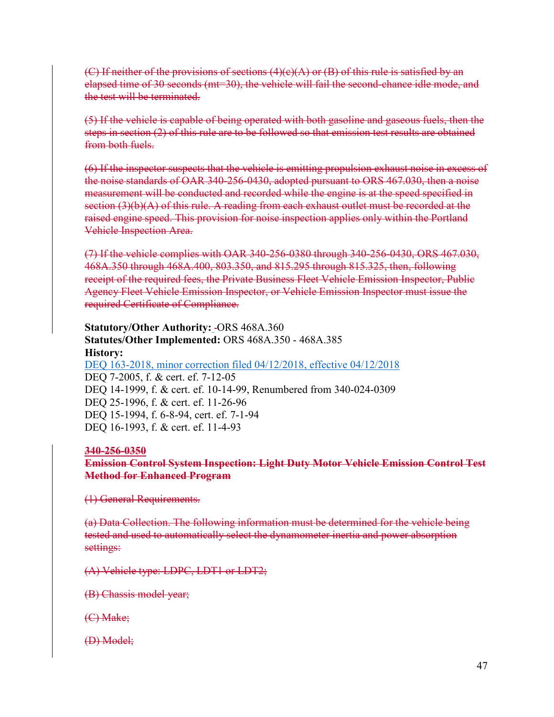(C) If neither of the provisions of sections  $(4)(e)(A)$  or  $(B)$  of this rule is satisfied by an elapsed time of 30 seconds (mt=30), the vehicle will fail the second-chance idle mode, and the test will be terminated.

(5) If the vehicle is capable of being operated with both gasoline and gaseous fuels, then the steps in section (2) of this rule are to be followed so that emission test results are obtained from both fuels.

(6) If the inspector suspects that the vehicle is emitting propulsion exhaust noise in excess of the noise standards of OAR 340-256-0430, adopted pursuant to ORS 467.030, then a noise measurement will be conducted and recorded while the engine is at the speed specified in section (3)(b)(A) of this rule. A reading from each exhaust outlet must be recorded at the raised engine speed. This provision for noise inspection applies only within the Portland Vehicle Inspection Area.

(7) If the vehicle complies with OAR 340-256-0380 through 340-256-0430, ORS 467.030, 468A.350 through 468A.400, 803.350, and 815.295 through 815.325, then, following receipt of the required fees, the Private Business Fleet Vehicle Emission Inspector, Public Agency Fleet Vehicle Emission Inspector, or Vehicle Emission Inspector must issue the required Certificate of Compliance.

# **Statutory/Other Authority: -ORS 468A.360 Statutes/Other Implemented:** ORS 468A.350 - 468A.385 **History:**

[DEQ 163-2018, minor correction filed 04/12/2018, effective 04/12/2018](https://secure.sos.state.or.us/oard/viewReceiptPDF.action;JSESSIONID_OARD=3oxlIc6PZ2u31uGO2th2u9088A2Kqarcjab6TLjYb7s3a0O-i4hx!143575988?filingRsn=37667) DEQ 7-2005, f. & cert. ef. 7-12-05 DEQ 14-1999, f. & cert. ef. 10-14-99, Renumbered from 340-024-0309 DEQ 25-1996, f. & cert. ef. 11-26-96 DEQ 15-1994, f. 6-8-94, cert. ef. 7-1-94 DEQ 16-1993, f. & cert. ef. 11-4-93

### **340-256-0350**

**Emission Control System Inspection: Light Duty Motor Vehicle Emission Control Test Method for Enhanced Program**

(1) General Requirements.

(a) Data Collection. The following information must be determined for the vehicle being tested and used to automatically select the dynamometer inertia and power absorption settings:

(A) Vehicle type: LDPC, LDT1 or LDT2;

(B) Chassis model year;

(C) Make;

(D) Model;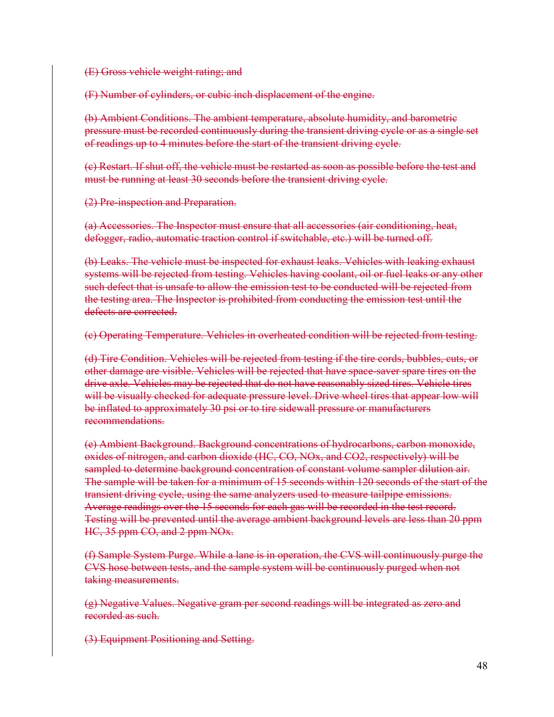(E) Gross vehicle weight rating; and

(F) Number of cylinders, or cubic inch displacement of the engine.

(b) Ambient Conditions. The ambient temperature, absolute humidity, and barometric pressure must be recorded continuously during the transient driving cycle or as a single set of readings up to 4 minutes before the start of the transient driving cycle.

(c) Restart. If shut off, the vehicle must be restarted as soon as possible before the test and must be running at least 30 seconds before the transient driving cycle.

(2) Pre-inspection and Preparation.

(a) Accessories. The Inspector must ensure that all accessories (air conditioning, heat, defogger, radio, automatic traction control if switchable, etc.) will be turned off.

(b) Leaks. The vehicle must be inspected for exhaust leaks. Vehicles with leaking exhaust systems will be rejected from testing. Vehicles having coolant, oil or fuel leaks or any other such defect that is unsafe to allow the emission test to be conducted will be rejected from the testing area. The Inspector is prohibited from conducting the emission test until the defects are corrected.

(c) Operating Temperature. Vehicles in overheated condition will be rejected from testing.

(d) Tire Condition. Vehicles will be rejected from testing if the tire cords, bubbles, cuts, or other damage are visible. Vehicles will be rejected that have space-saver spare tires on the drive axle. Vehicles may be rejected that do not have reasonably sized tires. Vehicle tires will be visually checked for adequate pressure level. Drive wheel tires that appear low will be inflated to approximately 30 psi or to tire sidewall pressure or manufacturers recommendations.

(e) Ambient Background. Background concentrations of hydrocarbons, carbon monoxide, oxides of nitrogen, and carbon dioxide (HC, CO, NOx, and CO2, respectively) will be sampled to determine background concentration of constant volume sampler dilution air. The sample will be taken for a minimum of 15 seconds within 120 seconds of the start of the transient driving cycle, using the same analyzers used to measure tailpipe emissions. Average readings over the 15 seconds for each gas will be recorded in the test record. Testing will be prevented until the average ambient background levels are less than 20 ppm HC, 35 ppm CO, and 2 ppm NO<sub>x</sub>.

(f) Sample System Purge. While a lane is in operation, the CVS will continuously purge the CVS hose between tests, and the sample system will be continuously purged when not taking measurements.

(g) Negative Values. Negative gram per second readings will be integrated as zero and recorded as such.

(3) Equipment Positioning and Setting.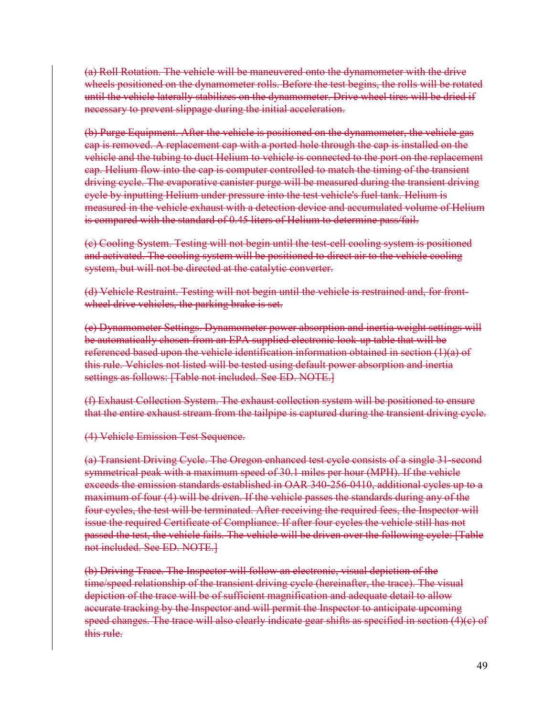(a) Roll Rotation. The vehicle will be maneuvered onto the dynamometer with the drive wheels positioned on the dynamometer rolls. Before the test begins, the rolls will be rotated until the vehicle laterally stabilizes on the dynamometer. Drive wheel tires will be dried if necessary to prevent slippage during the initial acceleration.

(b) Purge Equipment. After the vehicle is positioned on the dynamometer, the vehicle gas cap is removed. A replacement cap with a ported hole through the cap is installed on the vehicle and the tubing to duct Helium to vehicle is connected to the port on the replacement cap. Helium flow into the cap is computer controlled to match the timing of the transient driving cycle. The evaporative canister purge will be measured during the transient driving cycle by inputting Helium under pressure into the test vehicle's fuel tank. Helium is measured in the vehicle exhaust with a detection device and accumulated volume of Helium is compared with the standard of 0.45 liters of Helium to determine pass/fail.

(c) Cooling System. Testing will not begin until the test-cell cooling system is positioned and activated. The cooling system will be positioned to direct air to the vehicle cooling system, but will not be directed at the catalytic converter.

(d) Vehicle Restraint. Testing will not begin until the vehicle is restrained and, for frontwheel drive vehicles, the parking brake is set.

(e) Dynamometer Settings. Dynamometer power absorption and inertia weight settings will be automatically chosen from an EPA supplied electronic look-up table that will be referenced based upon the vehicle identification information obtained in section  $(1)(a)$  of this rule. Vehicles not listed will be tested using default power absorption and inertia settings as follows: [Table not included. See ED. NOTE.]

(f) Exhaust Collection System. The exhaust collection system will be positioned to ensure that the entire exhaust stream from the tailpipe is captured during the transient driving cycle.

(4) Vehicle Emission Test Sequence.

(a) Transient Driving Cycle. The Oregon enhanced test cycle consists of a single 31-second symmetrical peak with a maximum speed of 30.1 miles per hour (MPH). If the vehicle exceeds the emission standards established in OAR 340-256-0410, additional cycles up to a maximum of four (4) will be driven. If the vehicle passes the standards during any of the four cycles, the test will be terminated. After receiving the required fees, the Inspector will issue the required Certificate of Compliance. If after four cycles the vehicle still has not passed the test, the vehicle fails. The vehicle will be driven over the following cycle: [Table not included. See ED. NOTE.]

(b) Driving Trace. The Inspector will follow an electronic, visual depiction of the time/speed relationship of the transient driving cycle (hereinafter, the trace). The visual depiction of the trace will be of sufficient magnification and adequate detail to allow accurate tracking by the Inspector and will permit the Inspector to anticipate upcoming speed changes. The trace will also clearly indicate gear shifts as specified in section  $(4)(e)$  of this rule.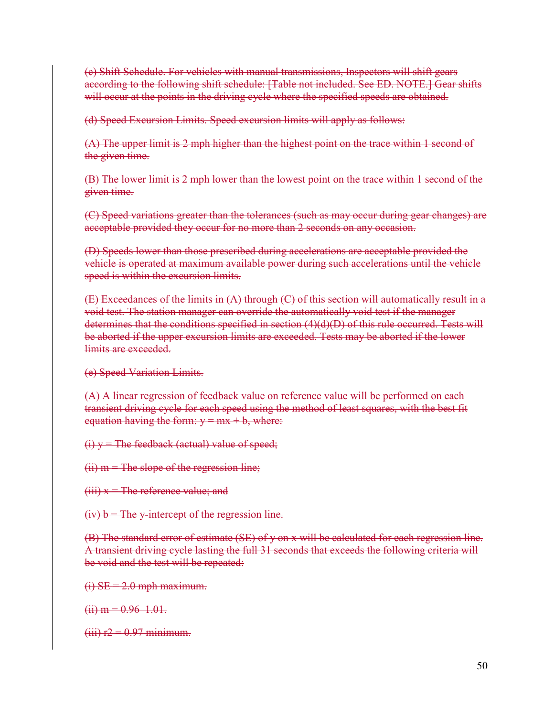(c) Shift Schedule. For vehicles with manual transmissions, Inspectors will shift gears according to the following shift schedule: [Table not included. See ED. NOTE.] Gear shifts will occur at the points in the driving cycle where the specified speeds are obtained.

(d) Speed Excursion Limits. Speed excursion limits will apply as follows:

(A) The upper limit is 2 mph higher than the highest point on the trace within 1 second of the given time.

(B) The lower limit is 2 mph lower than the lowest point on the trace within 1 second of the given time.

(C) Speed variations greater than the tolerances (such as may occur during gear changes) are acceptable provided they occur for no more than 2 seconds on any occasion.

(D) Speeds lower than those prescribed during accelerations are acceptable provided the vehicle is operated at maximum available power during such accelerations until the vehicle speed is within the excursion limits.

 $(E)$  Exceedances of the limits in  $(A)$  through  $(C)$  of this section will automatically result in a void test. The station manager can override the automatically void test if the manager determines that the conditions specified in section (4)(d)(D) of this rule occurred. Tests will be aborted if the upper excursion limits are exceeded. Tests may be aborted if the lower limits are exceeded.

(e) Speed Variation Limits.

(A) A linear regression of feedback value on reference value will be performed on each transient driving cycle for each speed using the method of least squares, with the best fit equation having the form:  $y = mx + b$ , where:

 $(i)$  y = The feedback (actual) value of speed;

 $(ii)$  m = The slope of the regression line;

 $(iii)$   $x$  = The reference value; and

 $(iv) b$  = The y-intercept of the regression line.

(B) The standard error of estimate (SE) of y on x will be calculated for each regression line. A transient driving cycle lasting the full 31 seconds that exceeds the following criteria will be void and the test will be repeated:

 $(i)$  SE = 2.0 mph maximum.

 $(ii) m = 0.96$  1.01.

 $(iii)$   $r2 = 0.97$  minimum.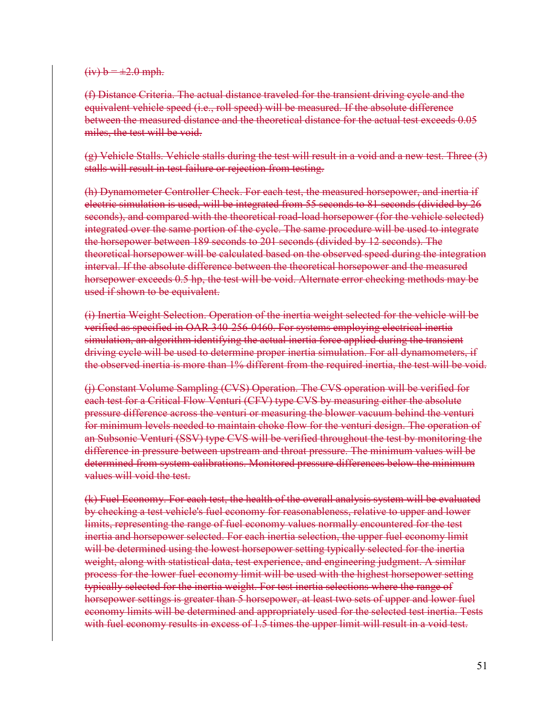#### $(iv) b = \pm 2.0$  mph.

(f) Distance Criteria. The actual distance traveled for the transient driving cycle and the equivalent vehicle speed (i.e., roll speed) will be measured. If the absolute difference between the measured distance and the theoretical distance for the actual test exceeds 0.05 miles, the test will be void.

(g) Vehicle Stalls. Vehicle stalls during the test will result in a void and a new test. Three (3) stalls will result in test failure or rejection from testing.

(h) Dynamometer Controller Check. For each test, the measured horsepower, and inertia if electric simulation is used, will be integrated from 55 seconds to 81 seconds (divided by 26 seconds), and compared with the theoretical road-load horsepower (for the vehicle selected) integrated over the same portion of the cycle. The same procedure will be used to integrate the horsepower between 189 seconds to 201 seconds (divided by 12 seconds). The theoretical horsepower will be calculated based on the observed speed during the integration interval. If the absolute difference between the theoretical horsepower and the measured horsepower exceeds 0.5 hp, the test will be void. Alternate error checking methods may be used if shown to be equivalent.

(i) Inertia Weight Selection. Operation of the inertia weight selected for the vehicle will be verified as specified in OAR 340-256-0460. For systems employing electrical inertia simulation, an algorithm identifying the actual inertia force applied during the transient driving cycle will be used to determine proper inertia simulation. For all dynamometers, if the observed inertia is more than 1% different from the required inertia, the test will be void.

(j) Constant Volume Sampling (CVS) Operation. The CVS operation will be verified for each test for a Critical Flow Venturi (CFV) type CVS by measuring either the absolute pressure difference across the venturi or measuring the blower vacuum behind the venturi for minimum levels needed to maintain choke flow for the venturi design. The operation of an Subsonic Venturi (SSV) type CVS will be verified throughout the test by monitoring the difference in pressure between upstream and throat pressure. The minimum values will be determined from system calibrations. Monitored pressure differences below the minimum values will void the test.

(k) Fuel Economy. For each test, the health of the overall analysis system will be evaluated by checking a test vehicle's fuel economy for reasonableness, relative to upper and lower limits, representing the range of fuel economy values normally encountered for the test inertia and horsepower selected. For each inertia selection, the upper fuel economy limit will be determined using the lowest horsepower setting typically selected for the inertia weight, along with statistical data, test experience, and engineering judgment. A similar process for the lower fuel economy limit will be used with the highest horsepower setting typically selected for the inertia weight. For test inertia selections where the range of horsepower settings is greater than 5 horsepower, at least two sets of upper and lower fuel economy limits will be determined and appropriately used for the selected test inertia. Tests with fuel economy results in excess of 1.5 times the upper limit will result in a void test.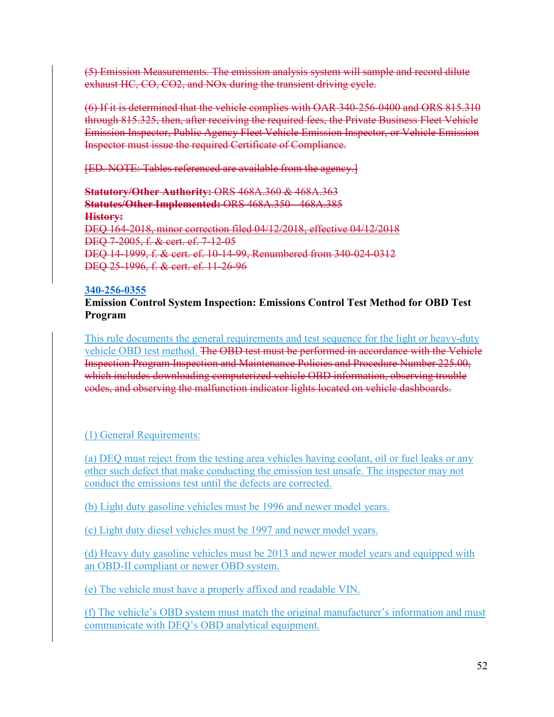(5) Emission Measurements. The emission analysis system will sample and record dilute exhaust HC, CO, CO2, and NOx during the transient driving cycle.

(6) If it is determined that the vehicle complies with OAR 340-256-0400 and ORS 815.310 through 815.325, then, after receiving the required fees, the Private Business Fleet Vehicle Emission Inspector, Public Agency Fleet Vehicle Emission Inspector, or Vehicle Emission Inspector must issue the required Certificate of Compliance.

[ED. NOTE: Tables referenced are available from the agency.]

**Statutory/Other Authority:** ORS 468A.360 & 468A.363 **Statutes/Other Implemented:** ORS 468A.350 - 468A.385 **History:** DEQ 164-2018, minor correction filed 04/12/2018, effective 04/12/2018 DEQ 7-2005, f. & cert. ef. 7-12-05 DEQ 14-1999, f. & cert. ef. 10-14-99, Renumbered from 340-024-0312 DEQ 25-1996, f. & cert. ef. 11-26-96

### **[340-256-0355](https://secure.sos.state.or.us/oard/viewSingleRule.action;JSESSIONID_OARD=3oxlIc6PZ2u31uGO2th2u9088A2Kqarcjab6TLjYb7s3a0O-i4hx!143575988?ruleVrsnRsn=75773)**

### **Emission Control System Inspection: Emissions Control Test Method for OBD Test Program**

This rule documents the general requirements and test sequence for the light or heavy-duty vehicle OBD test method. The OBD test must be performed in accordance with the Vehicle Inspection Program Inspection and Maintenance Policies and Procedure Number 225.00, which includes downloading computerized vehicle OBD information, observing trouble codes, and observing the malfunction indicator lights located on vehicle dashboards.

# (1) General Requirements:

(a) DEQ must reject from the testing area vehicles having coolant, oil or fuel leaks or any other such defect that make conducting the emission test unsafe. The inspector may not conduct the emissions test until the defects are corrected.

(b) Light duty gasoline vehicles must be 1996 and newer model years.

(c) Light duty diesel vehicles must be 1997 and newer model years.

(d) Heavy duty gasoline vehicles must be 2013 and newer model years and equipped with an OBD-II compliant or newer OBD system.

(e) The vehicle must have a properly affixed and readable VIN.

(f) The vehicle's OBD system must match the original manufacturer's information and must communicate with DEQ's OBD analytical equipment.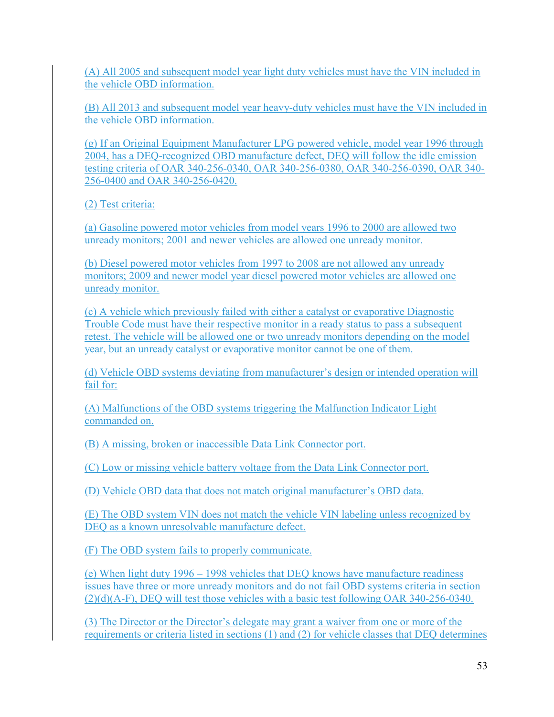(A) All 2005 and subsequent model year light duty vehicles must have the VIN included in the vehicle OBD information.

(B) All 2013 and subsequent model year heavy-duty vehicles must have the VIN included in the vehicle OBD information.

(g) If an Original Equipment Manufacturer LPG powered vehicle, model year 1996 through 2004, has a DEQ-recognized OBD manufacture defect, DEQ will follow the idle emission testing criteria of OAR 340-256-0340, OAR 340-256-0380, OAR 340-256-0390, OAR 340- 256-0400 and OAR 340-256-0420.

(2) Test criteria:

(a) Gasoline powered motor vehicles from model years 1996 to 2000 are allowed two unready monitors; 2001 and newer vehicles are allowed one unready monitor.

(b) Diesel powered motor vehicles from 1997 to 2008 are not allowed any unready monitors; 2009 and newer model year diesel powered motor vehicles are allowed one unready monitor.

(c) A vehicle which previously failed with either a catalyst or evaporative Diagnostic Trouble Code must have their respective monitor in a ready status to pass a subsequent retest. The vehicle will be allowed one or two unready monitors depending on the model year, but an unready catalyst or evaporative monitor cannot be one of them.

(d) Vehicle OBD systems deviating from manufacturer's design or intended operation will fail for:

(A) Malfunctions of the OBD systems triggering the Malfunction Indicator Light commanded on.

(B) A missing, broken or inaccessible Data Link Connector port.

(C) Low or missing vehicle battery voltage from the Data Link Connector port.

(D) Vehicle OBD data that does not match original manufacturer's OBD data.

(E) The OBD system VIN does not match the vehicle VIN labeling unless recognized by DEQ as a known unresolvable manufacture defect.

(F) The OBD system fails to properly communicate.

(e) When light duty 1996 – 1998 vehicles that DEQ knows have manufacture readiness issues have three or more unready monitors and do not fail OBD systems criteria in section (2)(d)(A-F), DEQ will test those vehicles with a basic test following OAR 340-256-0340.

(3) The Director or the Director's delegate may grant a waiver from one or more of the requirements or criteria listed in sections (1) and (2) for vehicle classes that DEQ determines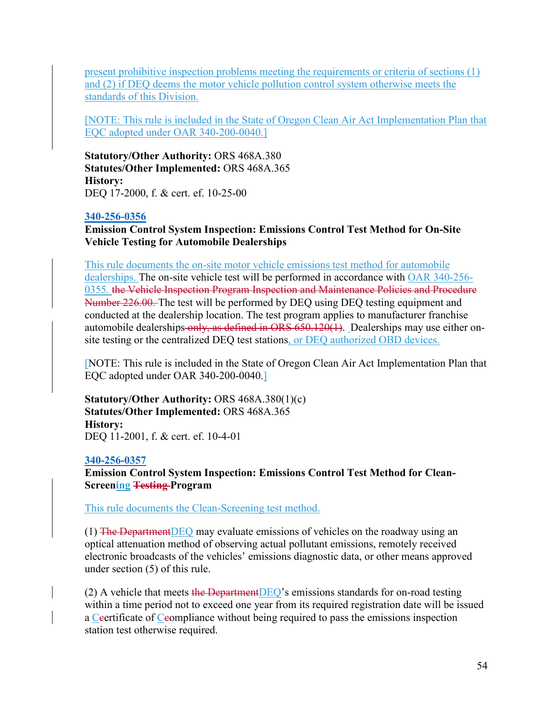present prohibitive inspection problems meeting the requirements or criteria of sections (1) and (2) if DEQ deems the motor vehicle pollution control system otherwise meets the standards of this Division.

[NOTE: This rule is included in the State of Oregon Clean Air Act Implementation Plan that EQC adopted under OAR 340-200-0040.]

**Statutory/Other Authority:** ORS 468A.380 **Statutes/Other Implemented:** ORS 468A.365 **History:** DEQ 17-2000, f. & cert. ef. 10-25-00

### **[340-256-0356](https://secure.sos.state.or.us/oard/viewSingleRule.action;JSESSIONID_OARD=3oxlIc6PZ2u31uGO2th2u9088A2Kqarcjab6TLjYb7s3a0O-i4hx!143575988?ruleVrsnRsn=75774)**

**Emission Control System Inspection: Emissions Control Test Method for On-Site Vehicle Testing for Automobile Dealerships**

This rule documents the on-site motor vehicle emissions test method for automobile dealerships. The on-site vehicle test will be performed in accordance with OAR 340-256- 0355. the Vehicle Inspection Program Inspection and Maintenance Policies and Procedure Number 226.00. The test will be performed by DEQ using DEQ testing equipment and conducted at the dealership location. The test program applies to manufacturer franchise automobile dealerships-only, as defined in ORS 650.120(1). Dealerships may use either onsite testing or the centralized DEQ test stations, or DEQ authorized OBD devices.

[NOTE: This rule is included in the State of Oregon Clean Air Act Implementation Plan that EQC adopted under OAR 340-200-0040.]

**Statutory/Other Authority:** ORS 468A.380(1)(c) **Statutes/Other Implemented:** ORS 468A.365 **History:** DEQ 11-2001, f. & cert. ef. 10-4-01

### **[340-256-0357](https://secure.sos.state.or.us/oard/viewSingleRule.action;JSESSIONID_OARD=3oxlIc6PZ2u31uGO2th2u9088A2Kqarcjab6TLjYb7s3a0O-i4hx!143575988?ruleVrsnRsn=75775)**

**Emission Control System Inspection: Emissions Control Test Method for Clean-Screening Testing Program**

This rule documents the Clean-Screening test method.

(1) The DepartmentDEQ may evaluate emissions of vehicles on the roadway using an optical attenuation method of observing actual pollutant emissions, remotely received electronic broadcasts of the vehicles' emissions diagnostic data, or other means approved under section (5) of this rule.

(2) A vehicle that meets the Department DEQ's emissions standards for on-road testing within a time period not to exceed one year from its required registration date will be issued a Ceertificate of Ceompliance without being required to pass the emissions inspection station test otherwise required.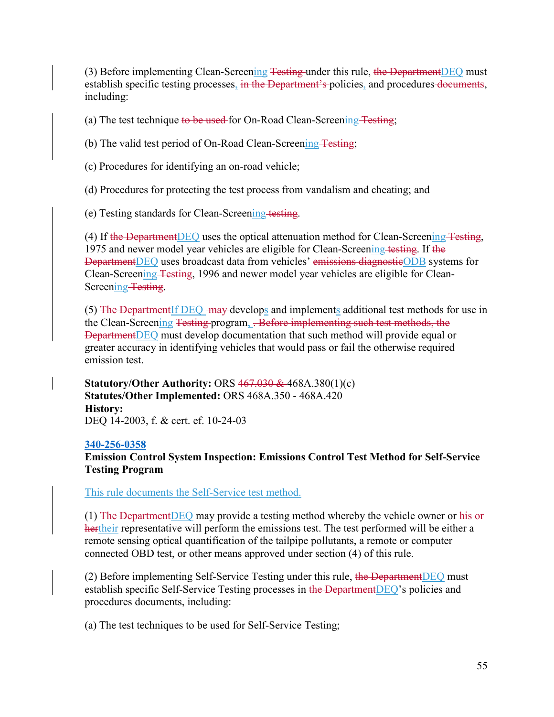(3) Before implementing Clean-Screening Testing under this rule, the Department DEQ must establish specific testing processes, in the Department's policies, and procedures documents, including:

(a) The test technique to be used for On-Road Clean-Screening Testing;

(b) The valid test period of On-Road Clean-Screening Testing;

(c) Procedures for identifying an on-road vehicle;

(d) Procedures for protecting the test process from vandalism and cheating; and

(e) Testing standards for Clean-Screening testing.

(4) If the Department DEQ uses the optical attenuation method for Clean-Screening Testing, 1975 and newer model year vehicles are eligible for Clean-Screening testing. If the DepartmentDEQ uses broadcast data from vehicles' emissions diagnostic ODB systems for Clean-Screening Testing, 1996 and newer model year vehicles are eligible for Clean-Screening Testing.

(5) The Department If  $DEQ$  may develops and implements additional test methods for use in the Clean-Screening Testing program, . Before implementing such test methods, the DepartmentDEQ must develop documentation that such method will provide equal or greater accuracy in identifying vehicles that would pass or fail the otherwise required emission test.

**Statutory/Other Authority:** ORS 467.030 & 468A.380(1)(c) **Statutes/Other Implemented:** ORS 468A.350 - 468A.420 **History:** DEQ 14-2003, f. & cert. ef. 10-24-03

### **[340-256-0358](https://secure.sos.state.or.us/oard/viewSingleRule.action;JSESSIONID_OARD=3oxlIc6PZ2u31uGO2th2u9088A2Kqarcjab6TLjYb7s3a0O-i4hx!143575988?ruleVrsnRsn=75776)**

**Emission Control System Inspection: Emissions Control Test Method for Self-Service Testing Program**

This rule documents the Self-Service test method.

 $(1)$  The Department DEQ may provide a testing method whereby the vehicle owner or his or hertheir representative will perform the emissions test. The test performed will be either a remote sensing optical quantification of the tailpipe pollutants, a remote or computer connected OBD test, or other means approved under section (4) of this rule.

(2) Before implementing Self-Service Testing under this rule, the Department DEQ must establish specific Self-Service Testing processes in the DepartmentDEQ's policies and procedures documents, including:

(a) The test techniques to be used for Self-Service Testing;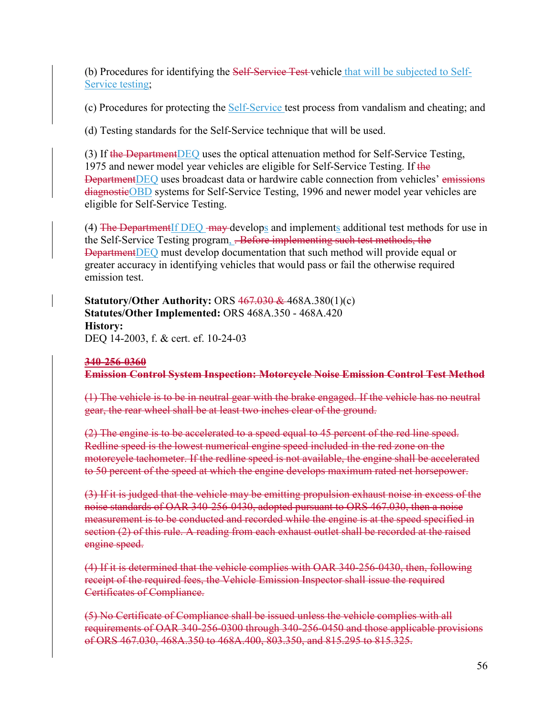(b) Procedures for identifying the Self-Service Test-vehicle that will be subjected to Self-Service testing;

(c) Procedures for protecting the Self-Service test process from vandalism and cheating; and

(d) Testing standards for the Self-Service technique that will be used.

(3) If the Department DEQ uses the optical attenuation method for Self-Service Testing, 1975 and newer model year vehicles are eligible for Self-Service Testing. If the DepartmentDEQ uses broadcast data or hardwire cable connection from vehicles' emissions diagnosticOBD systems for Self-Service Testing, 1996 and newer model year vehicles are eligible for Self-Service Testing.

(4) The Department If DEQ may develops and implements additional test methods for use in the Self-Service Testing program, . Before implementing such test methods, the DepartmentDEQ must develop documentation that such method will provide equal or greater accuracy in identifying vehicles that would pass or fail the otherwise required emission test.

**Statutory/Other Authority:** ORS 467.030 & 468A.380(1)(c) **Statutes/Other Implemented:** ORS 468A.350 - 468A.420 **History:** DEQ 14-2003, f. & cert. ef. 10-24-03

# **340-256-0360 Emission Control System Inspection: Motorcycle Noise Emission Control Test Method**

(1) The vehicle is to be in neutral gear with the brake engaged. If the vehicle has no neutral gear, the rear wheel shall be at least two inches clear of the ground.

(2) The engine is to be accelerated to a speed equal to 45 percent of the red line speed. Redline speed is the lowest numerical engine speed included in the red zone on the motorcycle tachometer. If the redline speed is not available, the engine shall be accelerated to 50 percent of the speed at which the engine develops maximum rated net horsepower.

(3) If it is judged that the vehicle may be emitting propulsion exhaust noise in excess of the noise standards of OAR 340-256-0430, adopted pursuant to ORS 467.030, then a noise measurement is to be conducted and recorded while the engine is at the speed specified in section (2) of this rule. A reading from each exhaust outlet shall be recorded at the raised engine speed.

(4) If it is determined that the vehicle complies with OAR 340-256-0430, then, following receipt of the required fees, the Vehicle Emission Inspector shall issue the required Certificates of Compliance.

(5) No Certificate of Compliance shall be issued unless the vehicle complies with all requirements of OAR 340-256-0300 through 340-256-0450 and those applicable provisions of ORS 467.030, 468A.350 to 468A.400, 803.350, and 815.295 to 815.325.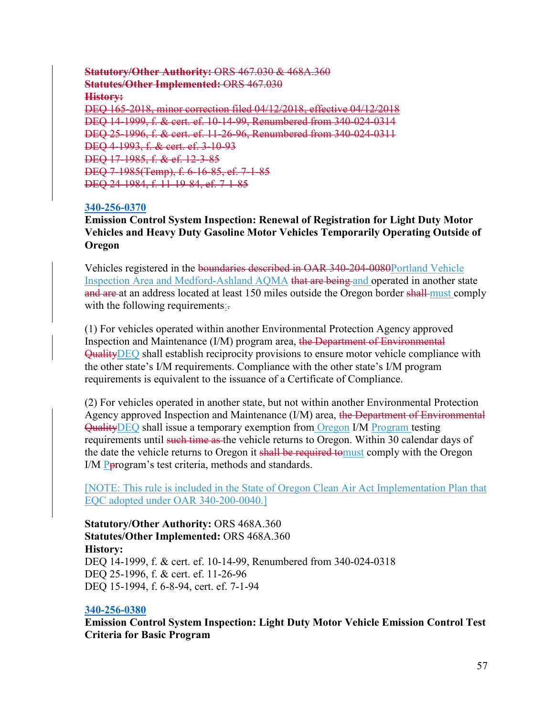### **Statutory/Other Authority:** ORS 467.030 & 468A.360 **Statutes/Other Implemented:** ORS 467.030 **History:** DEQ 165-2018, minor correction filed 04/12/2018, effective 04/12/2018 DEQ 14-1999, f. & cert. ef. 10-14-99, Renumbered from 340-024-0314 DEQ 25-1996, f. & cert. ef. 11-26-96, Renumbered from 340-024-0311 DEQ 4-1993, f. & cert. ef. 3-10-93 DEQ 17-1985, f. & ef. 12-3-85 DEQ 7-1985(Temp), f. 6-16-85, ef. 7-1-85 DEQ 24-1984, f. 11-19-84, ef. 7-1-85

# **[340-256-0370](https://secure.sos.state.or.us/oard/viewSingleRule.action;JSESSIONID_OARD=3oxlIc6PZ2u31uGO2th2u9088A2Kqarcjab6TLjYb7s3a0O-i4hx!143575988?ruleVrsnRsn=75783)**

**Emission Control System Inspection: Renewal of Registration for Light Duty Motor Vehicles and Heavy Duty Gasoline Motor Vehicles Temporarily Operating Outside of Oregon**

Vehicles registered in the boundaries described in OAR 340-204-0080Portland Vehicle Inspection Area and Medford-Ashland AQMA that are being and operated in another state and are at an address located at least 150 miles outside the Oregon border shall must comply with the following requirements:

(1) For vehicles operated within another Environmental Protection Agency approved Inspection and Maintenance (I/M) program area, the Department of Environmental QualityDEQ shall establish reciprocity provisions to ensure motor vehicle compliance with the other state's I/M requirements. Compliance with the other state's I/M program requirements is equivalent to the issuance of a Certificate of Compliance.

(2) For vehicles operated in another state, but not within another Environmental Protection Agency approved Inspection and Maintenance (I/M) area, the Department of Environmental QualityDEQ shall issue a temporary exemption from Oregon I/M Program testing requirements until such time as the vehicle returns to Oregon. Within 30 calendar days of the date the vehicle returns to Oregon it shall be required to must comply with the Oregon I/M Pprogram's test criteria, methods and standards.

[NOTE: This rule is included in the State of Oregon Clean Air Act Implementation Plan that EQC adopted under OAR 340-200-0040.]

**Statutory/Other Authority:** ORS 468A.360 **Statutes/Other Implemented:** ORS 468A.360 **History:** DEQ 14-1999, f. & cert. ef. 10-14-99, Renumbered from 340-024-0318 DEQ 25-1996, f. & cert. ef. 11-26-96 DEQ 15-1994, f. 6-8-94, cert. ef. 7-1-94

# **[340-256-0380](https://secure.sos.state.or.us/oard/viewSingleRule.action;JSESSIONID_OARD=3oxlIc6PZ2u31uGO2th2u9088A2Kqarcjab6TLjYb7s3a0O-i4hx!143575988?ruleVrsnRsn=244599)**

**Emission Control System Inspection: Light Duty Motor Vehicle Emission Control Test Criteria for Basic Program**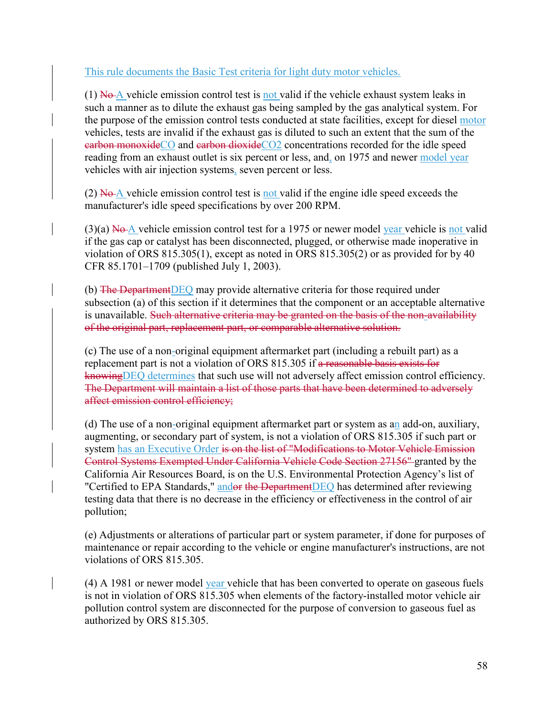This rule documents the Basic Test criteria for light duty motor vehicles.

 $(1)$  No A vehicle emission control test is not valid if the vehicle exhaust system leaks in such a manner as to dilute the exhaust gas being sampled by the gas analytical system. For the purpose of the emission control tests conducted at state facilities, except for diesel motor vehicles, tests are invalid if the exhaust gas is diluted to such an extent that the sum of the earbon monoxideCO and earbon dioxideCO2 concentrations recorded for the idle speed reading from an exhaust outlet is six percent or less, and, on 1975 and newer model year vehicles with air injection systems, seven percent or less.

(2)  $N<sub>o</sub>A$  vehicle emission control test is not valid if the engine idle speed exceeds the manufacturer's idle speed specifications by over 200 RPM.

 $(3)(a)$  No A vehicle emission control test for a 1975 or newer model year vehicle is not valid if the gas cap or catalyst has been disconnected, plugged, or otherwise made inoperative in violation of ORS 815.305(1), except as noted in ORS 815.305(2) or as provided for by 40 CFR 85.1701–1709 (published July 1, 2003).

(b) The DepartmentDEQ may provide alternative criteria for those required under subsection (a) of this section if it determines that the component or an acceptable alternative is unavailable. Such alternative criteria may be granted on the basis of the non-availability of the original part, replacement part, or comparable alternative solution.

(c) The use of a non-original equipment aftermarket part (including a rebuilt part) as a replacement part is not a violation of ORS 815.305 if a reasonable basis exists for knowing DEQ determines that such use will not adversely affect emission control efficiency. The Department will maintain a list of those parts that have been determined to adversely affect emission control efficiency;

(d) The use of a non-original equipment aftermarket part or system as an add-on, auxiliary, augmenting, or secondary part of system, is not a violation of ORS 815.305 if such part or system has an Executive Order is on the list of "Modifications to Motor Vehicle Emission Control Systems Exempted Under California Vehicle Code Section 27156" granted by the California Air Resources Board, is on the U.S. Environmental Protection Agency's list of "Certified to EPA Standards," andor the DepartmentDEQ has determined after reviewing testing data that there is no decrease in the efficiency or effectiveness in the control of air pollution;

(e) Adjustments or alterations of particular part or system parameter, if done for purposes of maintenance or repair according to the vehicle or engine manufacturer's instructions, are not violations of ORS 815.305.

(4) A 1981 or newer model year vehicle that has been converted to operate on gaseous fuels is not in violation of ORS 815.305 when elements of the factory-installed motor vehicle air pollution control system are disconnected for the purpose of conversion to gaseous fuel as authorized by ORS 815.305.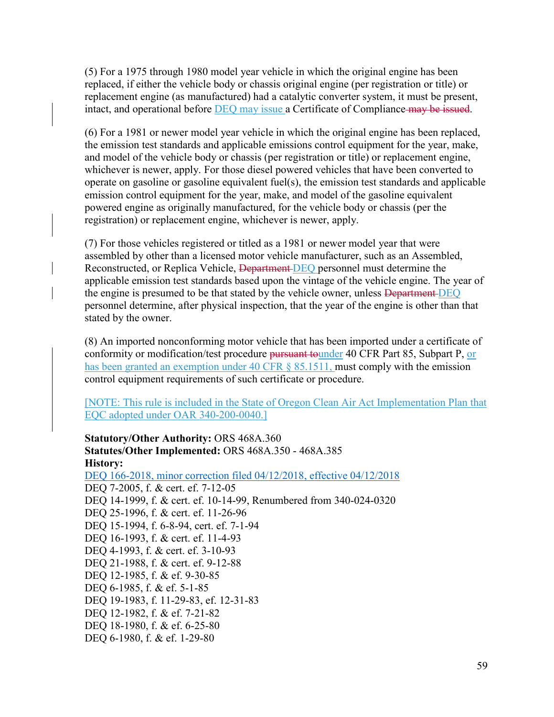(5) For a 1975 through 1980 model year vehicle in which the original engine has been replaced, if either the vehicle body or chassis original engine (per registration or title) or replacement engine (as manufactured) had a catalytic converter system, it must be present, intact, and operational before **DEQ** may issue a Certificate of Compliance may be issued.

(6) For a 1981 or newer model year vehicle in which the original engine has been replaced, the emission test standards and applicable emissions control equipment for the year, make, and model of the vehicle body or chassis (per registration or title) or replacement engine, whichever is newer, apply. For those diesel powered vehicles that have been converted to operate on gasoline or gasoline equivalent fuel(s), the emission test standards and applicable emission control equipment for the year, make, and model of the gasoline equivalent powered engine as originally manufactured, for the vehicle body or chassis (per the registration) or replacement engine, whichever is newer, apply.

(7) For those vehicles registered or titled as a 1981 or newer model year that were assembled by other than a licensed motor vehicle manufacturer, such as an Assembled, Reconstructed, or Replica Vehicle, Department-DEQ personnel must determine the applicable emission test standards based upon the vintage of the vehicle engine. The year of the engine is presumed to be that stated by the vehicle owner, unless **Department DEQ** personnel determine, after physical inspection, that the year of the engine is other than that stated by the owner.

(8) An imported nonconforming motor vehicle that has been imported under a certificate of conformity or modification/test procedure pursuant tounder 40 CFR Part 85, Subpart P, or has been granted an exemption under 40 CFR § 85.1511, must comply with the emission control equipment requirements of such certificate or procedure.

[NOTE: This rule is included in the State of Oregon Clean Air Act Implementation Plan that EQC adopted under OAR 340-200-0040.]

**Statutory/Other Authority:** ORS 468A.360 **Statutes/Other Implemented:** ORS 468A.350 - 468A.385 **History:** [DEQ 166-2018, minor correction filed 04/12/2018, effective 04/12/2018](https://secure.sos.state.or.us/oard/viewReceiptPDF.action;JSESSIONID_OARD=3oxlIc6PZ2u31uGO2th2u9088A2Kqarcjab6TLjYb7s3a0O-i4hx!143575988?filingRsn=37672) DEQ 7-2005, f. & cert. ef. 7-12-05 DEQ 14-1999, f. & cert. ef. 10-14-99, Renumbered from 340-024-0320 DEQ 25-1996, f. & cert. ef. 11-26-96 DEQ 15-1994, f. 6-8-94, cert. ef. 7-1-94 DEQ 16-1993, f. & cert. ef. 11-4-93 DEQ 4-1993, f. & cert. ef. 3-10-93 DEQ 21-1988, f. & cert. ef. 9-12-88 DEQ 12-1985, f. & ef. 9-30-85 DEQ 6-1985, f. & ef. 5-1-85 DEQ 19-1983, f. 11-29-83, ef. 12-31-83 DEQ 12-1982, f. & ef. 7-21-82 DEQ 18-1980, f. & ef. 6-25-80 DEQ 6-1980, f. & ef. 1-29-80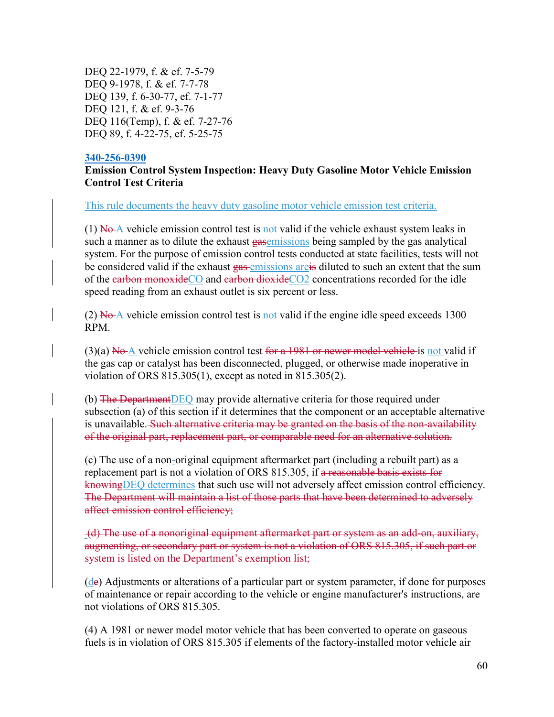DEQ 22-1979, f. & ef. 7-5-79 DEQ 9-1978, f. & ef. 7-7-78 DEQ 139, f. 6-30-77, ef. 7-1-77 DEQ 121, f. & ef. 9-3-76 DEQ 116(Temp), f. & ef. 7-27-76 DEQ 89, f. 4-22-75, ef. 5-25-75

#### **[340-256-0390](https://secure.sos.state.or.us/oard/viewSingleRule.action;JSESSIONID_OARD=3oxlIc6PZ2u31uGO2th2u9088A2Kqarcjab6TLjYb7s3a0O-i4hx!143575988?ruleVrsnRsn=244602)**

### **Emission Control System Inspection: Heavy Duty Gasoline Motor Vehicle Emission Control Test Criteria**

This rule documents the heavy duty gasoline motor vehicle emission test criteria.

 $(1)$  No A vehicle emission control test is not valid if the vehicle exhaust system leaks in such a manner as to dilute the exhaust gasemissions being sampled by the gas analytical system. For the purpose of emission control tests conducted at state facilities, tests will not be considered valid if the exhaust gas emissions are is diluted to such an extent that the sum of the carbon monoxideCO and carbon dioxideCO2 concentrations recorded for the idle speed reading from an exhaust outlet is six percent or less.

(2)  $N\theta$ - $\Delta$  vehicle emission control test is not valid if the engine idle speed exceeds 1300 RPM.

(3)(a)  $N\Theta$  vehicle emission control test for a 1981 or newer model vehicle is not valid if the gas cap or catalyst has been disconnected, plugged, or otherwise made inoperative in violation of ORS 815.305(1), except as noted in 815.305(2).

(b) The DepartmentDEQ may provide alternative criteria for those required under subsection (a) of this section if it determines that the component or an acceptable alternative is unavailable. Such alternative criteria may be granted on the basis of the non-availability of the original part, replacement part, or comparable need for an alternative solution.

(c) The use of a non-original equipment aftermarket part (including a rebuilt part) as a replacement part is not a violation of ORS 815.305, if a reasonable basis exists for knowingDEQ determines that such use will not adversely affect emission control efficiency. The Department will maintain a list of those parts that have been determined to adversely affect emission control efficiency;

(d) The use of a nonoriginal equipment aftermarket part or system as an add-on, auxiliary, augmenting, or secondary part or system is not a violation of ORS 815.305, if such part or system is listed on the Department's exemption list;

(de) Adjustments or alterations of a particular part or system parameter, if done for purposes of maintenance or repair according to the vehicle or engine manufacturer's instructions, are not violations of ORS 815.305.

(4) A 1981 or newer model motor vehicle that has been converted to operate on gaseous fuels is in violation of ORS 815.305 if elements of the factory-installed motor vehicle air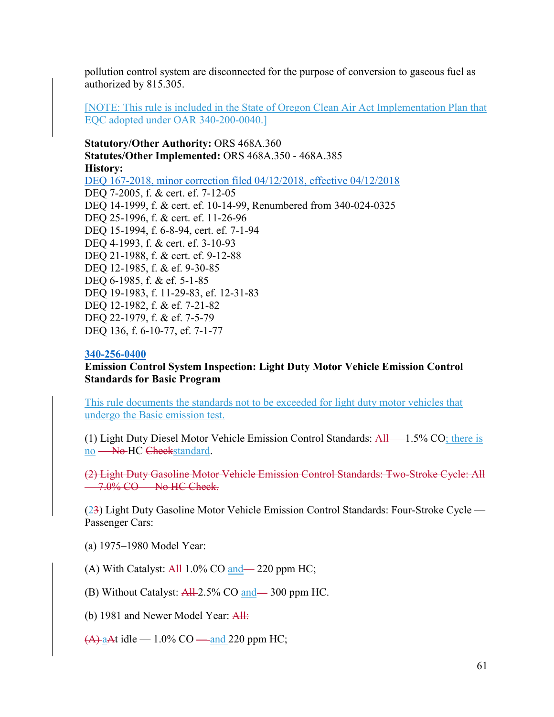pollution control system are disconnected for the purpose of conversion to gaseous fuel as authorized by 815.305.

[NOTE: This rule is included in the State of Oregon Clean Air Act Implementation Plan that EQC adopted under OAR 340-200-0040.]

**Statutory/Other Authority:** ORS 468A.360 **Statutes/Other Implemented:** ORS 468A.350 - 468A.385 **History:** [DEQ 167-2018, minor correction filed 04/12/2018, effective 04/12/2018](https://secure.sos.state.or.us/oard/viewReceiptPDF.action;JSESSIONID_OARD=3oxlIc6PZ2u31uGO2th2u9088A2Kqarcjab6TLjYb7s3a0O-i4hx!143575988?filingRsn=37673) DEQ 7-2005, f. & cert. ef. 7-12-05 DEQ 14-1999, f. & cert. ef. 10-14-99, Renumbered from 340-024-0325 DEQ 25-1996, f. & cert. ef. 11-26-96 DEQ 15-1994, f. 6-8-94, cert. ef. 7-1-94 DEQ 4-1993, f. & cert. ef. 3-10-93 DEQ 21-1988, f. & cert. ef. 9-12-88 DEQ 12-1985, f. & ef. 9-30-85 DEQ 6-1985, f. & ef. 5-1-85 DEQ 19-1983, f. 11-29-83, ef. 12-31-83 DEQ 12-1982, f. & ef. 7-21-82 DEQ 22-1979, f. & ef. 7-5-79 DEQ 136, f. 6-10-77, ef. 7-1-77

#### **[340-256-0400](https://secure.sos.state.or.us/oard/viewSingleRule.action;JSESSIONID_OARD=3oxlIc6PZ2u31uGO2th2u9088A2Kqarcjab6TLjYb7s3a0O-i4hx!143575988?ruleVrsnRsn=244606)**

**Emission Control System Inspection: Light Duty Motor Vehicle Emission Control Standards for Basic Program**

This rule documents the standards not to be exceeded for light duty motor vehicles that undergo the Basic emission test.

(1) Light Duty Diesel Motor Vehicle Emission Control Standards: All — 1.5% CO; there is no — No HC Checkstandard.

(2) Light Duty Gasoline Motor Vehicle Emission Control Standards: Two-Stroke Cycle: All — 7.0% CO — No HC Check.

(23) Light Duty Gasoline Motor Vehicle Emission Control Standards: Four-Stroke Cycle — Passenger Cars:

(a) 1975–1980 Model Year:

(A) With Catalyst:  $\frac{\text{AH}}{1.0\%}$  CO and - 220 ppm HC;

(B) Without Catalyst: All 2.5% CO and – 300 ppm HC.

(b) 1981 and Newer Model Year: All:

 $(A)$  aAt idle — 1.0% CO — and 220 ppm HC;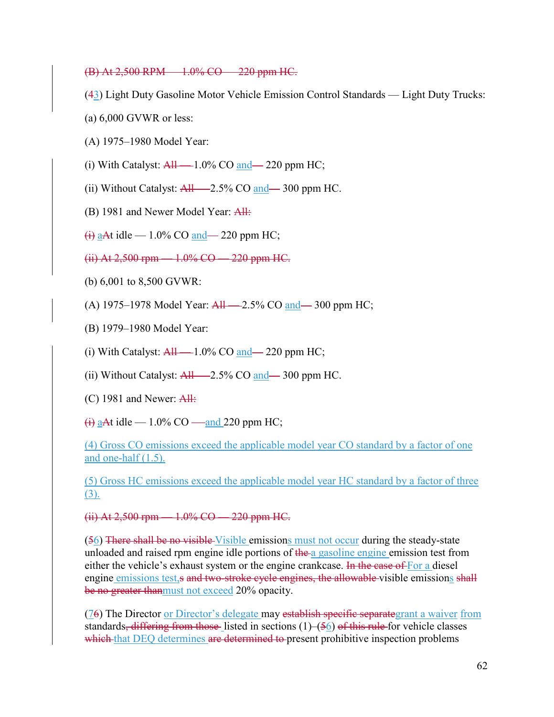(B) At 2,500 RPM — 1.0% CO — 220 ppm HC.

(43) Light Duty Gasoline Motor Vehicle Emission Control Standards — Light Duty Trucks:

(a) 6,000 GVWR or less:

- (A) 1975–1980 Model Year:
- (i) With Catalyst:  $\frac{\text{All}}{\text{All}}$  1.0% CO and 220 ppm HC;
- (ii) Without Catalyst:  $\frac{\text{All}}{\text{2.5\%}}$  CO and  $\frac{\text{and}}{\text{2.5\%}}$  300 ppm HC.
- (B) 1981 and Newer Model Year: All:

 $\overline{H}$  aAt idle — 1.0% CO and — 220 ppm HC;

(ii) At 2,500 rpm — 1.0% CO — 220 ppm HC.

- (b) 6,001 to 8,500 GVWR:
- (A) 1975–1978 Model Year:  $\frac{\text{All}}{\text{All}}$  2.5% CO and  $\frac{\text{and}}{\text{all}}$  300 ppm HC;
- (B) 1979–1980 Model Year:
- (i) With Catalyst:  $\frac{\text{All}}{\text{All}}$  -1.0% CO and 220 ppm HC;
- (ii) Without Catalyst:  $\frac{\text{All}}{\text{2.5\%}}$  CO and  $\frac{\text{1.30}}{\text{4.300}}$  ppm HC.
- (C) 1981 and Newer: All:
- $\overline{H}$  aAt idle 1.0% CO and 220 ppm HC;

(4) Gross CO emissions exceed the applicable model year CO standard by a factor of one and one-half (1.5).

(5) Gross HC emissions exceed the applicable model year HC standard by a factor of three (3).

# (ii) At 2,500 rpm — 1.0% CO — 220 ppm HC.

(56) There shall be no visible Visible emissions must not occur during the steady-state unloaded and raised rpm engine idle portions of the a gasoline engine emission test from either the vehicle's exhaust system or the engine crankcase. In the case of For a diesel engine emissions test,s and two-stroke cycle engines, the allowable visible emissions shall be no greater thanmust not exceed 20% opacity.

(76) The Director or Director's delegate may establish specific separategrant a waiver from standards, differing from those listed in sections  $(1)$ – $(56)$  of this rule for vehicle classes which that DEQ determines are determined to present prohibitive inspection problems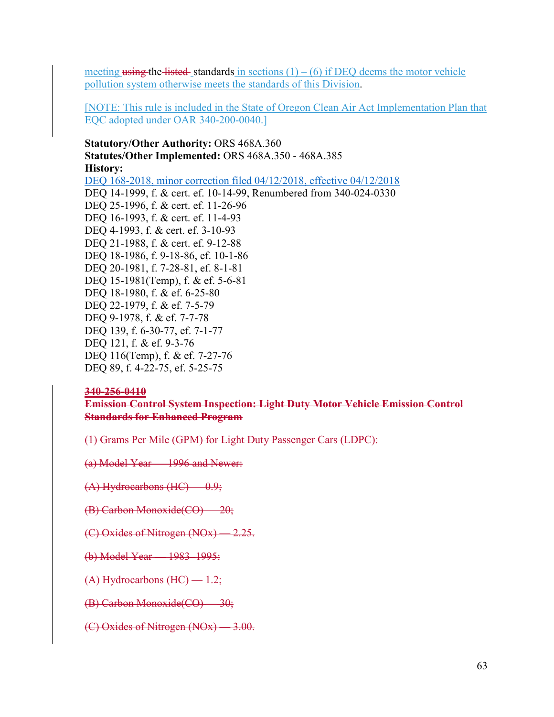meeting using the listed standards in sections  $(1) - (6)$  if DEQ deems the motor vehicle pollution system otherwise meets the standards of this Division.

[NOTE: This rule is included in the State of Oregon Clean Air Act Implementation Plan that EQC adopted under OAR 340-200-0040.]

**Statutory/Other Authority:** ORS 468A.360 **Statutes/Other Implemented:** ORS 468A.350 - 468A.385 **History:** [DEQ 168-2018, minor correction filed 04/12/2018, effective 04/12/2018](https://secure.sos.state.or.us/oard/viewReceiptPDF.action;JSESSIONID_OARD=3oxlIc6PZ2u31uGO2th2u9088A2Kqarcjab6TLjYb7s3a0O-i4hx!143575988?filingRsn=37674) DEQ 14-1999, f. & cert. ef. 10-14-99, Renumbered from 340-024-0330 DEQ 25-1996, f. & cert. ef. 11-26-96 DEQ 16-1993, f. & cert. ef. 11-4-93 DEQ 4-1993, f. & cert. ef. 3-10-93 DEQ 21-1988, f. & cert. ef. 9-12-88 DEQ 18-1986, f. 9-18-86, ef. 10-1-86 DEQ 20-1981, f. 7-28-81, ef. 8-1-81 DEQ 15-1981(Temp), f. & ef. 5-6-81 DEQ 18-1980, f. & ef. 6-25-80 DEQ 22-1979, f. & ef. 7-5-79 DEQ 9-1978, f. & ef. 7-7-78 DEQ 139, f. 6-30-77, ef. 7-1-77 DEQ 121, f. & ef. 9-3-76 DEQ 116(Temp), f. & ef. 7-27-76 DEQ 89, f. 4-22-75, ef. 5-25-75

#### **340-256-0410**

**Emission Control System Inspection: Light Duty Motor Vehicle Emission Control Standards for Enhanced Program**

(1) Grams Per Mile (GPM) for Light Duty Passenger Cars (LDPC):

(a) Model Year — 1996 and Newer:

- (A) Hydrocarbons (HC) 0.9;
- (B) Carbon Monoxide(CO) 20;

(C) Oxides of Nitrogen (NOx) — 2.25.

- (b) Model Year 1983–1995:
- (A) Hydrocarbons (HC) 1.2;
- (B) Carbon Monoxide(CO) 30;
- (C) Oxides of Nitrogen (NOx) 3.00.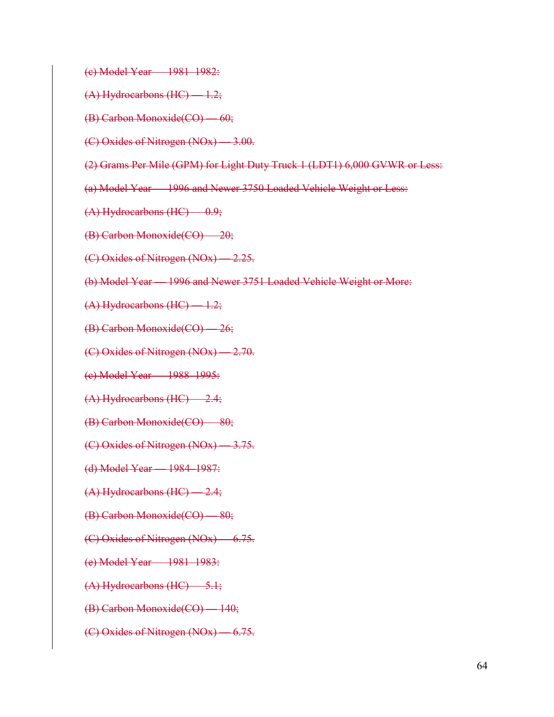(c) Model Year — 1981–1982:

(A) Hydrocarbons (HC) — 1.2;

(B) Carbon Monoxide(CO) — 60;

(C) Oxides of Nitrogen (NOx) — 3.00.

(2) Grams Per Mile (GPM) for Light Duty Truck 1 (LDT1) 6,000 GVWR or Less:

(a) Model Year — 1996 and Newer 3750 Loaded Vehicle Weight or Less:

(A) Hydrocarbons (HC) — 0.9;

(B) Carbon Monoxide(CO) — 20;

(C) Oxides of Nitrogen (NOx) — 2.25.

(b) Model Year — 1996 and Newer 3751 Loaded Vehicle Weight or More:

(A) Hydrocarbons (HC) — 1.2;

(B) Carbon Monoxide(CO) — 26;

(C) Oxides of Nitrogen (NOx) — 2.70.

(c) Model Year — 1988–1995:

(A) Hydrocarbons (HC) — 2.4;

(B) Carbon Monoxide(CO) — 80;

(C) Oxides of Nitrogen (NOx) — 3.75.

(d) Model Year — 1984–1987:

(A) Hydrocarbons (HC) — 2.4;

(B) Carbon Monoxide(CO) — 80;

(C) Oxides of Nitrogen (NOx) — 6.75.

(e) Model Year — 1981–1983:

(A) Hydrocarbons (HC) — 5.1;

(B) Carbon Monoxide(CO) — 140;

(C) Oxides of Nitrogen (NOx) — 6.75.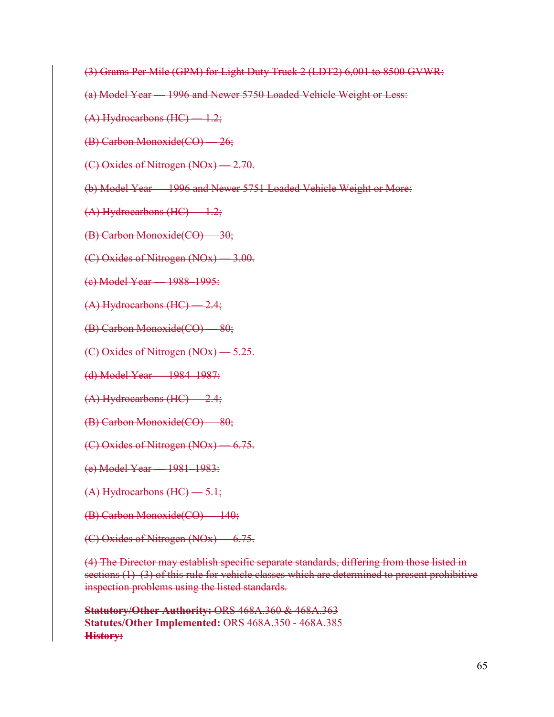- (3) Grams Per Mile (GPM) for Light Duty Truck 2 (LDT2) 6,001 to 8500 GVWR:
- (a) Model Year 1996 and Newer 5750 Loaded Vehicle Weight or Less:
- (A) Hydrocarbons (HC) 1.2;
- (B) Carbon Monoxide(CO) 26;
- (C) Oxides of Nitrogen (NOx) 2.70.
- (b) Model Year 1996 and Newer 5751 Loaded Vehicle Weight or More:
- (A) Hydrocarbons (HC) 1.2;
- (B) Carbon Monoxide(CO) 30;
- (C) Oxides of Nitrogen (NOx) 3.00.
- (c) Model Year 1988–1995:
- (A) Hydrocarbons (HC) 2.4;
- (B) Carbon Monoxide(CO) 80;
- (C) Oxides of Nitrogen (NOx) 5.25.
- (d) Model Year 1984–1987:
- (A) Hydrocarbons (HC) 2.4;
- (B) Carbon Monoxide(CO) 80;
- (C) Oxides of Nitrogen (NOx) 6.75.
- (e) Model Year 1981–1983:
- (A) Hydrocarbons (HC) 5.1;
- (B) Carbon Monoxide(CO) 140;
- (C) Oxides of Nitrogen (NOx) 6.75.

(4) The Director may establish specific separate standards, differing from those listed in sections (1)–(3) of this rule for vehicle classes which are determined to present prohibitive inspection problems using the listed standards.

**Statutory/Other Authority:** ORS 468A.360 & 468A.363 **Statutes/Other Implemented:** ORS 468A.350 - 468A.385 **History:**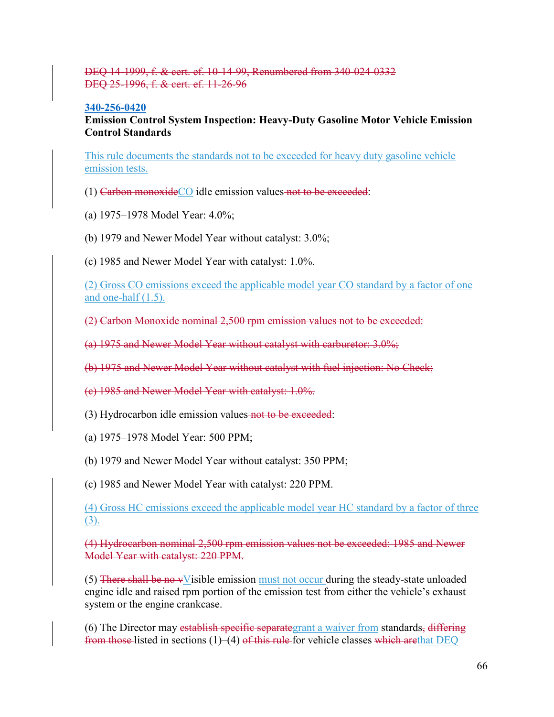### DEQ 14-1999, f. & cert. ef. 10-14-99, Renumbered from 340-024-0332 DEQ 25-1996, f. & cert. ef. 11-26-96

#### **[340-256-0420](https://secure.sos.state.or.us/oard/viewSingleRule.action;JSESSIONID_OARD=3oxlIc6PZ2u31uGO2th2u9088A2Kqarcjab6TLjYb7s3a0O-i4hx!143575988?ruleVrsnRsn=75834)**

**Emission Control System Inspection: Heavy-Duty Gasoline Motor Vehicle Emission Control Standards**

This rule documents the standards not to be exceeded for heavy duty gasoline vehicle emission tests.

- (1) Carbon monoxideCO idle emission values not to be exceeded:
- (a) 1975–1978 Model Year: 4.0%;
- (b) 1979 and Newer Model Year without catalyst: 3.0%;
- (c) 1985 and Newer Model Year with catalyst: 1.0%.

(2) Gross CO emissions exceed the applicable model year CO standard by a factor of one and one-half (1.5).

(2) Carbon Monoxide nominal 2,500 rpm emission values not to be exceeded:

(a) 1975 and Newer Model Year without catalyst with carburetor: 3.0%;

(b) 1975 and Newer Model Year without catalyst with fuel injection: No Check;

(c) 1985 and Newer Model Year with catalyst: 1.0%.

(3) Hydrocarbon idle emission values not to be exceeded:

(a) 1975–1978 Model Year: 500 PPM;

(b) 1979 and Newer Model Year without catalyst: 350 PPM;

(c) 1985 and Newer Model Year with catalyst: 220 PPM.

(4) Gross HC emissions exceed the applicable model year HC standard by a factor of three (3).

(4) Hydrocarbon nominal 2,500 rpm emission values not be exceeded: 1985 and Newer Model Year with catalyst: 220 PPM.

 $(5)$  There shall be no vVisible emission must not occur during the steady-state unloaded engine idle and raised rpm portion of the emission test from either the vehicle's exhaust system or the engine crankcase.

(6) The Director may establish specific separategrant a waiver from standards, differing from those listed in sections (1)–(4) of this rule for vehicle classes which are that DEQ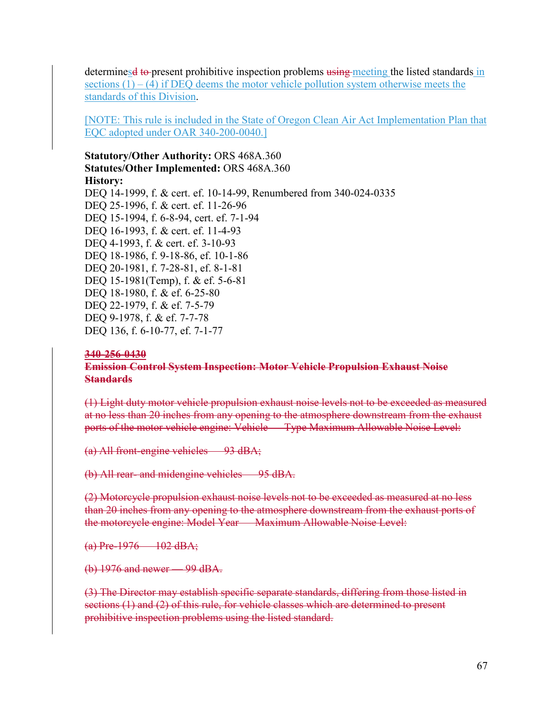determines to present prohibitive inspection problems using meeting the listed standards in sections  $(1) - (4)$  if DEQ deems the motor vehicle pollution system otherwise meets the standards of this Division.

[NOTE: This rule is included in the State of Oregon Clean Air Act Implementation Plan that EQC adopted under OAR 340-200-0040.]

# **Statutory/Other Authority:** ORS 468A.360 **Statutes/Other Implemented:** ORS 468A.360 **History:** DEQ 14-1999, f. & cert. ef. 10-14-99, Renumbered from 340-024-0335 DEQ 25-1996, f. & cert. ef. 11-26-96

DEQ 15-1994, f. 6-8-94, cert. ef. 7-1-94 DEQ 16-1993, f. & cert. ef. 11-4-93 DEQ 4-1993, f. & cert. ef. 3-10-93 DEQ 18-1986, f. 9-18-86, ef. 10-1-86 DEQ 20-1981, f. 7-28-81, ef. 8-1-81 DEQ 15-1981(Temp), f. & ef. 5-6-81 DEQ 18-1980, f. & ef. 6-25-80 DEQ 22-1979, f. & ef. 7-5-79 DEQ 9-1978, f. & ef. 7-7-78 DEQ 136, f. 6-10-77, ef. 7-1-77

#### **340-256-0430**

### **Emission Control System Inspection: Motor Vehicle Propulsion Exhaust Noise Standards**

(1) Light duty motor vehicle propulsion exhaust noise levels not to be exceeded as measured at no less than 20 inches from any opening to the atmosphere downstream from the exhaust ports of the motor vehicle engine: Vehicle — Type Maximum Allowable Noise Level:

(a) All front-engine vehicles — 93 dBA;

(b) All rear- and midengine vehicles — 95 dBA.

(2) Motorcycle propulsion exhaust noise levels not to be exceeded as measured at no less than 20 inches from any opening to the atmosphere downstream from the exhaust ports of the motorcycle engine: Model Year — Maximum Allowable Noise Level:

(a) Pre-1976 — 102 dBA;

(b) 1976 and newer — 99 dBA.

(3) The Director may establish specific separate standards, differing from those listed in sections (1) and (2) of this rule, for vehicle classes which are determined to present prohibitive inspection problems using the listed standard.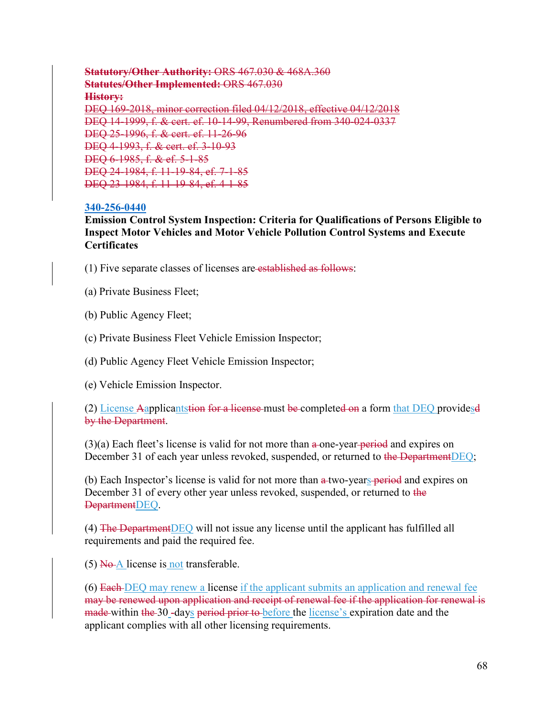**Statutory/Other Authority:** ORS 467.030 & 468A.360 **Statutes/Other Implemented:** ORS 467.030 **History:** DEQ 169-2018, minor correction filed 04/12/2018, effective 04/12/2018 DEQ 14-1999, f. & cert. ef. 10-14-99, Renumbered from 340-024-0337 DEQ 25-1996, f. & cert. ef. 11-26-96 DEQ 4-1993, f. & cert. ef. 3-10-93 DEQ 6-1985, f. & ef. 5-1-85 DEQ 24-1984, f. 11-19-84, ef. 7-1-85 DEQ 23-1984, f. 11-19-84, ef. 4-1-85

# **[340-256-0440](https://secure.sos.state.or.us/oard/viewSingleRule.action;JSESSIONID_OARD=3oxlIc6PZ2u31uGO2th2u9088A2Kqarcjab6TLjYb7s3a0O-i4hx!143575988?ruleVrsnRsn=244616)**

**Emission Control System Inspection: Criteria for Qualifications of Persons Eligible to Inspect Motor Vehicles and Motor Vehicle Pollution Control Systems and Execute Certificates**

- (1) Five separate classes of licenses are established as follows:
- (a) Private Business Fleet;
- (b) Public Agency Fleet;
- (c) Private Business Fleet Vehicle Emission Inspector;

(d) Public Agency Fleet Vehicle Emission Inspector;

(e) Vehicle Emission Inspector.

(2) License Aapplicantstion for a license must be completed on a form that DEQ providesd by the Department.

 $(3)(a)$  Each fleet's license is valid for not more than a-one-year-period and expires on December 31 of each year unless revoked, suspended, or returned to the DepartmentDEQ;

(b) Each Inspector's license is valid for not more than a two-years period and expires on December 31 of every other year unless revoked, suspended, or returned to the DepartmentDEQ.

(4) The DepartmentDEQ will not issue any license until the applicant has fulfilled all requirements and paid the required fee.

 $(5)$  No A license is not transferable.

(6) Each DEQ may renew a license if the applicant submits an application and renewal fee may be renewed upon application and receipt of renewal fee if the application for renewal is made within the 30 -days period prior to before the license's expiration date and the applicant complies with all other licensing requirements.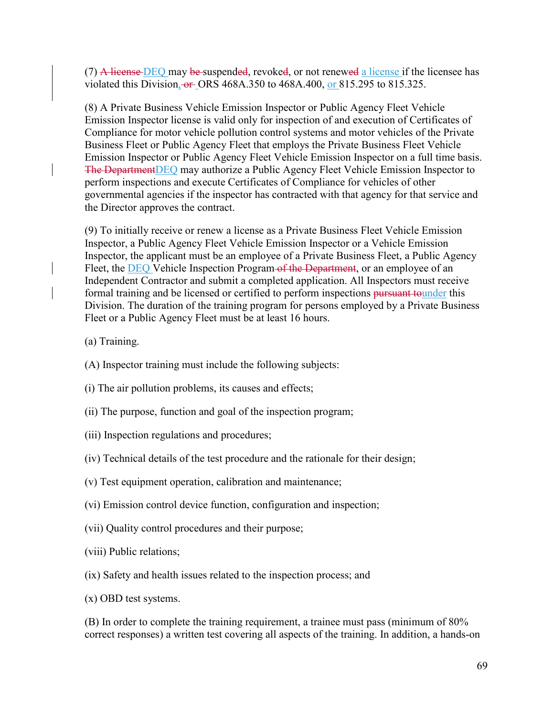(7) A license  $DEQ$  may be suspended, revoked, or not renewed a license if the licensee has violated this Division,  $-6$  ORS 468A.350 to 468A.400, or 815.295 to 815.325.

(8) A Private Business Vehicle Emission Inspector or Public Agency Fleet Vehicle Emission Inspector license is valid only for inspection of and execution of Certificates of Compliance for motor vehicle pollution control systems and motor vehicles of the Private Business Fleet or Public Agency Fleet that employs the Private Business Fleet Vehicle Emission Inspector or Public Agency Fleet Vehicle Emission Inspector on a full time basis. The DepartmentDEQ may authorize a Public Agency Fleet Vehicle Emission Inspector to perform inspections and execute Certificates of Compliance for vehicles of other governmental agencies if the inspector has contracted with that agency for that service and the Director approves the contract.

(9) To initially receive or renew a license as a Private Business Fleet Vehicle Emission Inspector, a Public Agency Fleet Vehicle Emission Inspector or a Vehicle Emission Inspector, the applicant must be an employee of a Private Business Fleet, a Public Agency Fleet, the **DEQ** Vehicle Inspection Program of the Department, or an employee of an Independent Contractor and submit a completed application. All Inspectors must receive formal training and be licensed or certified to perform inspections pursuant tounder this Division. The duration of the training program for persons employed by a Private Business Fleet or a Public Agency Fleet must be at least 16 hours.

(a) Training.

- (A) Inspector training must include the following subjects:
- (i) The air pollution problems, its causes and effects;
- (ii) The purpose, function and goal of the inspection program;
- (iii) Inspection regulations and procedures;
- (iv) Technical details of the test procedure and the rationale for their design;
- (v) Test equipment operation, calibration and maintenance;
- (vi) Emission control device function, configuration and inspection;
- (vii) Quality control procedures and their purpose;
- (viii) Public relations;
- (ix) Safety and health issues related to the inspection process; and
- (x) OBD test systems.

(B) In order to complete the training requirement, a trainee must pass (minimum of 80% correct responses) a written test covering all aspects of the training. In addition, a hands-on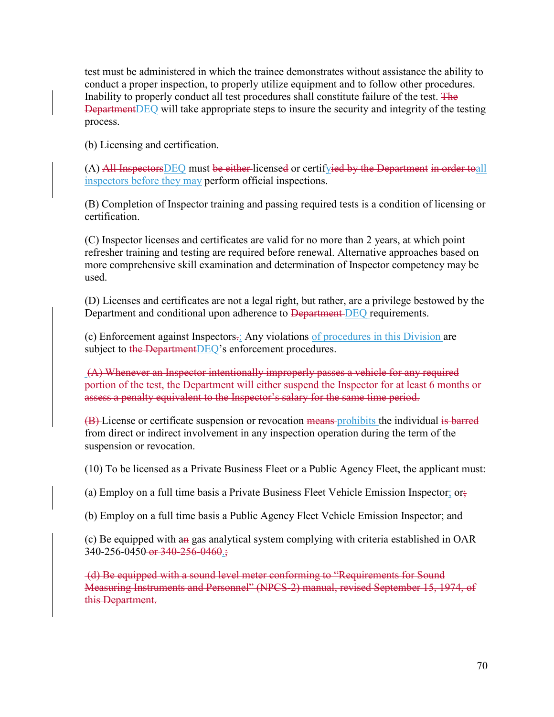test must be administered in which the trainee demonstrates without assistance the ability to conduct a proper inspection, to properly utilize equipment and to follow other procedures. Inability to properly conduct all test procedures shall constitute failure of the test. The DepartmentDEQ will take appropriate steps to insure the security and integrity of the testing process.

(b) Licensing and certification.

 $(A)$  All Inspectors DEQ must be either licensed or certifyied by the Department in order to all inspectors before they may perform official inspections.

(B) Completion of Inspector training and passing required tests is a condition of licensing or certification.

(C) Inspector licenses and certificates are valid for no more than 2 years, at which point refresher training and testing are required before renewal. Alternative approaches based on more comprehensive skill examination and determination of Inspector competency may be used.

(D) Licenses and certificates are not a legal right, but rather, are a privilege bestowed by the Department and conditional upon adherence to Department DEQ requirements.

(c) Enforcement against Inspectors.: Any violations of procedures in this Division are subject to the DepartmentDEO's enforcement procedures.

(A) Whenever an Inspector intentionally improperly passes a vehicle for any required portion of the test, the Department will either suspend the Inspector for at least 6 months or assess a penalty equivalent to the Inspector's salary for the same time period.

(B) License or certificate suspension or revocation means prohibits the individual is barred from direct or indirect involvement in any inspection operation during the term of the suspension or revocation.

(10) To be licensed as a Private Business Fleet or a Public Agency Fleet, the applicant must:

(a) Employ on a full time basis a Private Business Fleet Vehicle Emission Inspector; or;

(b) Employ on a full time basis a Public Agency Fleet Vehicle Emission Inspector; and

(c) Be equipped with an gas analytical system complying with criteria established in OAR 340-256-0450 or 340-256-0460;

(d) Be equipped with a sound level meter conforming to "Requirements for Sound Measuring Instruments and Personnel" (NPCS-2) manual, revised September 15, 1974, of this Department.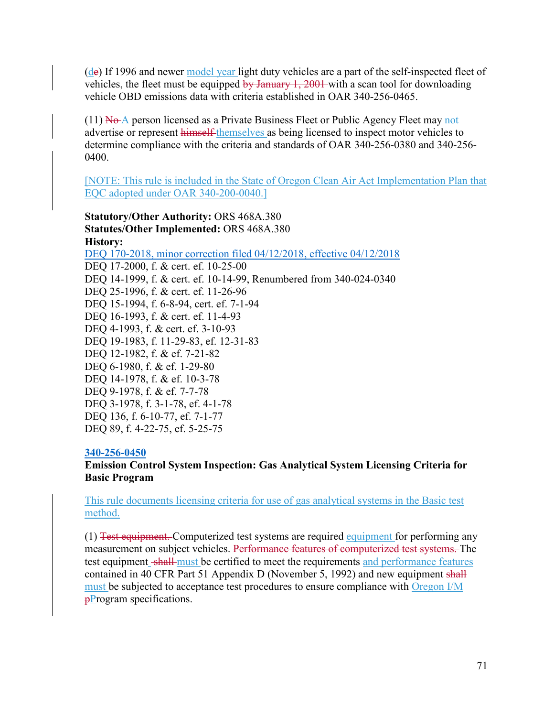$(d$ e) If 1996 and newer model year light duty vehicles are a part of the self-inspected fleet of vehicles, the fleet must be equipped  $\frac{by \text{ January } 1, 2001}{}$  with a scan tool for downloading vehicle OBD emissions data with criteria established in OAR 340-256-0465.

 $(11)$  No A person licensed as a Private Business Fleet or Public Agency Fleet may not advertise or represent himself themselves as being licensed to inspect motor vehicles to determine compliance with the criteria and standards of OAR 340-256-0380 and 340-256- 0400.

[NOTE: This rule is included in the State of Oregon Clean Air Act Implementation Plan that EQC adopted under OAR 340-200-0040.]

**Statutory/Other Authority:** ORS 468A.380 **Statutes/Other Implemented:** ORS 468A.380 **History:** [DEQ 170-2018, minor correction filed 04/12/2018, effective 04/12/2018](https://secure.sos.state.or.us/oard/viewReceiptPDF.action;JSESSIONID_OARD=3oxlIc6PZ2u31uGO2th2u9088A2Kqarcjab6TLjYb7s3a0O-i4hx!143575988?filingRsn=37676) DEQ 17-2000, f. & cert. ef. 10-25-00 DEQ 14-1999, f. & cert. ef. 10-14-99, Renumbered from 340-024-0340 DEQ 25-1996, f. & cert. ef. 11-26-96 DEQ 15-1994, f. 6-8-94, cert. ef. 7-1-94 DEQ 16-1993, f. & cert. ef. 11-4-93 DEQ 4-1993, f. & cert. ef. 3-10-93 DEQ 19-1983, f. 11-29-83, ef. 12-31-83 DEQ 12-1982, f. & ef. 7-21-82 DEQ 6-1980, f. & ef. 1-29-80 DEQ 14-1978, f. & ef. 10-3-78 DEQ 9-1978, f. & ef. 7-7-78 DEQ 3-1978, f. 3-1-78, ef. 4-1-78 DEQ 136, f. 6-10-77, ef. 7-1-77 DEQ 89, f. 4-22-75, ef. 5-25-75

### **[340-256-0450](https://secure.sos.state.or.us/oard/viewSingleRule.action;JSESSIONID_OARD=3oxlIc6PZ2u31uGO2th2u9088A2Kqarcjab6TLjYb7s3a0O-i4hx!143575988?ruleVrsnRsn=75866)**

**Emission Control System Inspection: Gas Analytical System Licensing Criteria for Basic Program**

This rule documents licensing criteria for use of gas analytical systems in the Basic test method.

(1) Test equipment. Computerized test systems are required equipment for performing any measurement on subject vehicles. Performance features of computerized test systems. The test equipment shall must be certified to meet the requirements and performance features contained in 40 CFR Part 51 Appendix D (November 5, 1992) and new equipment shall must be subjected to acceptance test procedures to ensure compliance with Oregon I/M **pProgram** specifications.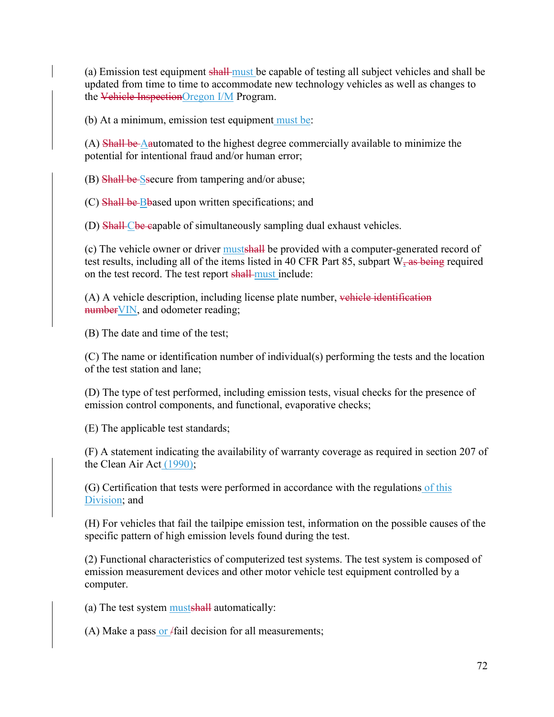(a) Emission test equipment shall must be capable of testing all subject vehicles and shall be updated from time to time to accommodate new technology vehicles as well as changes to the Vehicle InspectionOregon I/M Program.

(b) At a minimum, emission test equipment must be:

(A) Shall be Aautomated to the highest degree commercially available to minimize the potential for intentional fraud and/or human error;

(B) Shall be Ssecure from tampering and/or abuse;

(C) Shall be Bbased upon written specifications; and

(D) Shall-Cbe capable of simultaneously sampling dual exhaust vehicles.

(c) The vehicle owner or driver mustshall be provided with a computer-generated record of test results, including all of the items listed in 40 CFR Part 85, subpart  $W_2$  as being required on the test record. The test report shall-must include:

 $(A)$  A vehicle description, including license plate number, vehicle identification number VIN, and odometer reading;

(B) The date and time of the test;

(C) The name or identification number of individual(s) performing the tests and the location of the test station and lane;

(D) The type of test performed, including emission tests, visual checks for the presence of emission control components, and functional, evaporative checks;

(E) The applicable test standards;

(F) A statement indicating the availability of warranty coverage as required in section 207 of the Clean Air Act (1990);

(G) Certification that tests were performed in accordance with the regulations of this Division; and

(H) For vehicles that fail the tailpipe emission test, information on the possible causes of the specific pattern of high emission levels found during the test.

(2) Functional characteristics of computerized test systems. The test system is composed of emission measurement devices and other motor vehicle test equipment controlled by a computer.

(a) The test system mustshall automatically:

(A) Make a pass or  $/$ fail decision for all measurements;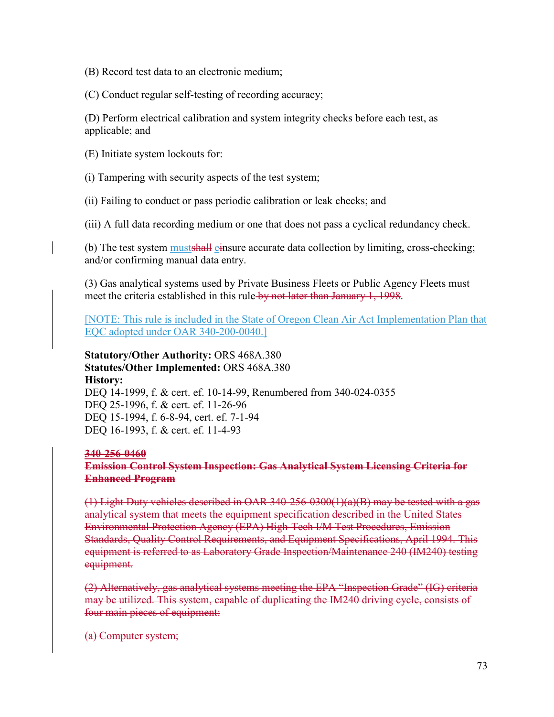(B) Record test data to an electronic medium;

(C) Conduct regular self-testing of recording accuracy;

(D) Perform electrical calibration and system integrity checks before each test, as applicable; and

(E) Initiate system lockouts for:

(i) Tampering with security aspects of the test system;

(ii) Failing to conduct or pass periodic calibration or leak checks; and

(iii) A full data recording medium or one that does not pass a cyclical redundancy check.

(b) The test system musts hall einsure accurate data collection by limiting, cross-checking; and/or confirming manual data entry.

(3) Gas analytical systems used by Private Business Fleets or Public Agency Fleets must meet the criteria established in this rule by not later than January 1, 1998.

[NOTE: This rule is included in the State of Oregon Clean Air Act Implementation Plan that EQC adopted under OAR 340-200-0040.]

**Statutory/Other Authority:** ORS 468A.380 **Statutes/Other Implemented:** ORS 468A.380 **History:** DEQ 14-1999, f. & cert. ef. 10-14-99, Renumbered from 340-024-0355 DEQ 25-1996, f. & cert. ef. 11-26-96 DEQ 15-1994, f. 6-8-94, cert. ef. 7-1-94 DEQ 16-1993, f. & cert. ef. 11-4-93

#### **340-256-0460**

**Emission Control System Inspection: Gas Analytical System Licensing Criteria for Enhanced Program**

(1) Light Duty vehicles described in OAR 340-256-0300(1)(a)(B) may be tested with a gas analytical system that meets the equipment specification described in the United States Environmental Protection Agency (EPA) High-Tech I/M Test Procedures, Emission Standards, Quality Control Requirements, and Equipment Specifications, April 1994. This equipment is referred to as Laboratory Grade Inspection/Maintenance 240 (IM240) testing equipment.

(2) Alternatively, gas analytical systems meeting the EPA "Inspection Grade" (IG) criteria may be utilized. This system, capable of duplicating the IM240 driving cycle, consists of four main pieces of equipment:

(a) Computer system;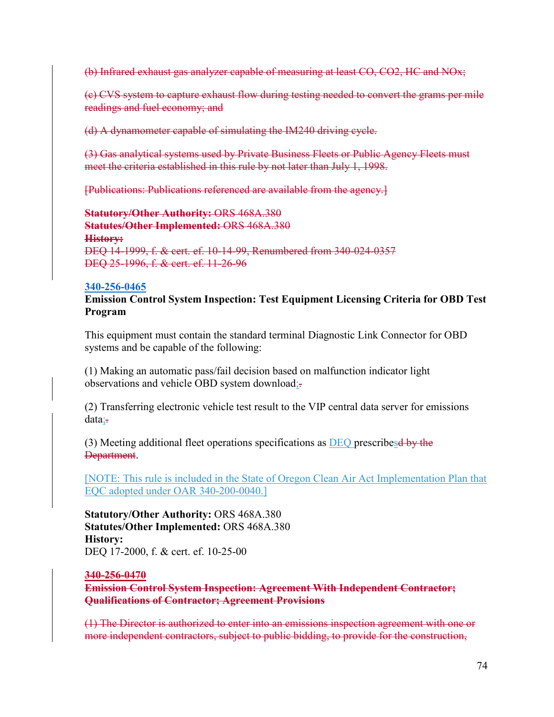(b) Infrared exhaust gas analyzer capable of measuring at least CO, CO2, HC and NOx;

(c) CVS system to capture exhaust flow during testing needed to convert the grams per mile readings and fuel economy; and

(d) A dynamometer capable of simulating the IM240 driving cycle.

(3) Gas analytical systems used by Private Business Fleets or Public Agency Fleets must meet the criteria established in this rule by not later than July 1, 1998.

[Publications: Publications referenced are available from the agency.]

**Statutory/Other Authority:** ORS 468A.380 **Statutes/Other Implemented:** ORS 468A.380 **History:** DEQ 14-1999, f. & cert. ef. 10-14-99, Renumbered from 340-024-0357 DEQ 25-1996, f. & cert. ef. 11-26-96

#### **[340-256-0465](https://secure.sos.state.or.us/oard/viewSingleRule.action;JSESSIONID_OARD=3oxlIc6PZ2u31uGO2th2u9088A2Kqarcjab6TLjYb7s3a0O-i4hx!143575988?ruleVrsnRsn=75872)**

**Emission Control System Inspection: Test Equipment Licensing Criteria for OBD Test Program**

This equipment must contain the standard terminal Diagnostic Link Connector for OBD systems and be capable of the following:

(1) Making an automatic pass/fail decision based on malfunction indicator light observations and vehicle OBD system download;-

(2) Transferring electronic vehicle test result to the VIP central data server for emissions data;

(3) Meeting additional fleet operations specifications as  $DEQ$  prescribes by the Department.

[NOTE: This rule is included in the State of Oregon Clean Air Act Implementation Plan that EQC adopted under OAR 340-200-0040.]

**Statutory/Other Authority:** ORS 468A.380 **Statutes/Other Implemented:** ORS 468A.380 **History:** DEQ 17-2000, f. & cert. ef. 10-25-00

#### **340-256-0470**

**Emission Control System Inspection: Agreement With Independent Contractor; Qualifications of Contractor; Agreement Provisions**

(1) The Director is authorized to enter into an emissions inspection agreement with one or more independent contractors, subject to public bidding, to provide for the construction,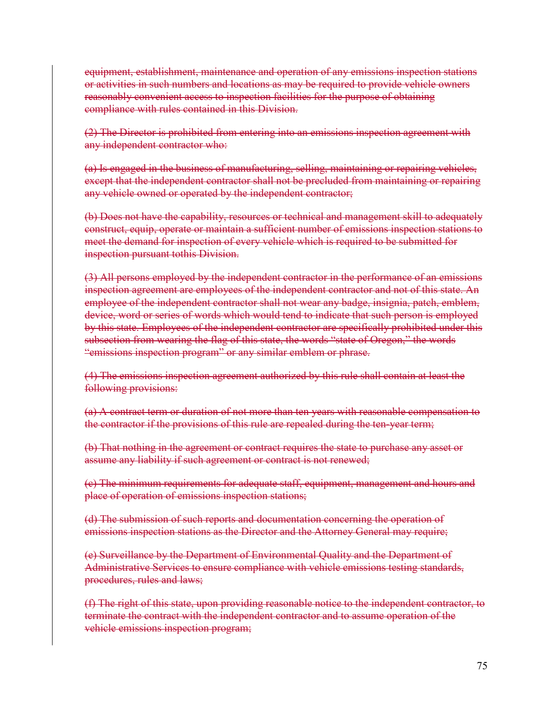equipment, establishment, maintenance and operation of any emissions inspection stations or activities in such numbers and locations as may be required to provide vehicle owners reasonably convenient access to inspection facilities for the purpose of obtaining compliance with rules contained in this Division.

(2) The Director is prohibited from entering into an emissions inspection agreement with any independent contractor who:

(a) Is engaged in the business of manufacturing, selling, maintaining or repairing vehicles, except that the independent contractor shall not be precluded from maintaining or repairing any vehicle owned or operated by the independent contractor;

(b) Does not have the capability, resources or technical and management skill to adequately construct, equip, operate or maintain a sufficient number of emissions inspection stations to meet the demand for inspection of every vehicle which is required to be submitted for inspection pursuant tothis Division.

(3) All persons employed by the independent contractor in the performance of an emissions inspection agreement are employees of the independent contractor and not of this state. An employee of the independent contractor shall not wear any badge, insignia, patch, emblem, device, word or series of words which would tend to indicate that such person is employed by this state. Employees of the independent contractor are specifically prohibited under this subsection from wearing the flag of this state, the words "state of Oregon," the words "emissions inspection program" or any similar emblem or phrase.

(4) The emissions inspection agreement authorized by this rule shall contain at least the following provisions:

(a) A contract term or duration of not more than ten years with reasonable compensation to the contractor if the provisions of this rule are repealed during the ten-year term;

(b) That nothing in the agreement or contract requires the state to purchase any asset or assume any liability if such agreement or contract is not renewed;

(c) The minimum requirements for adequate staff, equipment, management and hours and place of operation of emissions inspection stations;

(d) The submission of such reports and documentation concerning the operation of emissions inspection stations as the Director and the Attorney General may require;

(e) Surveillance by the Department of Environmental Quality and the Department of Administrative Services to ensure compliance with vehicle emissions testing standards, procedures, rules and laws;

(f) The right of this state, upon providing reasonable notice to the independent contractor, to terminate the contract with the independent contractor and to assume operation of the vehicle emissions inspection program;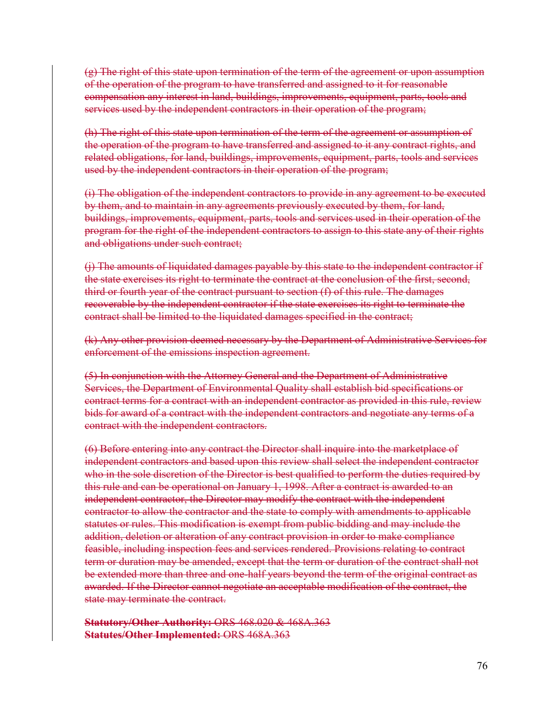(g) The right of this state upon termination of the term of the agreement or upon assumption of the operation of the program to have transferred and assigned to it for reasonable compensation any interest in land, buildings, improvements, equipment, parts, tools and services used by the independent contractors in their operation of the program;

(h) The right of this state upon termination of the term of the agreement or assumption of the operation of the program to have transferred and assigned to it any contract rights, and related obligations, for land, buildings, improvements, equipment, parts, tools and services used by the independent contractors in their operation of the program;

(i) The obligation of the independent contractors to provide in any agreement to be executed by them, and to maintain in any agreements previously executed by them, for land, buildings, improvements, equipment, parts, tools and services used in their operation of the program for the right of the independent contractors to assign to this state any of their rights and obligations under such contract;

(j) The amounts of liquidated damages payable by this state to the independent contractor if the state exercises its right to terminate the contract at the conclusion of the first, second, third or fourth year of the contract pursuant to section (f) of this rule. The damages recoverable by the independent contractor if the state exercises its right to terminate the contract shall be limited to the liquidated damages specified in the contract;

(k) Any other provision deemed necessary by the Department of Administrative Services for enforcement of the emissions inspection agreement.

(5) In conjunction with the Attorney General and the Department of Administrative Services, the Department of Environmental Quality shall establish bid specifications or contract terms for a contract with an independent contractor as provided in this rule, review bids for award of a contract with the independent contractors and negotiate any terms of a contract with the independent contractors.

(6) Before entering into any contract the Director shall inquire into the marketplace of independent contractors and based upon this review shall select the independent contractor who in the sole discretion of the Director is best qualified to perform the duties required by this rule and can be operational on January 1, 1998. After a contract is awarded to an independent contractor, the Director may modify the contract with the independent contractor to allow the contractor and the state to comply with amendments to applicable statutes or rules. This modification is exempt from public bidding and may include the addition, deletion or alteration of any contract provision in order to make compliance feasible, including inspection fees and services rendered. Provisions relating to contract term or duration may be amended, except that the term or duration of the contract shall not be extended more than three and one-half years beyond the term of the original contract as awarded. If the Director cannot negotiate an acceptable modification of the contract, the state may terminate the contract.

**Statutory/Other Authority:** ORS 468.020 & 468A.363 **Statutes/Other Implemented:** ORS 468A.363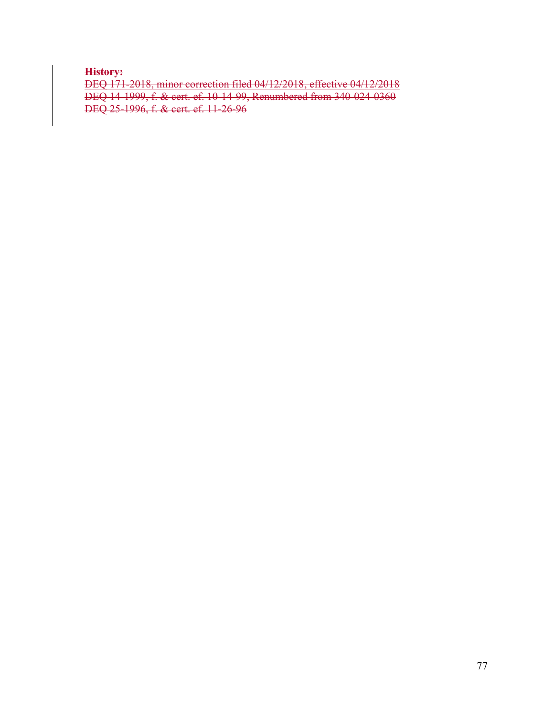**History:**

DEQ 171-2018, minor correction filed 04/12/2018, effective 04/12/2018 DEQ 14-1999, f. & cert. ef. 10-14-99, Renumbered from 340-024-0360 DEQ 25-1996, f. & cert. ef. 11-26-96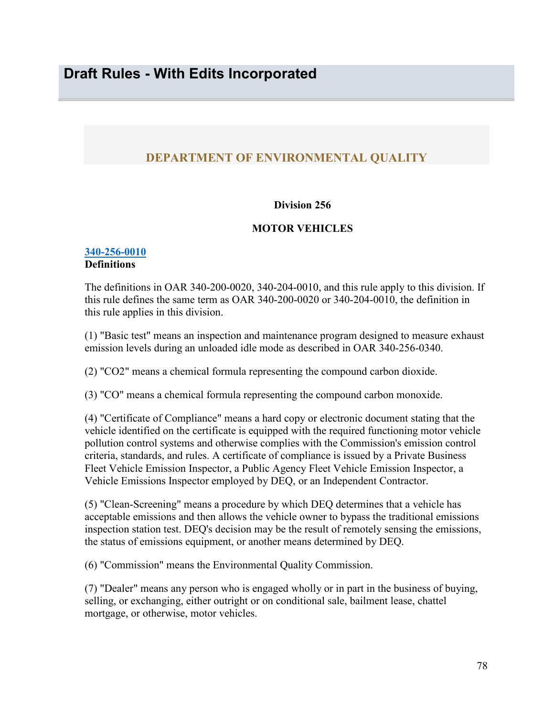# **DEPARTMENT OF ENVIRONMENTAL QUALITY**

## **Division 256**

# **MOTOR VEHICLES**

#### **[340-256-0010](https://secure.sos.state.or.us/oard/viewSingleRule.action;JSESSIONID_OARD=3oxlIc6PZ2u31uGO2th2u9088A2Kqarcjab6TLjYb7s3a0O-i4hx!143575988?ruleVrsnRsn=75705) Definitions**

The definitions in OAR 340-200-0020, 340-204-0010, and this rule apply to this division. If this rule defines the same term as OAR 340-200-0020 or 340-204-0010, the definition in this rule applies in this division.

(1) "Basic test" means an inspection and maintenance program designed to measure exhaust emission levels during an unloaded idle mode as described in OAR 340-256-0340.

(2) "CO2" means a chemical formula representing the compound carbon dioxide.

(3) "CO" means a chemical formula representing the compound carbon monoxide.

(4) "Certificate of Compliance" means a hard copy or electronic document stating that the vehicle identified on the certificate is equipped with the required functioning motor vehicle pollution control systems and otherwise complies with the Commission's emission control criteria, standards, and rules. A certificate of compliance is issued by a Private Business Fleet Vehicle Emission Inspector, a Public Agency Fleet Vehicle Emission Inspector, a Vehicle Emissions Inspector employed by DEQ, or an Independent Contractor.

(5) "Clean-Screening" means a procedure by which DEQ determines that a vehicle has acceptable emissions and then allows the vehicle owner to bypass the traditional emissions inspection station test. DEQ's decision may be the result of remotely sensing the emissions, the status of emissions equipment, or another means determined by DEQ.

(6) "Commission" means the Environmental Quality Commission.

(7) "Dealer" means any person who is engaged wholly or in part in the business of buying, selling, or exchanging, either outright or on conditional sale, bailment lease, chattel mortgage, or otherwise, motor vehicles.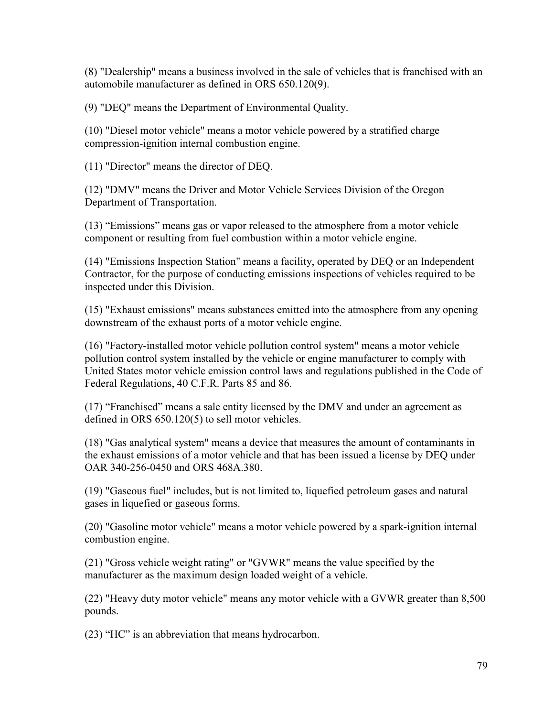(8) "Dealership" means a business involved in the sale of vehicles that is franchised with an automobile manufacturer as defined in ORS 650.120(9).

(9) "DEQ" means the Department of Environmental Quality.

(10) "Diesel motor vehicle" means a motor vehicle powered by a stratified charge compression-ignition internal combustion engine.

(11) "Director" means the director of DEQ.

(12) "DMV" means the Driver and Motor Vehicle Services Division of the Oregon Department of Transportation.

(13) "Emissions" means gas or vapor released to the atmosphere from a motor vehicle component or resulting from fuel combustion within a motor vehicle engine.

(14) "Emissions Inspection Station" means a facility, operated by DEQ or an Independent Contractor, for the purpose of conducting emissions inspections of vehicles required to be inspected under this Division.

(15) "Exhaust emissions" means substances emitted into the atmosphere from any opening downstream of the exhaust ports of a motor vehicle engine.

(16) "Factory-installed motor vehicle pollution control system" means a motor vehicle pollution control system installed by the vehicle or engine manufacturer to comply with United States motor vehicle emission control laws and regulations published in the Code of Federal Regulations, 40 C.F.R. Parts 85 and 86.

(17) "Franchised" means a sale entity licensed by the DMV and under an agreement as defined in ORS 650.120(5) to sell motor vehicles.

(18) "Gas analytical system" means a device that measures the amount of contaminants in the exhaust emissions of a motor vehicle and that has been issued a license by DEQ under OAR 340-256-0450 and ORS 468A.380.

(19) "Gaseous fuel" includes, but is not limited to, liquefied petroleum gases and natural gases in liquefied or gaseous forms.

(20) "Gasoline motor vehicle" means a motor vehicle powered by a spark-ignition internal combustion engine.

(21) "Gross vehicle weight rating" or "GVWR" means the value specified by the manufacturer as the maximum design loaded weight of a vehicle.

(22) "Heavy duty motor vehicle" means any motor vehicle with a GVWR greater than 8,500 pounds.

(23) "HC" is an abbreviation that means hydrocarbon.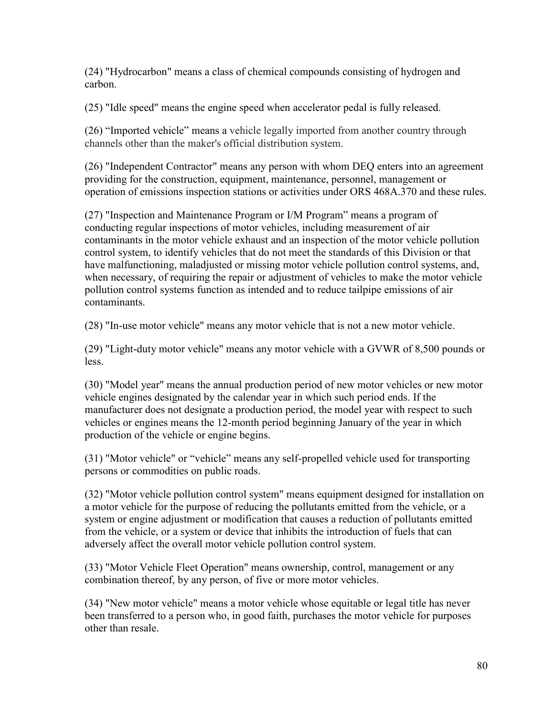(24) "Hydrocarbon" means a class of chemical compounds consisting of hydrogen and carbon.

(25) "Idle speed" means the engine speed when accelerator pedal is fully released.

(26) "Imported vehicle" means a vehicle legally imported from another country through channels other than the maker's official distribution system.

(26) "Independent Contractor" means any person with whom DEQ enters into an agreement providing for the construction, equipment, maintenance, personnel, management or operation of emissions inspection stations or activities under ORS 468A.370 and these rules.

(27) "Inspection and Maintenance Program or I/M Program" means a program of conducting regular inspections of motor vehicles, including measurement of air contaminants in the motor vehicle exhaust and an inspection of the motor vehicle pollution control system, to identify vehicles that do not meet the standards of this Division or that have malfunctioning, maladjusted or missing motor vehicle pollution control systems, and, when necessary, of requiring the repair or adjustment of vehicles to make the motor vehicle pollution control systems function as intended and to reduce tailpipe emissions of air contaminants.

(28) "In-use motor vehicle" means any motor vehicle that is not a new motor vehicle.

(29) "Light-duty motor vehicle" means any motor vehicle with a GVWR of 8,500 pounds or less.

(30) "Model year" means the annual production period of new motor vehicles or new motor vehicle engines designated by the calendar year in which such period ends. If the manufacturer does not designate a production period, the model year with respect to such vehicles or engines means the 12-month period beginning January of the year in which production of the vehicle or engine begins.

(31) "Motor vehicle" or "vehicle" means any self-propelled vehicle used for transporting persons or commodities on public roads.

(32) "Motor vehicle pollution control system" means equipment designed for installation on a motor vehicle for the purpose of reducing the pollutants emitted from the vehicle, or a system or engine adjustment or modification that causes a reduction of pollutants emitted from the vehicle, or a system or device that inhibits the introduction of fuels that can adversely affect the overall motor vehicle pollution control system.

(33) "Motor Vehicle Fleet Operation" means ownership, control, management or any combination thereof, by any person, of five or more motor vehicles.

(34) "New motor vehicle" means a motor vehicle whose equitable or legal title has never been transferred to a person who, in good faith, purchases the motor vehicle for purposes other than resale.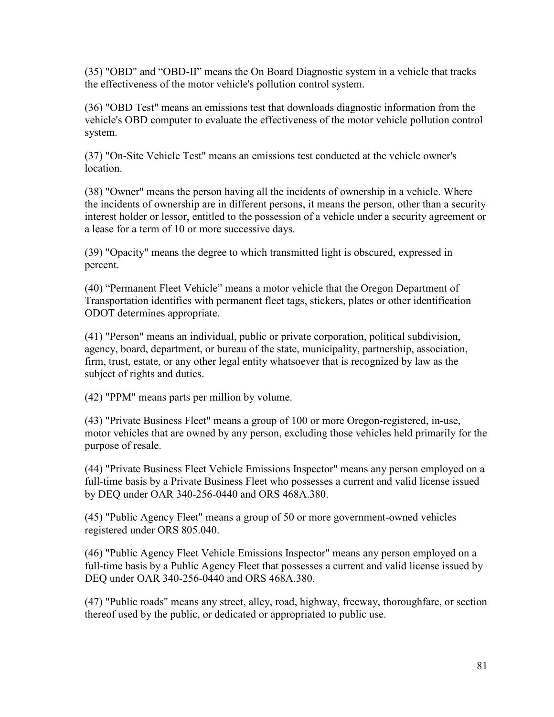(35) "OBD" and "OBD-II" means the On Board Diagnostic system in a vehicle that tracks the effectiveness of the motor vehicle's pollution control system.

(36) "OBD Test" means an emissions test that downloads diagnostic information from the vehicle's OBD computer to evaluate the effectiveness of the motor vehicle pollution control system.

(37) "On-Site Vehicle Test" means an emissions test conducted at the vehicle owner's location.

(38) "Owner" means the person having all the incidents of ownership in a vehicle. Where the incidents of ownership are in different persons, it means the person, other than a security interest holder or lessor, entitled to the possession of a vehicle under a security agreement or a lease for a term of 10 or more successive days.

(39) "Opacity" means the degree to which transmitted light is obscured, expressed in percent.

(40) "Permanent Fleet Vehicle" means a motor vehicle that the Oregon Department of Transportation identifies with permanent fleet tags, stickers, plates or other identification ODOT determines appropriate.

(41) "Person" means an individual, public or private corporation, political subdivision, agency, board, department, or bureau of the state, municipality, partnership, association, firm, trust, estate, or any other legal entity whatsoever that is recognized by law as the subject of rights and duties.

(42) "PPM" means parts per million by volume.

(43) "Private Business Fleet" means a group of 100 or more Oregon-registered, in-use, motor vehicles that are owned by any person, excluding those vehicles held primarily for the purpose of resale.

(44) "Private Business Fleet Vehicle Emissions Inspector" means any person employed on a full-time basis by a Private Business Fleet who possesses a current and valid license issued by DEQ under OAR 340-256-0440 and ORS 468A.380.

(45) "Public Agency Fleet" means a group of 50 or more government-owned vehicles registered under ORS 805.040.

(46) "Public Agency Fleet Vehicle Emissions Inspector" means any person employed on a full-time basis by a Public Agency Fleet that possesses a current and valid license issued by DEQ under OAR 340-256-0440 and ORS 468A.380.

(47) "Public roads" means any street, alley, road, highway, freeway, thoroughfare, or section thereof used by the public, or dedicated or appropriated to public use.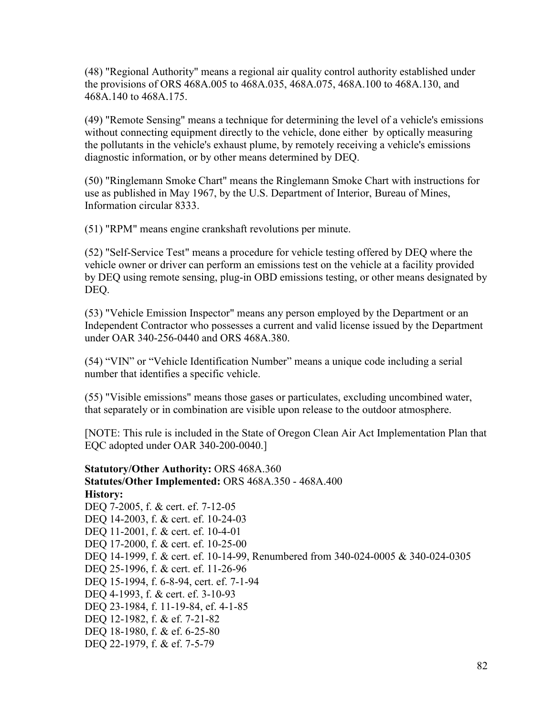(48) "Regional Authority" means a regional air quality control authority established under the provisions of ORS 468A.005 to 468A.035, 468A.075, 468A.100 to 468A.130, and 468A.140 to 468A.175.

(49) "Remote Sensing" means a technique for determining the level of a vehicle's emissions without connecting equipment directly to the vehicle, done either by optically measuring the pollutants in the vehicle's exhaust plume, by remotely receiving a vehicle's emissions diagnostic information, or by other means determined by DEQ.

(50) "Ringlemann Smoke Chart" means the Ringlemann Smoke Chart with instructions for use as published in May 1967, by the U.S. Department of Interior, Bureau of Mines, Information circular 8333.

(51) "RPM" means engine crankshaft revolutions per minute.

(52) "Self-Service Test" means a procedure for vehicle testing offered by DEQ where the vehicle owner or driver can perform an emissions test on the vehicle at a facility provided by DEQ using remote sensing, plug-in OBD emissions testing, or other means designated by DEQ.

(53) "Vehicle Emission Inspector" means any person employed by the Department or an Independent Contractor who possesses a current and valid license issued by the Department under OAR 340-256-0440 and ORS 468A.380.

(54) "VIN" or "Vehicle Identification Number" means a unique code including a serial number that identifies a specific vehicle.

(55) "Visible emissions" means those gases or particulates, excluding uncombined water, that separately or in combination are visible upon release to the outdoor atmosphere.

[NOTE: This rule is included in the State of Oregon Clean Air Act Implementation Plan that EQC adopted under OAR 340-200-0040.]

**Statutory/Other Authority:** ORS 468A.360 **Statutes/Other Implemented:** ORS 468A.350 - 468A.400 **History:** DEQ 7-2005, f. & cert. ef. 7-12-05 DEQ 14-2003, f. & cert. ef. 10-24-03 DEQ 11-2001, f. & cert. ef. 10-4-01 DEQ 17-2000, f. & cert. ef. 10-25-00 DEQ 14-1999, f. & cert. ef. 10-14-99, Renumbered from 340-024-0005 & 340-024-0305 DEQ 25-1996, f. & cert. ef. 11-26-96 DEQ 15-1994, f. 6-8-94, cert. ef. 7-1-94 DEQ 4-1993, f. & cert. ef. 3-10-93 DEQ 23-1984, f. 11-19-84, ef. 4-1-85 DEQ 12-1982, f. & ef. 7-21-82 DEQ 18-1980, f. & ef. 6-25-80 DEQ 22-1979, f. & ef. 7-5-79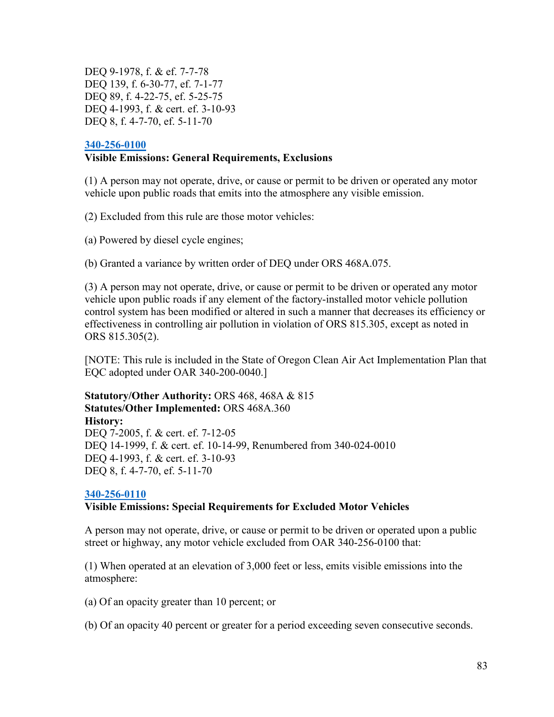DEQ 9-1978, f. & ef. 7-7-78 DEQ 139, f. 6-30-77, ef. 7-1-77 DEQ 89, f. 4-22-75, ef. 5-25-75 DEQ 4-1993, f. & cert. ef. 3-10-93 DEQ 8, f. 4-7-70, ef. 5-11-70

## **[340-256-0100](https://secure.sos.state.or.us/oard/viewSingleRule.action;JSESSIONID_OARD=3oxlIc6PZ2u31uGO2th2u9088A2Kqarcjab6TLjYb7s3a0O-i4hx!143575988?ruleVrsnRsn=75722) Visible Emissions: General Requirements, Exclusions**

(1) A person may not operate, drive, or cause or permit to be driven or operated any motor vehicle upon public roads that emits into the atmosphere any visible emission.

(2) Excluded from this rule are those motor vehicles:

(a) Powered by diesel cycle engines;

(b) Granted a variance by written order of DEQ under ORS 468A.075.

(3) A person may not operate, drive, or cause or permit to be driven or operated any motor vehicle upon public roads if any element of the factory-installed motor vehicle pollution control system has been modified or altered in such a manner that decreases its efficiency or effectiveness in controlling air pollution in violation of ORS 815.305, except as noted in ORS 815.305(2).

[NOTE: This rule is included in the State of Oregon Clean Air Act Implementation Plan that EQC adopted under OAR 340-200-0040.]

## **Statutory/Other Authority:** ORS 468, 468A & 815 **Statutes/Other Implemented:** ORS 468A.360 **History:** DEQ 7-2005, f. & cert. ef. 7-12-05 DEQ 14-1999, f. & cert. ef. 10-14-99, Renumbered from 340-024-0010 DEQ 4-1993, f. & cert. ef. 3-10-93 DEQ 8, f. 4-7-70, ef. 5-11-70

# **[340-256-0110](https://secure.sos.state.or.us/oard/viewSingleRule.action;JSESSIONID_OARD=3oxlIc6PZ2u31uGO2th2u9088A2Kqarcjab6TLjYb7s3a0O-i4hx!143575988?ruleVrsnRsn=75726)**

# **Visible Emissions: Special Requirements for Excluded Motor Vehicles**

A person may not operate, drive, or cause or permit to be driven or operated upon a public street or highway, any motor vehicle excluded from OAR 340-256-0100 that:

(1) When operated at an elevation of 3,000 feet or less, emits visible emissions into the atmosphere:

(a) Of an opacity greater than 10 percent; or

(b) Of an opacity 40 percent or greater for a period exceeding seven consecutive seconds.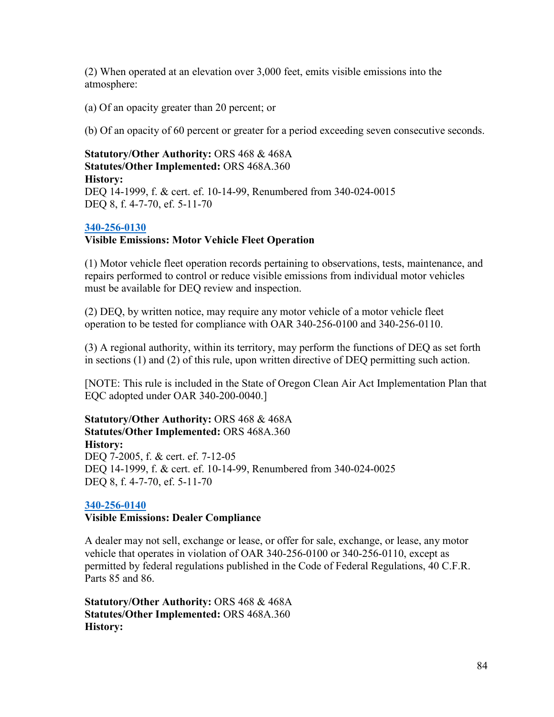(2) When operated at an elevation over 3,000 feet, emits visible emissions into the atmosphere:

(a) Of an opacity greater than 20 percent; or

(b) Of an opacity of 60 percent or greater for a period exceeding seven consecutive seconds.

# **Statutory/Other Authority:** ORS 468 & 468A **Statutes/Other Implemented:** ORS 468A.360 **History:** DEQ 14-1999, f. & cert. ef. 10-14-99, Renumbered from 340-024-0015 DEQ 8, f. 4-7-70, ef. 5-11-70

## **[340-256-0130](https://secure.sos.state.or.us/oard/viewSingleRule.action;JSESSIONID_OARD=3oxlIc6PZ2u31uGO2th2u9088A2Kqarcjab6TLjYb7s3a0O-i4hx!143575988?ruleVrsnRsn=75730)**

## **Visible Emissions: Motor Vehicle Fleet Operation**

(1) Motor vehicle fleet operation records pertaining to observations, tests, maintenance, and repairs performed to control or reduce visible emissions from individual motor vehicles must be available for DEQ review and inspection.

(2) DEQ, by written notice, may require any motor vehicle of a motor vehicle fleet operation to be tested for compliance with OAR 340-256-0100 and 340-256-0110.

(3) A regional authority, within its territory, may perform the functions of DEQ as set forth in sections (1) and (2) of this rule, upon written directive of DEQ permitting such action.

[NOTE: This rule is included in the State of Oregon Clean Air Act Implementation Plan that EQC adopted under OAR 340-200-0040.]

**Statutory/Other Authority:** ORS 468 & 468A **Statutes/Other Implemented:** ORS 468A.360 **History:** DEQ 7-2005, f. & cert. ef. 7-12-05 DEQ 14-1999, f. & cert. ef. 10-14-99, Renumbered from 340-024-0025 DEQ 8, f. 4-7-70, ef. 5-11-70

#### **[340-256-0140](https://secure.sos.state.or.us/oard/viewSingleRule.action;JSESSIONID_OARD=3oxlIc6PZ2u31uGO2th2u9088A2Kqarcjab6TLjYb7s3a0O-i4hx!143575988?ruleVrsnRsn=75733)**

#### **Visible Emissions: Dealer Compliance**

A dealer may not sell, exchange or lease, or offer for sale, exchange, or lease, any motor vehicle that operates in violation of OAR 340-256-0100 or 340-256-0110, except as permitted by federal regulations published in the Code of Federal Regulations, 40 C.F.R. Parts 85 and 86.

**Statutory/Other Authority:** ORS 468 & 468A **Statutes/Other Implemented:** ORS 468A.360 **History:**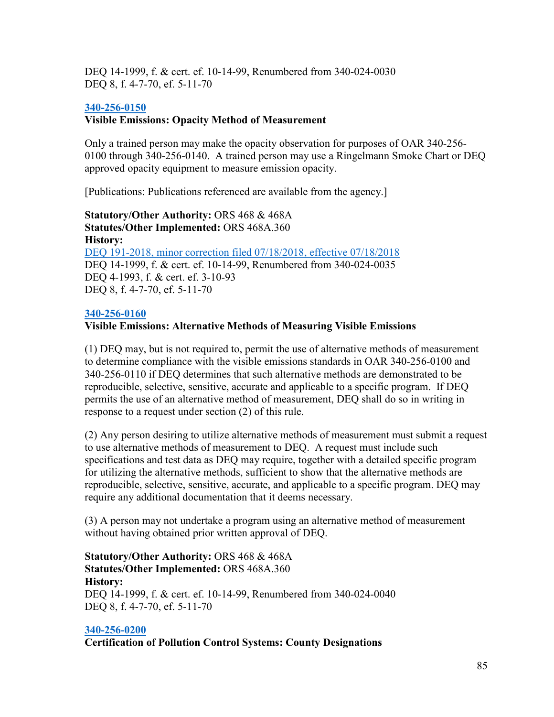DEQ 14-1999, f. & cert. ef. 10-14-99, Renumbered from 340-024-0030 DEQ 8, f. 4-7-70, ef. 5-11-70

# **[340-256-0150](https://secure.sos.state.or.us/oard/viewSingleRule.action;JSESSIONID_OARD=3oxlIc6PZ2u31uGO2th2u9088A2Kqarcjab6TLjYb7s3a0O-i4hx!143575988?ruleVrsnRsn=248690)**

# **Visible Emissions: Opacity Method of Measurement**

Only a trained person may make the opacity observation for purposes of OAR 340-256- 0100 through 340-256-0140. A trained person may use a Ringelmann Smoke Chart or DEQ approved opacity equipment to measure emission opacity.

[Publications: Publications referenced are available from the agency.]

**Statutory/Other Authority:** ORS 468 & 468A **Statutes/Other Implemented:** ORS 468A.360 **History:** [DEQ 191-2018, minor correction filed 07/18/2018, effective 07/18/2018](https://secure.sos.state.or.us/oard/viewReceiptPDF.action;JSESSIONID_OARD=3oxlIc6PZ2u31uGO2th2u9088A2Kqarcjab6TLjYb7s3a0O-i4hx!143575988?filingRsn=38760) DEQ 14-1999, f. & cert. ef. 10-14-99, Renumbered from 340-024-0035 DEQ 4-1993, f. & cert. ef. 3-10-93 DEQ 8, f. 4-7-70, ef. 5-11-70

# **[340-256-0160](https://secure.sos.state.or.us/oard/viewSingleRule.action;JSESSIONID_OARD=3oxlIc6PZ2u31uGO2th2u9088A2Kqarcjab6TLjYb7s3a0O-i4hx!143575988?ruleVrsnRsn=75738)**

# **Visible Emissions: Alternative Methods of Measuring Visible Emissions**

(1) DEQ may, but is not required to, permit the use of alternative methods of measurement to determine compliance with the visible emissions standards in OAR 340-256-0100 and 340-256-0110 if DEQ determines that such alternative methods are demonstrated to be reproducible, selective, sensitive, accurate and applicable to a specific program. If DEQ permits the use of an alternative method of measurement, DEQ shall do so in writing in response to a request under section (2) of this rule.

(2) Any person desiring to utilize alternative methods of measurement must submit a request to use alternative methods of measurement to DEQ. A request must include such specifications and test data as DEQ may require, together with a detailed specific program for utilizing the alternative methods, sufficient to show that the alternative methods are reproducible, selective, sensitive, accurate, and applicable to a specific program. DEQ may require any additional documentation that it deems necessary.

(3) A person may not undertake a program using an alternative method of measurement without having obtained prior written approval of DEQ.

**Statutory/Other Authority:** ORS 468 & 468A **Statutes/Other Implemented:** ORS 468A.360 **History:** DEQ 14-1999, f. & cert. ef. 10-14-99, Renumbered from 340-024-0040 DEQ 8, f. 4-7-70, ef. 5-11-70

# **[340-256-0200](https://secure.sos.state.or.us/oard/viewSingleRule.action;JSESSIONID_OARD=3oxlIc6PZ2u31uGO2th2u9088A2Kqarcjab6TLjYb7s3a0O-i4hx!143575988?ruleVrsnRsn=75740)**

**Certification of Pollution Control Systems: County Designations**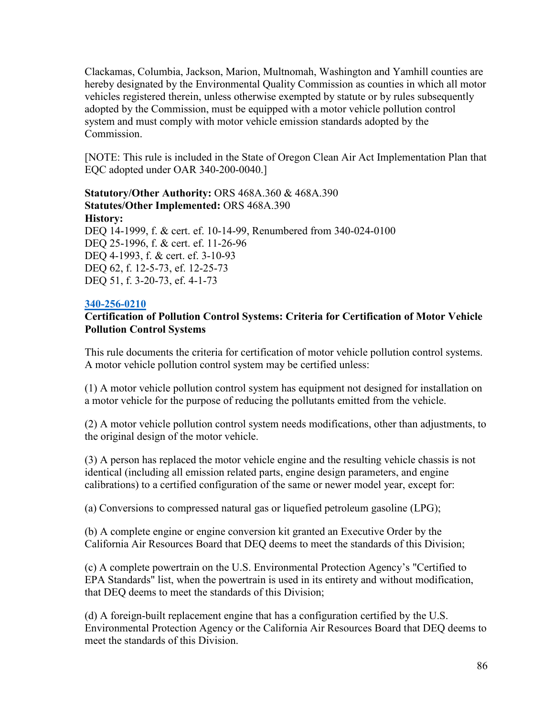Clackamas, Columbia, Jackson, Marion, Multnomah, Washington and Yamhill counties are hereby designated by the Environmental Quality Commission as counties in which all motor vehicles registered therein, unless otherwise exempted by statute or by rules subsequently adopted by the Commission, must be equipped with a motor vehicle pollution control system and must comply with motor vehicle emission standards adopted by the Commission.

[NOTE: This rule is included in the State of Oregon Clean Air Act Implementation Plan that EQC adopted under OAR 340-200-0040.]

**Statutory/Other Authority:** ORS 468A.360 & 468A.390 **Statutes/Other Implemented:** ORS 468A.390 **History:** DEQ 14-1999, f. & cert. ef. 10-14-99, Renumbered from 340-024-0100 DEQ 25-1996, f. & cert. ef. 11-26-96 DEQ 4-1993, f. & cert. ef. 3-10-93 DEQ 62, f. 12-5-73, ef. 12-25-73 DEQ 51, f. 3-20-73, ef. 4-1-73

# **[340-256-0210](https://secure.sos.state.or.us/oard/viewSingleRule.action;JSESSIONID_OARD=3oxlIc6PZ2u31uGO2th2u9088A2Kqarcjab6TLjYb7s3a0O-i4hx!143575988?ruleVrsnRsn=75745)**

# **Certification of Pollution Control Systems: Criteria for Certification of Motor Vehicle Pollution Control Systems**

This rule documents the criteria for certification of motor vehicle pollution control systems. A motor vehicle pollution control system may be certified unless:

(1) A motor vehicle pollution control system has equipment not designed for installation on a motor vehicle for the purpose of reducing the pollutants emitted from the vehicle.

(2) A motor vehicle pollution control system needs modifications, other than adjustments, to the original design of the motor vehicle.

(3) A person has replaced the motor vehicle engine and the resulting vehicle chassis is not identical (including all emission related parts, engine design parameters, and engine calibrations) to a certified configuration of the same or newer model year, except for:

(a) Conversions to compressed natural gas or liquefied petroleum gasoline (LPG);

(b) A complete engine or engine conversion kit granted an Executive Order by the California Air Resources Board that DEQ deems to meet the standards of this Division;

(c) A complete powertrain on the U.S. Environmental Protection Agency's "Certified to EPA Standards" list, when the powertrain is used in its entirety and without modification, that DEQ deems to meet the standards of this Division;

(d) A foreign-built replacement engine that has a configuration certified by the U.S. Environmental Protection Agency or the California Air Resources Board that DEQ deems to meet the standards of this Division.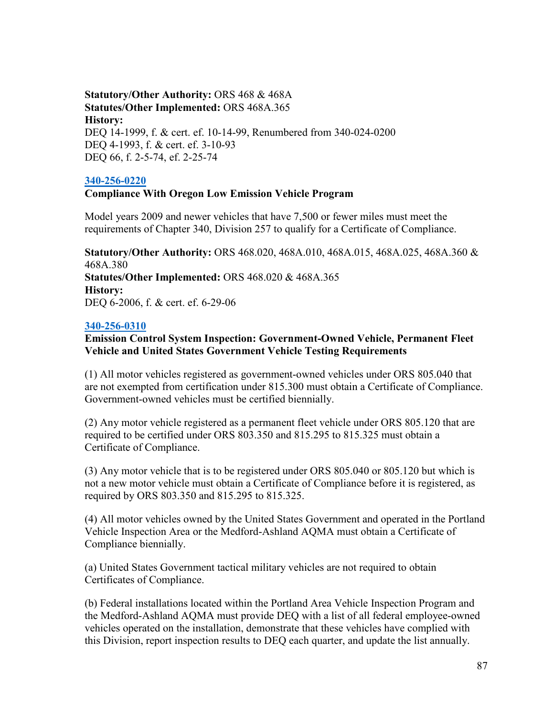# **Statutory/Other Authority:** ORS 468 & 468A **Statutes/Other Implemented:** ORS 468A.365 **History:** DEQ 14-1999, f. & cert. ef. 10-14-99, Renumbered from 340-024-0200 DEQ 4-1993, f. & cert. ef. 3-10-93 DEQ 66, f. 2-5-74, ef. 2-25-74

## **[340-256-0220](https://secure.sos.state.or.us/oard/viewSingleRule.action;JSESSIONID_OARD=3oxlIc6PZ2u31uGO2th2u9088A2Kqarcjab6TLjYb7s3a0O-i4hx!143575988?ruleVrsnRsn=75748)**

## **Compliance With Oregon Low Emission Vehicle Program**

Model years 2009 and newer vehicles that have 7,500 or fewer miles must meet the requirements of Chapter 340, Division 257 to qualify for a Certificate of Compliance.

**Statutory/Other Authority:** ORS 468.020, 468A.010, 468A.015, 468A.025, 468A.360 & 468A.380 **Statutes/Other Implemented:** ORS 468.020 & 468A.365 **History:** DEQ 6-2006, f. & cert. ef. 6-29-06

## **[340-256-0310](https://secure.sos.state.or.us/oard/viewSingleRule.action;JSESSIONID_OARD=3oxlIc6PZ2u31uGO2th2u9088A2Kqarcjab6TLjYb7s3a0O-i4hx!143575988?ruleVrsnRsn=75750)**

**Emission Control System Inspection: Government-Owned Vehicle, Permanent Fleet Vehicle and United States Government Vehicle Testing Requirements**

(1) All motor vehicles registered as government-owned vehicles under ORS 805.040 that are not exempted from certification under 815.300 must obtain a Certificate of Compliance. Government-owned vehicles must be certified biennially.

(2) Any motor vehicle registered as a permanent fleet vehicle under ORS 805.120 that are required to be certified under ORS 803.350 and 815.295 to 815.325 must obtain a Certificate of Compliance.

(3) Any motor vehicle that is to be registered under ORS 805.040 or 805.120 but which is not a new motor vehicle must obtain a Certificate of Compliance before it is registered, as required by ORS 803.350 and 815.295 to 815.325.

(4) All motor vehicles owned by the United States Government and operated in the Portland Vehicle Inspection Area or the Medford-Ashland AQMA must obtain a Certificate of Compliance biennially.

(a) United States Government tactical military vehicles are not required to obtain Certificates of Compliance.

(b) Federal installations located within the Portland Area Vehicle Inspection Program and the Medford-Ashland AQMA must provide DEQ with a list of all federal employee-owned vehicles operated on the installation, demonstrate that these vehicles have complied with this Division, report inspection results to DEQ each quarter, and update the list annually.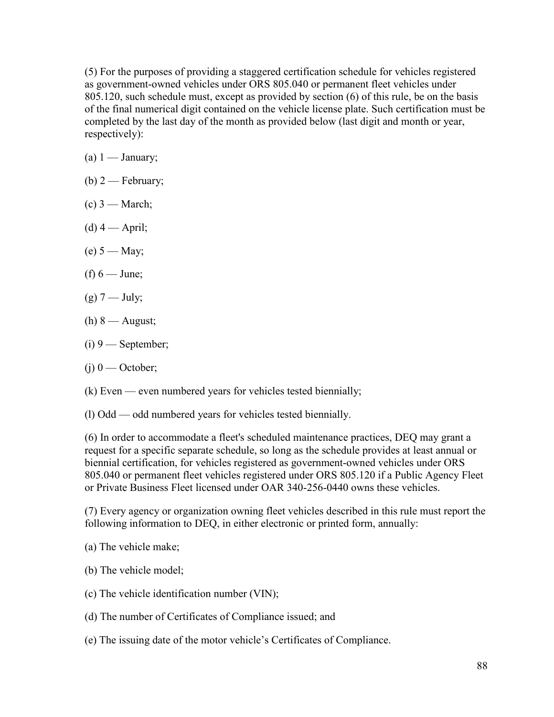(5) For the purposes of providing a staggered certification schedule for vehicles registered as government-owned vehicles under ORS 805.040 or permanent fleet vehicles under 805.120, such schedule must, except as provided by section (6) of this rule, be on the basis of the final numerical digit contained on the vehicle license plate. Such certification must be completed by the last day of the month as provided below (last digit and month or year, respectively):

- (a)  $1 -$  January;
- (b)  $2$  February;
- $(c)$  3 March;
- $(d)$  4 April;
- $(e) 5 May;$
- (f)  $6$  June;
- $(g)$  7 July;
- (h)  $8$  August;
- $(i)$  9 September;
- $(j)$  0 October;
- (k) Even even numbered years for vehicles tested biennially;
- (l) Odd odd numbered years for vehicles tested biennially.

(6) In order to accommodate a fleet's scheduled maintenance practices, DEQ may grant a request for a specific separate schedule, so long as the schedule provides at least annual or biennial certification, for vehicles registered as government-owned vehicles under ORS 805.040 or permanent fleet vehicles registered under ORS 805.120 if a Public Agency Fleet or Private Business Fleet licensed under OAR 340-256-0440 owns these vehicles.

(7) Every agency or organization owning fleet vehicles described in this rule must report the following information to DEQ, in either electronic or printed form, annually:

(a) The vehicle make;

- (b) The vehicle model;
- (c) The vehicle identification number (VIN);
- (d) The number of Certificates of Compliance issued; and
- (e) The issuing date of the motor vehicle's Certificates of Compliance.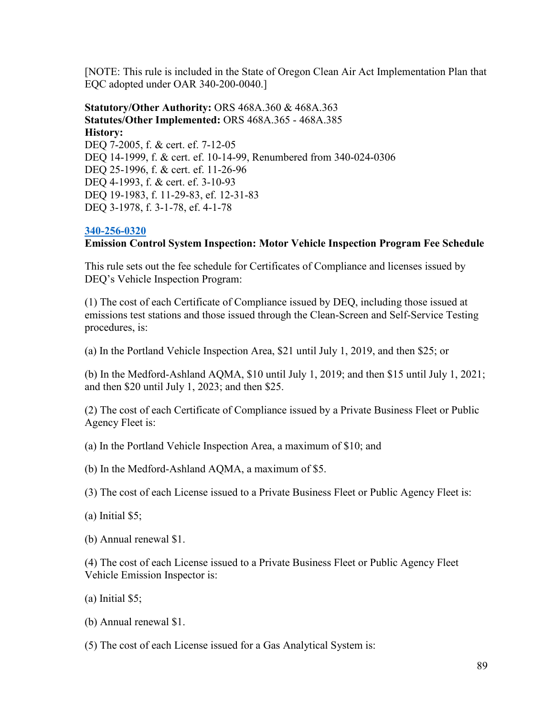[NOTE: This rule is included in the State of Oregon Clean Air Act Implementation Plan that EQC adopted under OAR 340-200-0040.]

**Statutory/Other Authority:** ORS 468A.360 & 468A.363 **Statutes/Other Implemented:** ORS 468A.365 - 468A.385 **History:** DEQ 7-2005, f. & cert. ef. 7-12-05 DEQ 14-1999, f. & cert. ef. 10-14-99, Renumbered from 340-024-0306 DEO 25-1996, f. & cert. ef. 11-26-96 DEQ 4-1993, f. & cert. ef. 3-10-93 DEQ 19-1983, f. 11-29-83, ef. 12-31-83 DEQ 3-1978, f. 3-1-78, ef. 4-1-78

## **[340-256-0320](https://secure.sos.state.or.us/oard/viewSingleRule.action;JSESSIONID_OARD=3oxlIc6PZ2u31uGO2th2u9088A2Kqarcjab6TLjYb7s3a0O-i4hx!143575988?ruleVrsnRsn=75756)**

# **Emission Control System Inspection: Motor Vehicle Inspection Program Fee Schedule**

This rule sets out the fee schedule for Certificates of Compliance and licenses issued by DEQ's Vehicle Inspection Program:

(1) The cost of each Certificate of Compliance issued by DEQ, including those issued at emissions test stations and those issued through the Clean-Screen and Self-Service Testing procedures, is:

(a) In the Portland Vehicle Inspection Area, \$21 until July 1, 2019, and then \$25; or

(b) In the Medford-Ashland AQMA, \$10 until July 1, 2019; and then \$15 until July 1, 2021; and then \$20 until July 1, 2023; and then \$25.

(2) The cost of each Certificate of Compliance issued by a Private Business Fleet or Public Agency Fleet is:

(a) In the Portland Vehicle Inspection Area, a maximum of \$10; and

(b) In the Medford-Ashland AQMA, a maximum of \$5.

(3) The cost of each License issued to a Private Business Fleet or Public Agency Fleet is:

(a) Initial \$5;

(b) Annual renewal \$1.

(4) The cost of each License issued to a Private Business Fleet or Public Agency Fleet Vehicle Emission Inspector is:

(a) Initial \$5;

(b) Annual renewal \$1.

(5) The cost of each License issued for a Gas Analytical System is: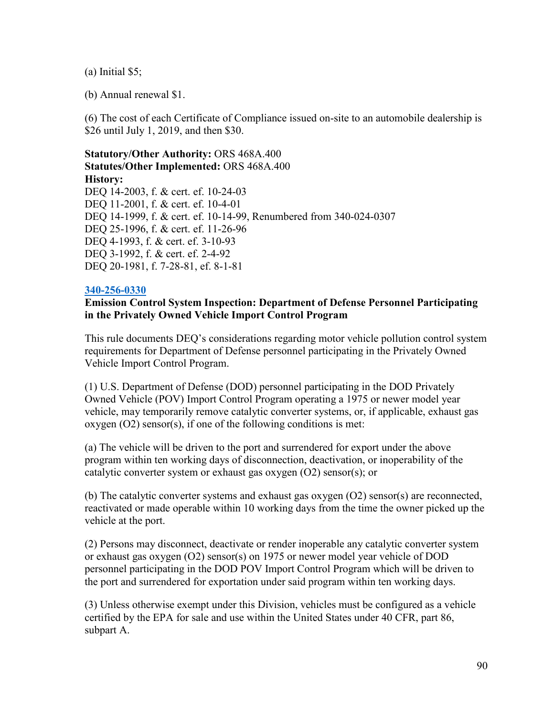(a) Initial \$5;

(b) Annual renewal \$1.

(6) The cost of each Certificate of Compliance issued on-site to an automobile dealership is \$26 until July 1, 2019, and then \$30.

**Statutory/Other Authority:** ORS 468A.400 **Statutes/Other Implemented:** ORS 468A.400 **History:** DEO 14-2003, f. & cert. ef. 10-24-03 DEQ 11-2001, f. & cert. ef. 10-4-01 DEQ 14-1999, f. & cert. ef. 10-14-99, Renumbered from 340-024-0307 DEQ 25-1996, f. & cert. ef. 11-26-96 DEQ 4-1993, f. & cert. ef. 3-10-93 DEQ 3-1992, f. & cert. ef. 2-4-92 DEQ 20-1981, f. 7-28-81, ef. 8-1-81

## **[340-256-0330](https://secure.sos.state.or.us/oard/viewSingleRule.action;JSESSIONID_OARD=3oxlIc6PZ2u31uGO2th2u9088A2Kqarcjab6TLjYb7s3a0O-i4hx!143575988?ruleVrsnRsn=75763)**

## **Emission Control System Inspection: Department of Defense Personnel Participating in the Privately Owned Vehicle Import Control Program**

This rule documents DEQ's considerations regarding motor vehicle pollution control system requirements for Department of Defense personnel participating in the Privately Owned Vehicle Import Control Program.

(1) U.S. Department of Defense (DOD) personnel participating in the DOD Privately Owned Vehicle (POV) Import Control Program operating a 1975 or newer model year vehicle, may temporarily remove catalytic converter systems, or, if applicable, exhaust gas  $oxygen (O2) sensor(s), if one of the following conditions is met:$ 

(a) The vehicle will be driven to the port and surrendered for export under the above program within ten working days of disconnection, deactivation, or inoperability of the catalytic converter system or exhaust gas oxygen (O2) sensor(s); or

(b) The catalytic converter systems and exhaust gas oxygen (O2) sensor(s) are reconnected, reactivated or made operable within 10 working days from the time the owner picked up the vehicle at the port.

(2) Persons may disconnect, deactivate or render inoperable any catalytic converter system or exhaust gas oxygen (O2) sensor(s) on 1975 or newer model year vehicle of DOD personnel participating in the DOD POV Import Control Program which will be driven to the port and surrendered for exportation under said program within ten working days.

(3) Unless otherwise exempt under this Division, vehicles must be configured as a vehicle certified by the EPA for sale and use within the United States under 40 CFR, part 86, subpart A.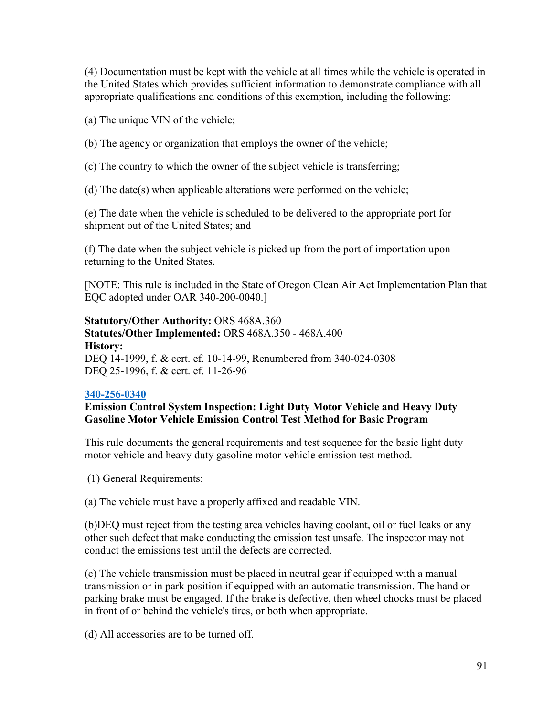(4) Documentation must be kept with the vehicle at all times while the vehicle is operated in the United States which provides sufficient information to demonstrate compliance with all appropriate qualifications and conditions of this exemption, including the following:

(a) The unique VIN of the vehicle;

(b) The agency or organization that employs the owner of the vehicle;

(c) The country to which the owner of the subject vehicle is transferring;

(d) The date(s) when applicable alterations were performed on the vehicle;

(e) The date when the vehicle is scheduled to be delivered to the appropriate port for shipment out of the United States; and

(f) The date when the subject vehicle is picked up from the port of importation upon returning to the United States.

[NOTE: This rule is included in the State of Oregon Clean Air Act Implementation Plan that EQC adopted under OAR 340-200-0040.]

**Statutory/Other Authority:** ORS 468A.360 **Statutes/Other Implemented:** ORS 468A.350 - 468A.400 **History:** DEQ 14-1999, f. & cert. ef. 10-14-99, Renumbered from 340-024-0308 DEQ 25-1996, f. & cert. ef. 11-26-96

# **[340-256-0340](https://secure.sos.state.or.us/oard/viewSingleRule.action;JSESSIONID_OARD=3oxlIc6PZ2u31uGO2th2u9088A2Kqarcjab6TLjYb7s3a0O-i4hx!143575988?ruleVrsnRsn=244586)**

## **Emission Control System Inspection: Light Duty Motor Vehicle and Heavy Duty Gasoline Motor Vehicle Emission Control Test Method for Basic Program**

This rule documents the general requirements and test sequence for the basic light duty motor vehicle and heavy duty gasoline motor vehicle emission test method.

(1) General Requirements:

(a) The vehicle must have a properly affixed and readable VIN.

(b)DEQ must reject from the testing area vehicles having coolant, oil or fuel leaks or any other such defect that make conducting the emission test unsafe. The inspector may not conduct the emissions test until the defects are corrected.

(c) The vehicle transmission must be placed in neutral gear if equipped with a manual transmission or in park position if equipped with an automatic transmission. The hand or parking brake must be engaged. If the brake is defective, then wheel chocks must be placed in front of or behind the vehicle's tires, or both when appropriate.

(d) All accessories are to be turned off.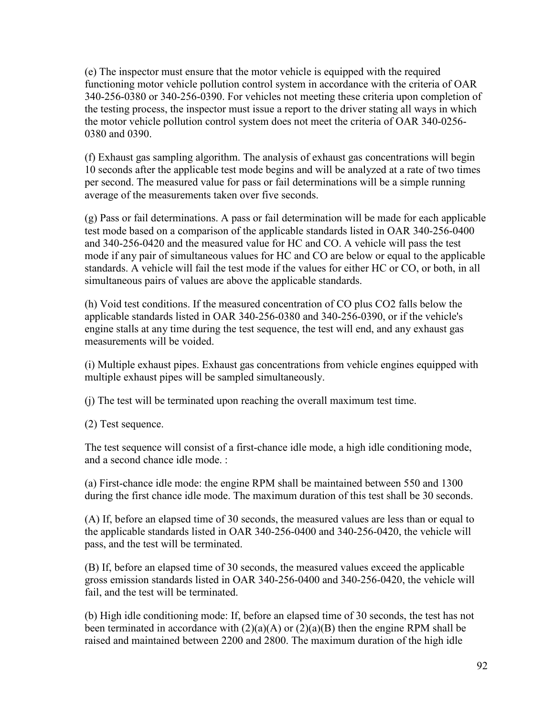(e) The inspector must ensure that the motor vehicle is equipped with the required functioning motor vehicle pollution control system in accordance with the criteria of OAR 340-256-0380 or 340-256-0390. For vehicles not meeting these criteria upon completion of the testing process, the inspector must issue a report to the driver stating all ways in which the motor vehicle pollution control system does not meet the criteria of OAR 340-0256- 0380 and 0390.

(f) Exhaust gas sampling algorithm. The analysis of exhaust gas concentrations will begin 10 seconds after the applicable test mode begins and will be analyzed at a rate of two times per second. The measured value for pass or fail determinations will be a simple running average of the measurements taken over five seconds.

(g) Pass or fail determinations. A pass or fail determination will be made for each applicable test mode based on a comparison of the applicable standards listed in OAR 340-256-0400 and 340-256-0420 and the measured value for HC and CO. A vehicle will pass the test mode if any pair of simultaneous values for HC and CO are below or equal to the applicable standards. A vehicle will fail the test mode if the values for either HC or CO, or both, in all simultaneous pairs of values are above the applicable standards.

(h) Void test conditions. If the measured concentration of CO plus CO2 falls below the applicable standards listed in OAR 340-256-0380 and 340-256-0390, or if the vehicle's engine stalls at any time during the test sequence, the test will end, and any exhaust gas measurements will be voided.

(i) Multiple exhaust pipes. Exhaust gas concentrations from vehicle engines equipped with multiple exhaust pipes will be sampled simultaneously.

(j) The test will be terminated upon reaching the overall maximum test time.

(2) Test sequence.

The test sequence will consist of a first-chance idle mode, a high idle conditioning mode, and a second chance idle mode. :

(a) First-chance idle mode: the engine RPM shall be maintained between 550 and 1300 during the first chance idle mode. The maximum duration of this test shall be 30 seconds.

(A) If, before an elapsed time of 30 seconds, the measured values are less than or equal to the applicable standards listed in OAR 340-256-0400 and 340-256-0420, the vehicle will pass, and the test will be terminated.

(B) If, before an elapsed time of 30 seconds, the measured values exceed the applicable gross emission standards listed in OAR 340-256-0400 and 340-256-0420, the vehicle will fail, and the test will be terminated.

(b) High idle conditioning mode: If, before an elapsed time of 30 seconds, the test has not been terminated in accordance with  $(2)(a)(A)$  or  $(2)(a)(B)$  then the engine RPM shall be raised and maintained between 2200 and 2800. The maximum duration of the high idle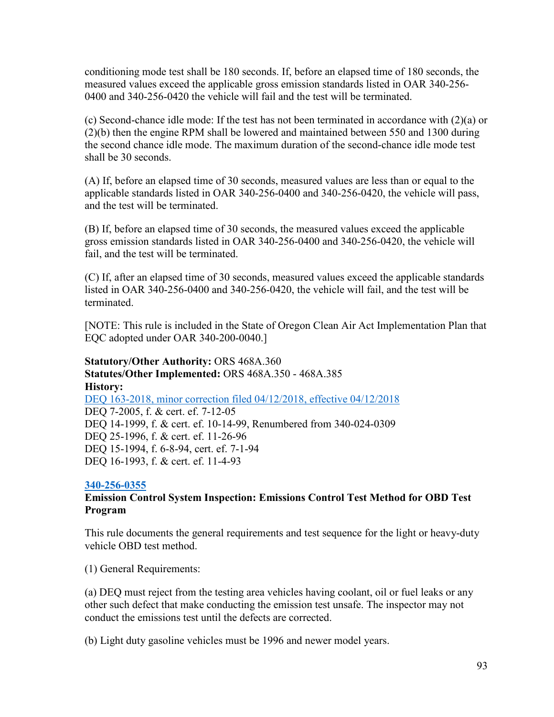conditioning mode test shall be 180 seconds. If, before an elapsed time of 180 seconds, the measured values exceed the applicable gross emission standards listed in OAR 340-256- 0400 and 340-256-0420 the vehicle will fail and the test will be terminated.

(c) Second-chance idle mode: If the test has not been terminated in accordance with (2)(a) or (2)(b) then the engine RPM shall be lowered and maintained between 550 and 1300 during the second chance idle mode. The maximum duration of the second-chance idle mode test shall be 30 seconds.

(A) If, before an elapsed time of 30 seconds, measured values are less than or equal to the applicable standards listed in OAR 340-256-0400 and 340-256-0420, the vehicle will pass, and the test will be terminated.

(B) If, before an elapsed time of 30 seconds, the measured values exceed the applicable gross emission standards listed in OAR 340-256-0400 and 340-256-0420, the vehicle will fail, and the test will be terminated.

(C) If, after an elapsed time of 30 seconds, measured values exceed the applicable standards listed in OAR 340-256-0400 and 340-256-0420, the vehicle will fail, and the test will be terminated.

[NOTE: This rule is included in the State of Oregon Clean Air Act Implementation Plan that EQC adopted under OAR 340-200-0040.]

**Statutory/Other Authority:** ORS 468A.360 **Statutes/Other Implemented:** ORS 468A.350 - 468A.385 **History:** [DEQ 163-2018, minor correction filed 04/12/2018, effective 04/12/2018](https://secure.sos.state.or.us/oard/viewReceiptPDF.action;JSESSIONID_OARD=3oxlIc6PZ2u31uGO2th2u9088A2Kqarcjab6TLjYb7s3a0O-i4hx!143575988?filingRsn=37667) DEQ 7-2005, f. & cert. ef. 7-12-05 DEQ 14-1999, f. & cert. ef. 10-14-99, Renumbered from 340-024-0309 DEQ 25-1996, f. & cert. ef. 11-26-96 DEQ 15-1994, f. 6-8-94, cert. ef. 7-1-94 DEQ 16-1993, f. & cert. ef. 11-4-93

#### **[340-256-0355](https://secure.sos.state.or.us/oard/viewSingleRule.action;JSESSIONID_OARD=3oxlIc6PZ2u31uGO2th2u9088A2Kqarcjab6TLjYb7s3a0O-i4hx!143575988?ruleVrsnRsn=75773)**

# **Emission Control System Inspection: Emissions Control Test Method for OBD Test Program**

This rule documents the general requirements and test sequence for the light or heavy-duty vehicle OBD test method.

(1) General Requirements:

(a) DEQ must reject from the testing area vehicles having coolant, oil or fuel leaks or any other such defect that make conducting the emission test unsafe. The inspector may not conduct the emissions test until the defects are corrected.

(b) Light duty gasoline vehicles must be 1996 and newer model years.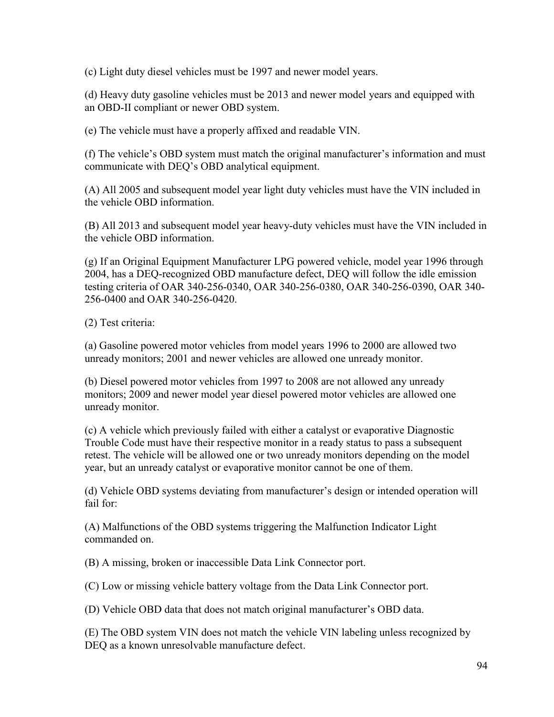(c) Light duty diesel vehicles must be 1997 and newer model years.

(d) Heavy duty gasoline vehicles must be 2013 and newer model years and equipped with an OBD-II compliant or newer OBD system.

(e) The vehicle must have a properly affixed and readable VIN.

(f) The vehicle's OBD system must match the original manufacturer's information and must communicate with DEQ's OBD analytical equipment.

(A) All 2005 and subsequent model year light duty vehicles must have the VIN included in the vehicle OBD information.

(B) All 2013 and subsequent model year heavy-duty vehicles must have the VIN included in the vehicle OBD information.

(g) If an Original Equipment Manufacturer LPG powered vehicle, model year 1996 through 2004, has a DEQ-recognized OBD manufacture defect, DEQ will follow the idle emission testing criteria of OAR 340-256-0340, OAR 340-256-0380, OAR 340-256-0390, OAR 340- 256-0400 and OAR 340-256-0420.

(2) Test criteria:

(a) Gasoline powered motor vehicles from model years 1996 to 2000 are allowed two unready monitors; 2001 and newer vehicles are allowed one unready monitor.

(b) Diesel powered motor vehicles from 1997 to 2008 are not allowed any unready monitors; 2009 and newer model year diesel powered motor vehicles are allowed one unready monitor.

(c) A vehicle which previously failed with either a catalyst or evaporative Diagnostic Trouble Code must have their respective monitor in a ready status to pass a subsequent retest. The vehicle will be allowed one or two unready monitors depending on the model year, but an unready catalyst or evaporative monitor cannot be one of them.

(d) Vehicle OBD systems deviating from manufacturer's design or intended operation will fail for:

(A) Malfunctions of the OBD systems triggering the Malfunction Indicator Light commanded on.

(B) A missing, broken or inaccessible Data Link Connector port.

(C) Low or missing vehicle battery voltage from the Data Link Connector port.

(D) Vehicle OBD data that does not match original manufacturer's OBD data.

(E) The OBD system VIN does not match the vehicle VIN labeling unless recognized by DEQ as a known unresolvable manufacture defect.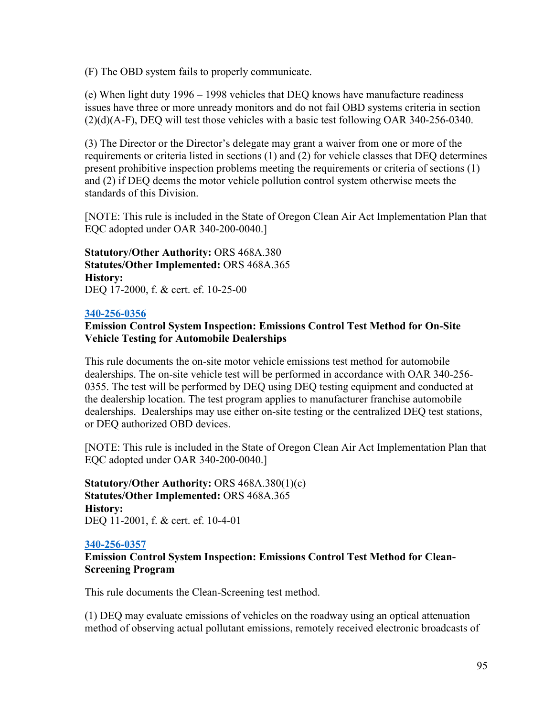(F) The OBD system fails to properly communicate.

(e) When light duty 1996 – 1998 vehicles that DEQ knows have manufacture readiness issues have three or more unready monitors and do not fail OBD systems criteria in section (2)(d)(A-F), DEQ will test those vehicles with a basic test following OAR 340-256-0340.

(3) The Director or the Director's delegate may grant a waiver from one or more of the requirements or criteria listed in sections (1) and (2) for vehicle classes that DEQ determines present prohibitive inspection problems meeting the requirements or criteria of sections (1) and (2) if DEQ deems the motor vehicle pollution control system otherwise meets the standards of this Division.

[NOTE: This rule is included in the State of Oregon Clean Air Act Implementation Plan that EQC adopted under OAR 340-200-0040.]

**Statutory/Other Authority:** ORS 468A.380 **Statutes/Other Implemented:** ORS 468A.365 **History:** DEQ 17-2000, f. & cert. ef. 10-25-00

## **[340-256-0356](https://secure.sos.state.or.us/oard/viewSingleRule.action;JSESSIONID_OARD=3oxlIc6PZ2u31uGO2th2u9088A2Kqarcjab6TLjYb7s3a0O-i4hx!143575988?ruleVrsnRsn=75774)**

## **Emission Control System Inspection: Emissions Control Test Method for On-Site Vehicle Testing for Automobile Dealerships**

This rule documents the on-site motor vehicle emissions test method for automobile dealerships. The on-site vehicle test will be performed in accordance with OAR 340-256- 0355. The test will be performed by DEQ using DEQ testing equipment and conducted at the dealership location. The test program applies to manufacturer franchise automobile dealerships. Dealerships may use either on-site testing or the centralized DEQ test stations, or DEQ authorized OBD devices.

[NOTE: This rule is included in the State of Oregon Clean Air Act Implementation Plan that EQC adopted under OAR 340-200-0040.]

**Statutory/Other Authority:** ORS 468A.380(1)(c) **Statutes/Other Implemented:** ORS 468A.365 **History:** DEQ 11-2001, f. & cert. ef. 10-4-01

#### **[340-256-0357](https://secure.sos.state.or.us/oard/viewSingleRule.action;JSESSIONID_OARD=3oxlIc6PZ2u31uGO2th2u9088A2Kqarcjab6TLjYb7s3a0O-i4hx!143575988?ruleVrsnRsn=75775)**

**Emission Control System Inspection: Emissions Control Test Method for Clean-Screening Program**

This rule documents the Clean-Screening test method.

(1) DEQ may evaluate emissions of vehicles on the roadway using an optical attenuation method of observing actual pollutant emissions, remotely received electronic broadcasts of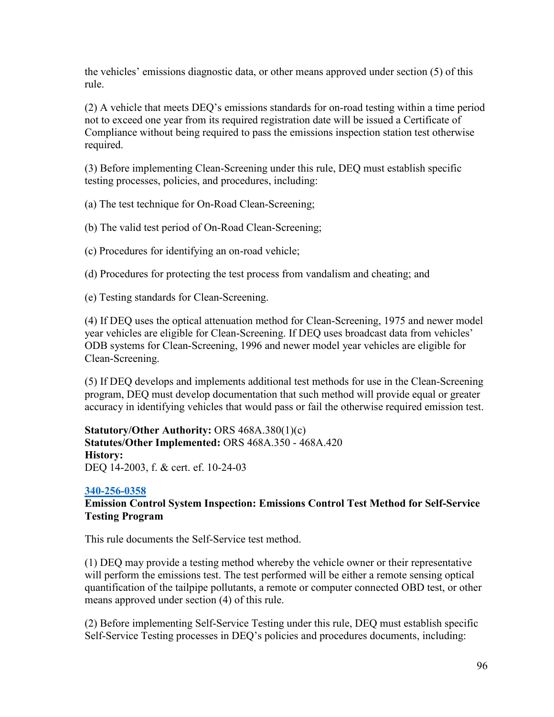the vehicles' emissions diagnostic data, or other means approved under section (5) of this rule.

(2) A vehicle that meets DEQ's emissions standards for on-road testing within a time period not to exceed one year from its required registration date will be issued a Certificate of Compliance without being required to pass the emissions inspection station test otherwise required.

(3) Before implementing Clean-Screening under this rule, DEQ must establish specific testing processes, policies, and procedures, including:

(a) The test technique for On-Road Clean-Screening;

(b) The valid test period of On-Road Clean-Screening;

(c) Procedures for identifying an on-road vehicle;

(d) Procedures for protecting the test process from vandalism and cheating; and

(e) Testing standards for Clean-Screening.

(4) If DEQ uses the optical attenuation method for Clean-Screening, 1975 and newer model year vehicles are eligible for Clean-Screening. If DEQ uses broadcast data from vehicles' ODB systems for Clean-Screening, 1996 and newer model year vehicles are eligible for Clean-Screening.

(5) If DEQ develops and implements additional test methods for use in the Clean-Screening program, DEQ must develop documentation that such method will provide equal or greater accuracy in identifying vehicles that would pass or fail the otherwise required emission test.

**Statutory/Other Authority:** ORS 468A.380(1)(c) **Statutes/Other Implemented:** ORS 468A.350 - 468A.420 **History:** DEQ 14-2003, f. & cert. ef. 10-24-03

#### **[340-256-0358](https://secure.sos.state.or.us/oard/viewSingleRule.action;JSESSIONID_OARD=3oxlIc6PZ2u31uGO2th2u9088A2Kqarcjab6TLjYb7s3a0O-i4hx!143575988?ruleVrsnRsn=75776)**

## **Emission Control System Inspection: Emissions Control Test Method for Self-Service Testing Program**

This rule documents the Self-Service test method.

(1) DEQ may provide a testing method whereby the vehicle owner or their representative will perform the emissions test. The test performed will be either a remote sensing optical quantification of the tailpipe pollutants, a remote or computer connected OBD test, or other means approved under section (4) of this rule.

(2) Before implementing Self-Service Testing under this rule, DEQ must establish specific Self-Service Testing processes in DEQ's policies and procedures documents, including: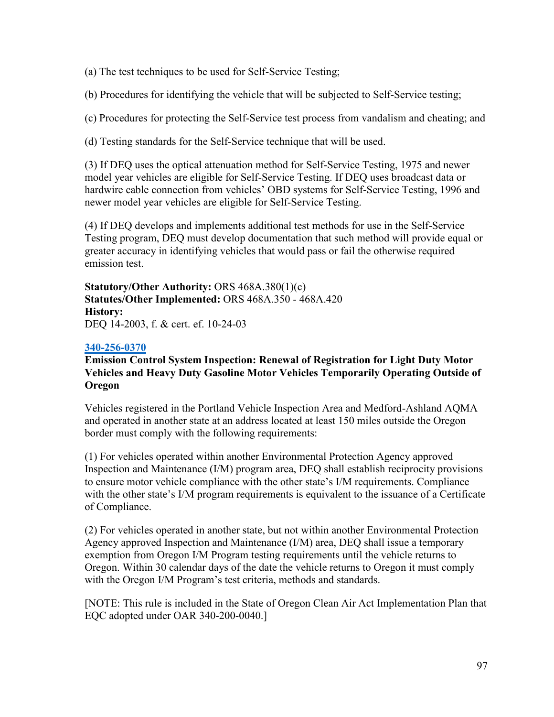(a) The test techniques to be used for Self-Service Testing;

(b) Procedures for identifying the vehicle that will be subjected to Self-Service testing;

(c) Procedures for protecting the Self-Service test process from vandalism and cheating; and

(d) Testing standards for the Self-Service technique that will be used.

(3) If DEQ uses the optical attenuation method for Self-Service Testing, 1975 and newer model year vehicles are eligible for Self-Service Testing. If DEQ uses broadcast data or hardwire cable connection from vehicles' OBD systems for Self-Service Testing, 1996 and newer model year vehicles are eligible for Self-Service Testing.

(4) If DEQ develops and implements additional test methods for use in the Self-Service Testing program, DEQ must develop documentation that such method will provide equal or greater accuracy in identifying vehicles that would pass or fail the otherwise required emission test.

**Statutory/Other Authority:** ORS 468A.380(1)(c) **Statutes/Other Implemented:** ORS 468A.350 - 468A.420 **History:** DEQ 14-2003, f. & cert. ef. 10-24-03

## **[340-256-0370](https://secure.sos.state.or.us/oard/viewSingleRule.action;JSESSIONID_OARD=3oxlIc6PZ2u31uGO2th2u9088A2Kqarcjab6TLjYb7s3a0O-i4hx!143575988?ruleVrsnRsn=75783)**

## **Emission Control System Inspection: Renewal of Registration for Light Duty Motor Vehicles and Heavy Duty Gasoline Motor Vehicles Temporarily Operating Outside of Oregon**

Vehicles registered in the Portland Vehicle Inspection Area and Medford-Ashland AQMA and operated in another state at an address located at least 150 miles outside the Oregon border must comply with the following requirements:

(1) For vehicles operated within another Environmental Protection Agency approved Inspection and Maintenance (I/M) program area, DEQ shall establish reciprocity provisions to ensure motor vehicle compliance with the other state's I/M requirements. Compliance with the other state's I/M program requirements is equivalent to the issuance of a Certificate of Compliance.

(2) For vehicles operated in another state, but not within another Environmental Protection Agency approved Inspection and Maintenance (I/M) area, DEQ shall issue a temporary exemption from Oregon I/M Program testing requirements until the vehicle returns to Oregon. Within 30 calendar days of the date the vehicle returns to Oregon it must comply with the Oregon I/M Program's test criteria, methods and standards.

[NOTE: This rule is included in the State of Oregon Clean Air Act Implementation Plan that EQC adopted under OAR 340-200-0040.]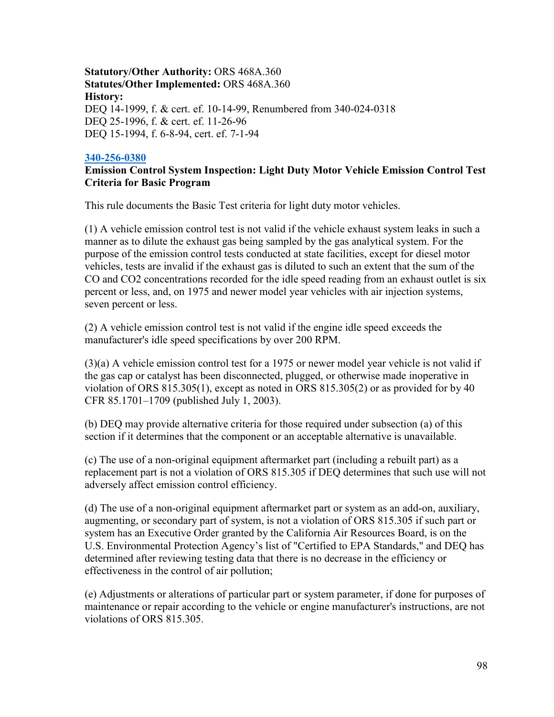## **Statutory/Other Authority:** ORS 468A.360 **Statutes/Other Implemented:** ORS 468A.360 **History:** DEQ 14-1999, f. & cert. ef. 10-14-99, Renumbered from 340-024-0318 DEQ 25-1996, f. & cert. ef. 11-26-96 DEQ 15-1994, f. 6-8-94, cert. ef. 7-1-94

#### **[340-256-0380](https://secure.sos.state.or.us/oard/viewSingleRule.action;JSESSIONID_OARD=3oxlIc6PZ2u31uGO2th2u9088A2Kqarcjab6TLjYb7s3a0O-i4hx!143575988?ruleVrsnRsn=244599)**

# **Emission Control System Inspection: Light Duty Motor Vehicle Emission Control Test Criteria for Basic Program**

This rule documents the Basic Test criteria for light duty motor vehicles.

(1) A vehicle emission control test is not valid if the vehicle exhaust system leaks in such a manner as to dilute the exhaust gas being sampled by the gas analytical system. For the purpose of the emission control tests conducted at state facilities, except for diesel motor vehicles, tests are invalid if the exhaust gas is diluted to such an extent that the sum of the CO and CO2 concentrations recorded for the idle speed reading from an exhaust outlet is six percent or less, and, on 1975 and newer model year vehicles with air injection systems, seven percent or less.

(2) A vehicle emission control test is not valid if the engine idle speed exceeds the manufacturer's idle speed specifications by over 200 RPM.

(3)(a) A vehicle emission control test for a 1975 or newer model year vehicle is not valid if the gas cap or catalyst has been disconnected, plugged, or otherwise made inoperative in violation of ORS 815.305(1), except as noted in ORS 815.305(2) or as provided for by 40 CFR 85.1701–1709 (published July 1, 2003).

(b) DEQ may provide alternative criteria for those required under subsection (a) of this section if it determines that the component or an acceptable alternative is unavailable.

(c) The use of a non-original equipment aftermarket part (including a rebuilt part) as a replacement part is not a violation of ORS 815.305 if DEQ determines that such use will not adversely affect emission control efficiency.

(d) The use of a non-original equipment aftermarket part or system as an add-on, auxiliary, augmenting, or secondary part of system, is not a violation of ORS 815.305 if such part or system has an Executive Order granted by the California Air Resources Board, is on the U.S. Environmental Protection Agency's list of "Certified to EPA Standards," and DEQ has determined after reviewing testing data that there is no decrease in the efficiency or effectiveness in the control of air pollution;

(e) Adjustments or alterations of particular part or system parameter, if done for purposes of maintenance or repair according to the vehicle or engine manufacturer's instructions, are not violations of ORS 815.305.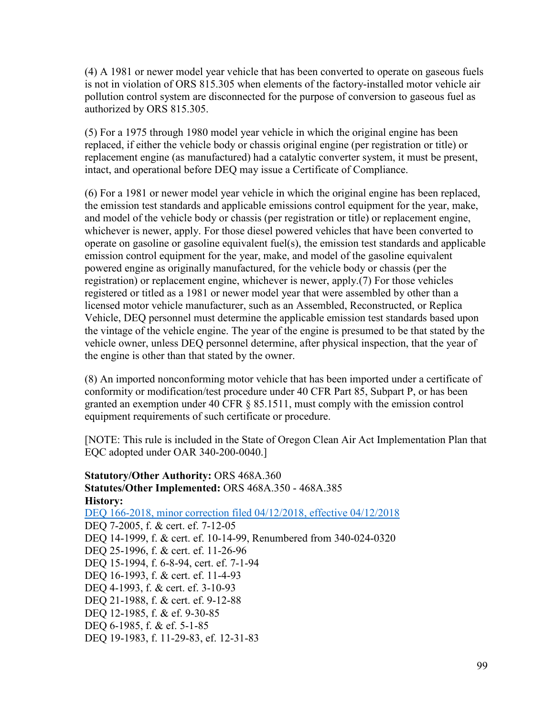(4) A 1981 or newer model year vehicle that has been converted to operate on gaseous fuels is not in violation of ORS 815.305 when elements of the factory-installed motor vehicle air pollution control system are disconnected for the purpose of conversion to gaseous fuel as authorized by ORS 815.305.

(5) For a 1975 through 1980 model year vehicle in which the original engine has been replaced, if either the vehicle body or chassis original engine (per registration or title) or replacement engine (as manufactured) had a catalytic converter system, it must be present, intact, and operational before DEQ may issue a Certificate of Compliance.

(6) For a 1981 or newer model year vehicle in which the original engine has been replaced, the emission test standards and applicable emissions control equipment for the year, make, and model of the vehicle body or chassis (per registration or title) or replacement engine, whichever is newer, apply. For those diesel powered vehicles that have been converted to operate on gasoline or gasoline equivalent fuel(s), the emission test standards and applicable emission control equipment for the year, make, and model of the gasoline equivalent powered engine as originally manufactured, for the vehicle body or chassis (per the registration) or replacement engine, whichever is newer, apply.(7) For those vehicles registered or titled as a 1981 or newer model year that were assembled by other than a licensed motor vehicle manufacturer, such as an Assembled, Reconstructed, or Replica Vehicle, DEQ personnel must determine the applicable emission test standards based upon the vintage of the vehicle engine. The year of the engine is presumed to be that stated by the vehicle owner, unless DEQ personnel determine, after physical inspection, that the year of the engine is other than that stated by the owner.

(8) An imported nonconforming motor vehicle that has been imported under a certificate of conformity or modification/test procedure under 40 CFR Part 85, Subpart P, or has been granted an exemption under 40 CFR § 85.1511, must comply with the emission control equipment requirements of such certificate or procedure.

[NOTE: This rule is included in the State of Oregon Clean Air Act Implementation Plan that EQC adopted under OAR 340-200-0040.]

**Statutory/Other Authority:** ORS 468A.360 **Statutes/Other Implemented:** ORS 468A.350 - 468A.385 **History:** [DEQ 166-2018, minor correction filed 04/12/2018, effective 04/12/2018](https://secure.sos.state.or.us/oard/viewReceiptPDF.action;JSESSIONID_OARD=3oxlIc6PZ2u31uGO2th2u9088A2Kqarcjab6TLjYb7s3a0O-i4hx!143575988?filingRsn=37672) DEQ 7-2005, f. & cert. ef. 7-12-05 DEQ 14-1999, f. & cert. ef. 10-14-99, Renumbered from 340-024-0320 DEQ 25-1996, f. & cert. ef. 11-26-96 DEQ 15-1994, f. 6-8-94, cert. ef. 7-1-94 DEQ 16-1993, f. & cert. ef. 11-4-93 DEQ 4-1993, f. & cert. ef. 3-10-93 DEQ 21-1988, f. & cert. ef. 9-12-88 DEQ 12-1985, f. & ef. 9-30-85 DEQ 6-1985, f. & ef. 5-1-85 DEQ 19-1983, f. 11-29-83, ef. 12-31-83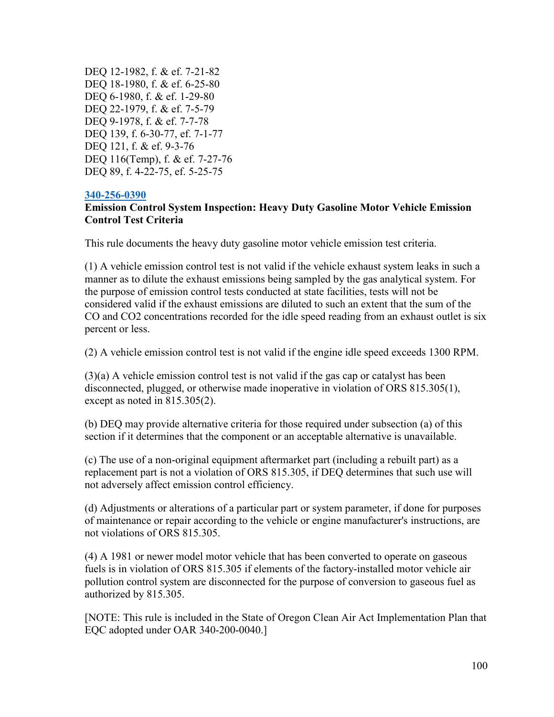DEQ 12-1982, f. & ef. 7-21-82 DEQ 18-1980, f. & ef. 6-25-80 DEQ 6-1980, f. & ef. 1-29-80 DEQ 22-1979, f. & ef. 7-5-79 DEQ 9-1978, f. & ef. 7-7-78 DEQ 139, f. 6-30-77, ef. 7-1-77 DEQ 121, f. & ef. 9-3-76 DEQ 116(Temp), f. & ef. 7-27-76 DEQ 89, f. 4-22-75, ef. 5-25-75

#### **[340-256-0390](https://secure.sos.state.or.us/oard/viewSingleRule.action;JSESSIONID_OARD=3oxlIc6PZ2u31uGO2th2u9088A2Kqarcjab6TLjYb7s3a0O-i4hx!143575988?ruleVrsnRsn=244602)**

#### **Emission Control System Inspection: Heavy Duty Gasoline Motor Vehicle Emission Control Test Criteria**

This rule documents the heavy duty gasoline motor vehicle emission test criteria.

(1) A vehicle emission control test is not valid if the vehicle exhaust system leaks in such a manner as to dilute the exhaust emissions being sampled by the gas analytical system. For the purpose of emission control tests conducted at state facilities, tests will not be considered valid if the exhaust emissions are diluted to such an extent that the sum of the CO and CO2 concentrations recorded for the idle speed reading from an exhaust outlet is six percent or less.

(2) A vehicle emission control test is not valid if the engine idle speed exceeds 1300 RPM.

(3)(a) A vehicle emission control test is not valid if the gas cap or catalyst has been disconnected, plugged, or otherwise made inoperative in violation of ORS 815.305(1), except as noted in 815.305(2).

(b) DEQ may provide alternative criteria for those required under subsection (a) of this section if it determines that the component or an acceptable alternative is unavailable.

(c) The use of a non-original equipment aftermarket part (including a rebuilt part) as a replacement part is not a violation of ORS 815.305, if DEQ determines that such use will not adversely affect emission control efficiency.

(d) Adjustments or alterations of a particular part or system parameter, if done for purposes of maintenance or repair according to the vehicle or engine manufacturer's instructions, are not violations of ORS 815.305.

(4) A 1981 or newer model motor vehicle that has been converted to operate on gaseous fuels is in violation of ORS 815.305 if elements of the factory-installed motor vehicle air pollution control system are disconnected for the purpose of conversion to gaseous fuel as authorized by 815.305.

[NOTE: This rule is included in the State of Oregon Clean Air Act Implementation Plan that EQC adopted under OAR 340-200-0040.]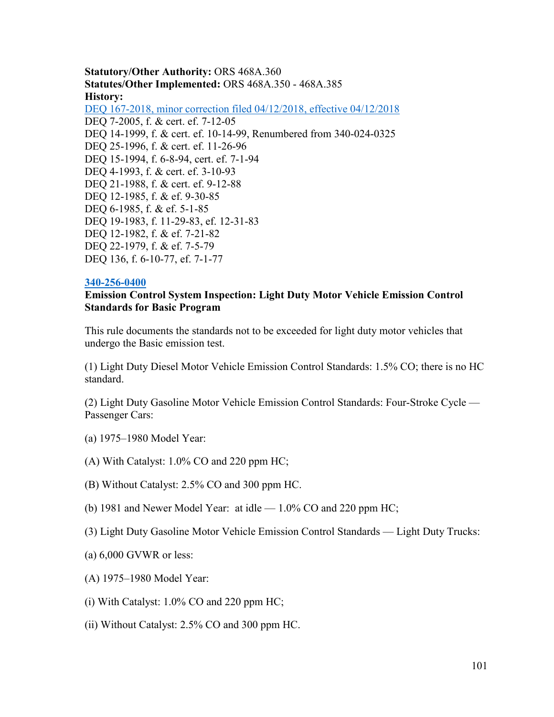**Statutory/Other Authority:** ORS 468A.360 **Statutes/Other Implemented:** ORS 468A.350 - 468A.385 **History:** [DEQ 167-2018, minor correction filed 04/12/2018, effective 04/12/2018](https://secure.sos.state.or.us/oard/viewReceiptPDF.action;JSESSIONID_OARD=3oxlIc6PZ2u31uGO2th2u9088A2Kqarcjab6TLjYb7s3a0O-i4hx!143575988?filingRsn=37673) DEQ 7-2005, f. & cert. ef. 7-12-05 DEQ 14-1999, f. & cert. ef. 10-14-99, Renumbered from 340-024-0325 DEQ 25-1996, f. & cert. ef. 11-26-96 DEQ 15-1994, f. 6-8-94, cert. ef. 7-1-94 DEQ 4-1993, f. & cert. ef. 3-10-93 DEQ 21-1988, f. & cert. ef. 9-12-88 DEQ 12-1985, f. & ef. 9-30-85 DEQ 6-1985, f. & ef. 5-1-85 DEQ 19-1983, f. 11-29-83, ef. 12-31-83 DEQ 12-1982, f. & ef. 7-21-82 DEQ 22-1979, f. & ef. 7-5-79 DEQ 136, f. 6-10-77, ef. 7-1-77

#### **[340-256-0400](https://secure.sos.state.or.us/oard/viewSingleRule.action;JSESSIONID_OARD=3oxlIc6PZ2u31uGO2th2u9088A2Kqarcjab6TLjYb7s3a0O-i4hx!143575988?ruleVrsnRsn=244606)**

#### **Emission Control System Inspection: Light Duty Motor Vehicle Emission Control Standards for Basic Program**

This rule documents the standards not to be exceeded for light duty motor vehicles that undergo the Basic emission test.

(1) Light Duty Diesel Motor Vehicle Emission Control Standards: 1.5% CO; there is no HC standard.

(2) Light Duty Gasoline Motor Vehicle Emission Control Standards: Four-Stroke Cycle — Passenger Cars:

- (a) 1975–1980 Model Year:
- (A) With Catalyst: 1.0% CO and 220 ppm HC;
- (B) Without Catalyst: 2.5% CO and 300 ppm HC.
- (b) 1981 and Newer Model Year: at idle  $-1.0\%$  CO and 220 ppm HC;
- (3) Light Duty Gasoline Motor Vehicle Emission Control Standards Light Duty Trucks:
- (a) 6,000 GVWR or less:
- (A) 1975–1980 Model Year:
- (i) With Catalyst: 1.0% CO and 220 ppm HC;
- (ii) Without Catalyst: 2.5% CO and 300 ppm HC.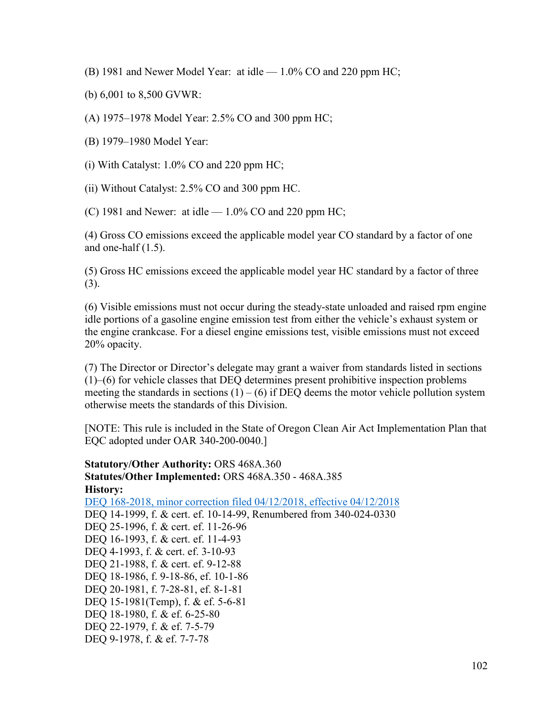(B) 1981 and Newer Model Year: at idle — 1.0% CO and 220 ppm HC;

(b) 6,001 to 8,500 GVWR:

(A) 1975–1978 Model Year: 2.5% CO and 300 ppm HC;

(B) 1979–1980 Model Year:

(i) With Catalyst: 1.0% CO and 220 ppm HC;

(ii) Without Catalyst: 2.5% CO and 300 ppm HC.

(C) 1981 and Newer: at idle  $-1.0\%$  CO and 220 ppm HC;

(4) Gross CO emissions exceed the applicable model year CO standard by a factor of one and one-half (1.5).

(5) Gross HC emissions exceed the applicable model year HC standard by a factor of three (3).

(6) Visible emissions must not occur during the steady-state unloaded and raised rpm engine idle portions of a gasoline engine emission test from either the vehicle's exhaust system or the engine crankcase. For a diesel engine emissions test, visible emissions must not exceed 20% opacity.

(7) The Director or Director's delegate may grant a waiver from standards listed in sections (1)–(6) for vehicle classes that DEQ determines present prohibitive inspection problems meeting the standards in sections  $(1) - (6)$  if DEQ deems the motor vehicle pollution system otherwise meets the standards of this Division.

[NOTE: This rule is included in the State of Oregon Clean Air Act Implementation Plan that EQC adopted under OAR 340-200-0040.]

**Statutory/Other Authority:** ORS 468A.360 **Statutes/Other Implemented:** ORS 468A.350 - 468A.385 **History:** [DEQ 168-2018, minor correction filed 04/12/2018, effective 04/12/2018](https://secure.sos.state.or.us/oard/viewReceiptPDF.action;JSESSIONID_OARD=3oxlIc6PZ2u31uGO2th2u9088A2Kqarcjab6TLjYb7s3a0O-i4hx!143575988?filingRsn=37674) DEQ 14-1999, f. & cert. ef. 10-14-99, Renumbered from 340-024-0330 DEQ 25-1996, f. & cert. ef. 11-26-96 DEQ 16-1993, f. & cert. ef. 11-4-93 DEQ 4-1993, f. & cert. ef. 3-10-93 DEQ 21-1988, f. & cert. ef. 9-12-88 DEQ 18-1986, f. 9-18-86, ef. 10-1-86 DEQ 20-1981, f. 7-28-81, ef. 8-1-81 DEQ 15-1981(Temp), f. & ef. 5-6-81 DEQ 18-1980, f. & ef. 6-25-80 DEQ 22-1979, f. & ef. 7-5-79 DEQ 9-1978, f. & ef. 7-7-78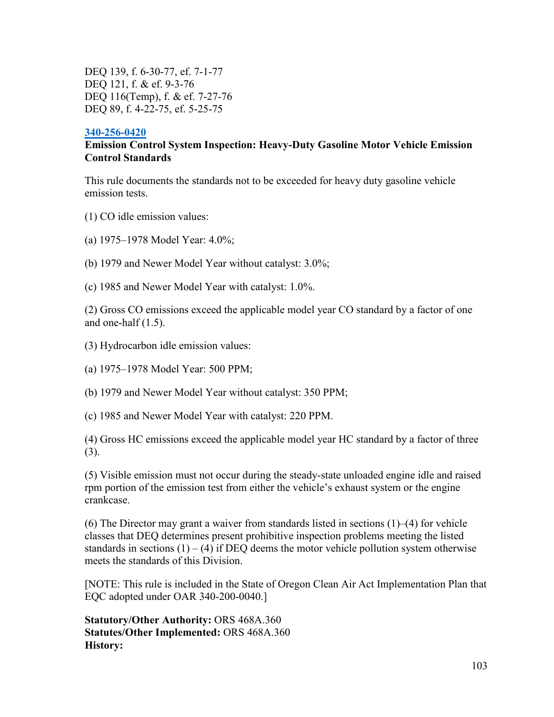DEQ 139, f. 6-30-77, ef. 7-1-77 DEQ 121, f. & ef. 9-3-76 DEQ 116(Temp), f. & ef. 7-27-76 DEQ 89, f. 4-22-75, ef. 5-25-75

#### **[340-256-0420](https://secure.sos.state.or.us/oard/viewSingleRule.action;JSESSIONID_OARD=3oxlIc6PZ2u31uGO2th2u9088A2Kqarcjab6TLjYb7s3a0O-i4hx!143575988?ruleVrsnRsn=75834)**

## **Emission Control System Inspection: Heavy-Duty Gasoline Motor Vehicle Emission Control Standards**

This rule documents the standards not to be exceeded for heavy duty gasoline vehicle emission tests.

- (1) CO idle emission values:
- (a) 1975–1978 Model Year: 4.0%;
- (b) 1979 and Newer Model Year without catalyst: 3.0%;
- (c) 1985 and Newer Model Year with catalyst: 1.0%.

(2) Gross CO emissions exceed the applicable model year CO standard by a factor of one and one-half  $(1.5)$ .

- (3) Hydrocarbon idle emission values:
- (a) 1975–1978 Model Year: 500 PPM;

(b) 1979 and Newer Model Year without catalyst: 350 PPM;

(c) 1985 and Newer Model Year with catalyst: 220 PPM.

(4) Gross HC emissions exceed the applicable model year HC standard by a factor of three (3).

(5) Visible emission must not occur during the steady-state unloaded engine idle and raised rpm portion of the emission test from either the vehicle's exhaust system or the engine crankcase.

(6) The Director may grant a waiver from standards listed in sections (1)–(4) for vehicle classes that DEQ determines present prohibitive inspection problems meeting the listed standards in sections  $(1) - (4)$  if DEQ deems the motor vehicle pollution system otherwise meets the standards of this Division.

[NOTE: This rule is included in the State of Oregon Clean Air Act Implementation Plan that EQC adopted under OAR 340-200-0040.]

**Statutory/Other Authority:** ORS 468A.360 **Statutes/Other Implemented:** ORS 468A.360 **History:**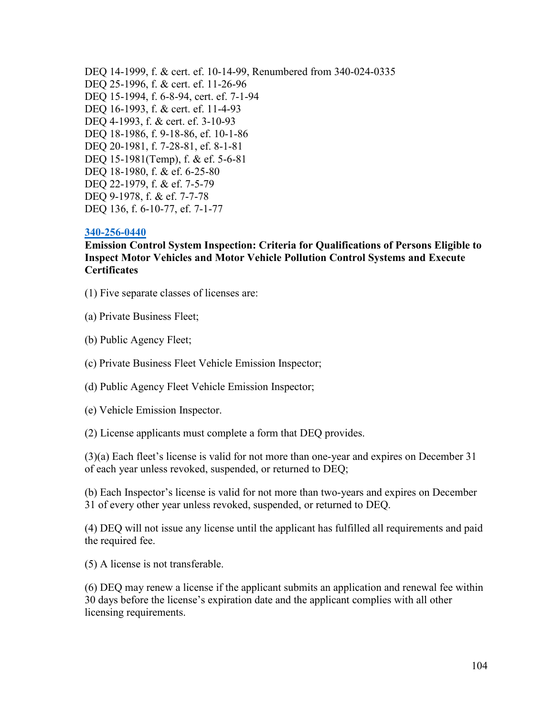DEQ 14-1999, f. & cert. ef. 10-14-99, Renumbered from 340-024-0335 DEQ 25-1996, f. & cert. ef. 11-26-96 DEQ 15-1994, f. 6-8-94, cert. ef. 7-1-94 DEQ 16-1993, f. & cert. ef. 11-4-93 DEQ 4-1993, f. & cert. ef. 3-10-93 DEQ 18-1986, f. 9-18-86, ef. 10-1-86 DEQ 20-1981, f. 7-28-81, ef. 8-1-81 DEQ 15-1981(Temp), f. & ef. 5-6-81 DEQ 18-1980, f. & ef. 6-25-80 DEQ 22-1979, f. & ef. 7-5-79 DEQ 9-1978, f. & ef. 7-7-78 DEQ 136, f. 6-10-77, ef. 7-1-77

#### **[340-256-0440](https://secure.sos.state.or.us/oard/viewSingleRule.action;JSESSIONID_OARD=3oxlIc6PZ2u31uGO2th2u9088A2Kqarcjab6TLjYb7s3a0O-i4hx!143575988?ruleVrsnRsn=244616)**

**Emission Control System Inspection: Criteria for Qualifications of Persons Eligible to Inspect Motor Vehicles and Motor Vehicle Pollution Control Systems and Execute Certificates**

(1) Five separate classes of licenses are:

(a) Private Business Fleet;

(b) Public Agency Fleet;

(c) Private Business Fleet Vehicle Emission Inspector;

(d) Public Agency Fleet Vehicle Emission Inspector;

(e) Vehicle Emission Inspector.

(2) License applicants must complete a form that DEQ provides.

(3)(a) Each fleet's license is valid for not more than one-year and expires on December 31 of each year unless revoked, suspended, or returned to DEQ;

(b) Each Inspector's license is valid for not more than two-years and expires on December 31 of every other year unless revoked, suspended, or returned to DEQ.

(4) DEQ will not issue any license until the applicant has fulfilled all requirements and paid the required fee.

(5) A license is not transferable.

(6) DEQ may renew a license if the applicant submits an application and renewal fee within 30 days before the license's expiration date and the applicant complies with all other licensing requirements.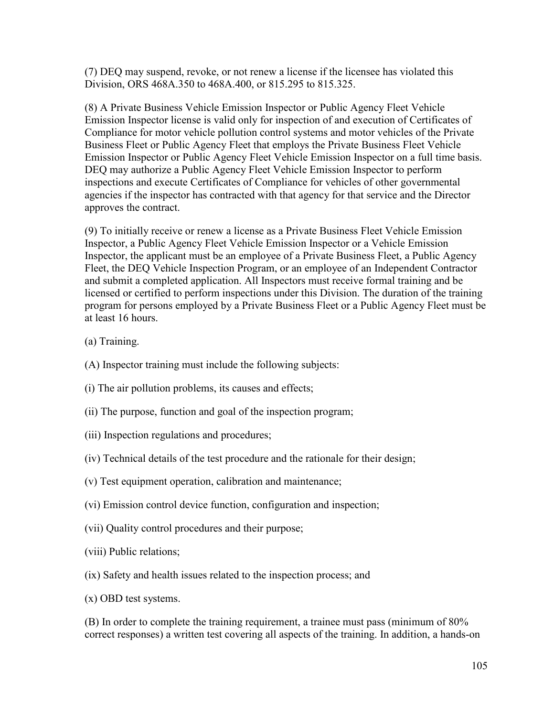(7) DEQ may suspend, revoke, or not renew a license if the licensee has violated this Division, ORS 468A.350 to 468A.400, or 815.295 to 815.325.

(8) A Private Business Vehicle Emission Inspector or Public Agency Fleet Vehicle Emission Inspector license is valid only for inspection of and execution of Certificates of Compliance for motor vehicle pollution control systems and motor vehicles of the Private Business Fleet or Public Agency Fleet that employs the Private Business Fleet Vehicle Emission Inspector or Public Agency Fleet Vehicle Emission Inspector on a full time basis. DEQ may authorize a Public Agency Fleet Vehicle Emission Inspector to perform inspections and execute Certificates of Compliance for vehicles of other governmental agencies if the inspector has contracted with that agency for that service and the Director approves the contract.

(9) To initially receive or renew a license as a Private Business Fleet Vehicle Emission Inspector, a Public Agency Fleet Vehicle Emission Inspector or a Vehicle Emission Inspector, the applicant must be an employee of a Private Business Fleet, a Public Agency Fleet, the DEQ Vehicle Inspection Program, or an employee of an Independent Contractor and submit a completed application. All Inspectors must receive formal training and be licensed or certified to perform inspections under this Division. The duration of the training program for persons employed by a Private Business Fleet or a Public Agency Fleet must be at least 16 hours.

- (a) Training.
- (A) Inspector training must include the following subjects:
- (i) The air pollution problems, its causes and effects;
- (ii) The purpose, function and goal of the inspection program;
- (iii) Inspection regulations and procedures;
- (iv) Technical details of the test procedure and the rationale for their design;
- (v) Test equipment operation, calibration and maintenance;
- (vi) Emission control device function, configuration and inspection;
- (vii) Quality control procedures and their purpose;
- (viii) Public relations;
- (ix) Safety and health issues related to the inspection process; and
- (x) OBD test systems.

(B) In order to complete the training requirement, a trainee must pass (minimum of 80% correct responses) a written test covering all aspects of the training. In addition, a hands-on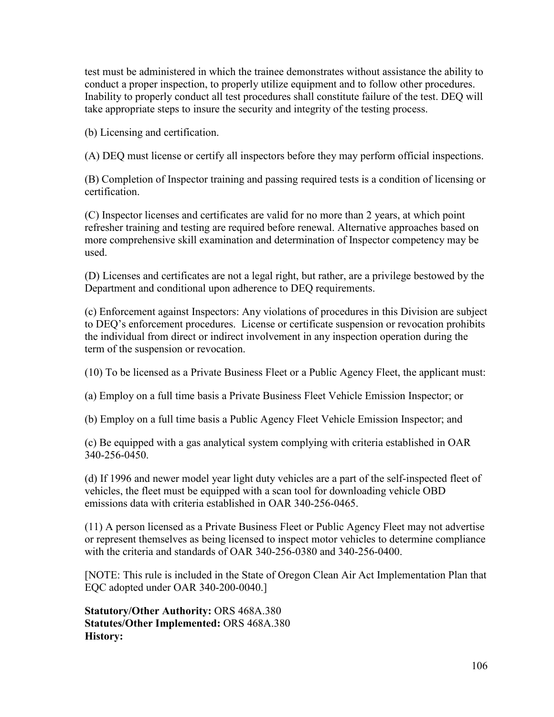test must be administered in which the trainee demonstrates without assistance the ability to conduct a proper inspection, to properly utilize equipment and to follow other procedures. Inability to properly conduct all test procedures shall constitute failure of the test. DEQ will take appropriate steps to insure the security and integrity of the testing process.

(b) Licensing and certification.

(A) DEQ must license or certify all inspectors before they may perform official inspections.

(B) Completion of Inspector training and passing required tests is a condition of licensing or certification.

(C) Inspector licenses and certificates are valid for no more than 2 years, at which point refresher training and testing are required before renewal. Alternative approaches based on more comprehensive skill examination and determination of Inspector competency may be used.

(D) Licenses and certificates are not a legal right, but rather, are a privilege bestowed by the Department and conditional upon adherence to DEQ requirements.

(c) Enforcement against Inspectors: Any violations of procedures in this Division are subject to DEQ's enforcement procedures. License or certificate suspension or revocation prohibits the individual from direct or indirect involvement in any inspection operation during the term of the suspension or revocation.

(10) To be licensed as a Private Business Fleet or a Public Agency Fleet, the applicant must:

(a) Employ on a full time basis a Private Business Fleet Vehicle Emission Inspector; or

(b) Employ on a full time basis a Public Agency Fleet Vehicle Emission Inspector; and

(c) Be equipped with a gas analytical system complying with criteria established in OAR 340-256-0450.

(d) If 1996 and newer model year light duty vehicles are a part of the self-inspected fleet of vehicles, the fleet must be equipped with a scan tool for downloading vehicle OBD emissions data with criteria established in OAR 340-256-0465.

(11) A person licensed as a Private Business Fleet or Public Agency Fleet may not advertise or represent themselves as being licensed to inspect motor vehicles to determine compliance with the criteria and standards of OAR 340-256-0380 and 340-256-0400.

[NOTE: This rule is included in the State of Oregon Clean Air Act Implementation Plan that EQC adopted under OAR 340-200-0040.]

**Statutory/Other Authority:** ORS 468A.380 **Statutes/Other Implemented:** ORS 468A.380 **History:**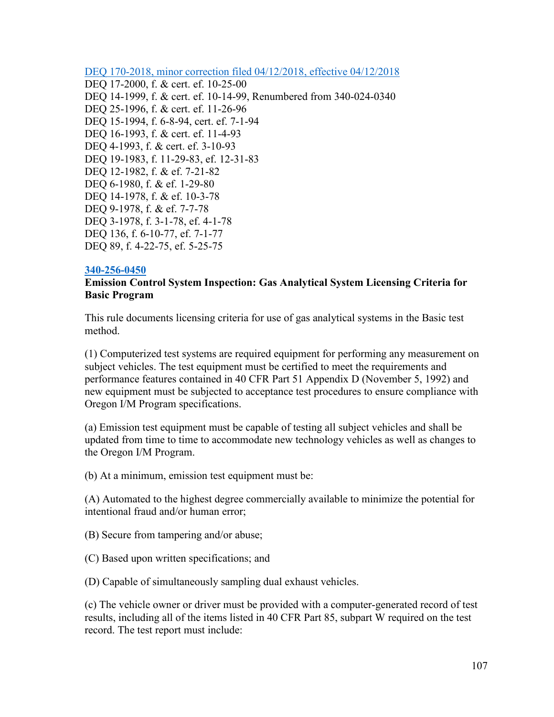[DEQ 170-2018, minor correction filed 04/12/2018, effective 04/12/2018](https://secure.sos.state.or.us/oard/viewReceiptPDF.action;JSESSIONID_OARD=3oxlIc6PZ2u31uGO2th2u9088A2Kqarcjab6TLjYb7s3a0O-i4hx!143575988?filingRsn=37676) DEQ 17-2000, f. & cert. ef. 10-25-00 DEQ 14-1999, f. & cert. ef. 10-14-99, Renumbered from 340-024-0340 DEQ 25-1996, f. & cert. ef. 11-26-96 DEQ 15-1994, f. 6-8-94, cert. ef. 7-1-94 DEQ 16-1993, f. & cert. ef. 11-4-93 DEQ 4-1993, f. & cert. ef. 3-10-93 DEQ 19-1983, f. 11-29-83, ef. 12-31-83 DEQ 12-1982, f. & ef. 7-21-82 DEQ 6-1980, f. & ef. 1-29-80 DEQ 14-1978, f. & ef. 10-3-78 DEQ 9-1978, f. & ef. 7-7-78 DEQ 3-1978, f. 3-1-78, ef. 4-1-78 DEQ 136, f. 6-10-77, ef. 7-1-77 DEQ 89, f. 4-22-75, ef. 5-25-75

#### **[340-256-0450](https://secure.sos.state.or.us/oard/viewSingleRule.action;JSESSIONID_OARD=3oxlIc6PZ2u31uGO2th2u9088A2Kqarcjab6TLjYb7s3a0O-i4hx!143575988?ruleVrsnRsn=75866)**

## **Emission Control System Inspection: Gas Analytical System Licensing Criteria for Basic Program**

This rule documents licensing criteria for use of gas analytical systems in the Basic test method.

(1) Computerized test systems are required equipment for performing any measurement on subject vehicles. The test equipment must be certified to meet the requirements and performance features contained in 40 CFR Part 51 Appendix D (November 5, 1992) and new equipment must be subjected to acceptance test procedures to ensure compliance with Oregon I/M Program specifications.

(a) Emission test equipment must be capable of testing all subject vehicles and shall be updated from time to time to accommodate new technology vehicles as well as changes to the Oregon I/M Program.

(b) At a minimum, emission test equipment must be:

(A) Automated to the highest degree commercially available to minimize the potential for intentional fraud and/or human error;

(B) Secure from tampering and/or abuse;

(C) Based upon written specifications; and

(D) Capable of simultaneously sampling dual exhaust vehicles.

(c) The vehicle owner or driver must be provided with a computer-generated record of test results, including all of the items listed in 40 CFR Part 85, subpart W required on the test record. The test report must include: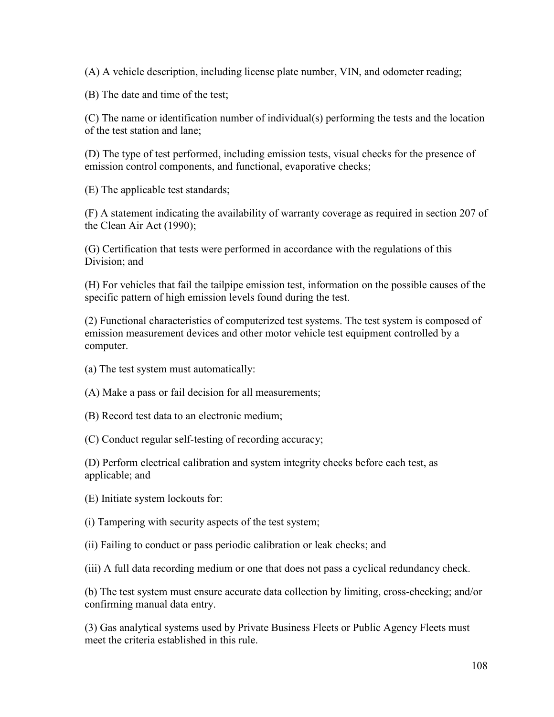(A) A vehicle description, including license plate number, VIN, and odometer reading;

(B) The date and time of the test;

(C) The name or identification number of individual(s) performing the tests and the location of the test station and lane;

(D) The type of test performed, including emission tests, visual checks for the presence of emission control components, and functional, evaporative checks;

(E) The applicable test standards;

(F) A statement indicating the availability of warranty coverage as required in section 207 of the Clean Air Act (1990);

(G) Certification that tests were performed in accordance with the regulations of this Division; and

(H) For vehicles that fail the tailpipe emission test, information on the possible causes of the specific pattern of high emission levels found during the test.

(2) Functional characteristics of computerized test systems. The test system is composed of emission measurement devices and other motor vehicle test equipment controlled by a computer.

(a) The test system must automatically:

(A) Make a pass or fail decision for all measurements;

(B) Record test data to an electronic medium;

(C) Conduct regular self-testing of recording accuracy;

(D) Perform electrical calibration and system integrity checks before each test, as applicable; and

(E) Initiate system lockouts for:

(i) Tampering with security aspects of the test system;

(ii) Failing to conduct or pass periodic calibration or leak checks; and

(iii) A full data recording medium or one that does not pass a cyclical redundancy check.

(b) The test system must ensure accurate data collection by limiting, cross-checking; and/or confirming manual data entry.

(3) Gas analytical systems used by Private Business Fleets or Public Agency Fleets must meet the criteria established in this rule.